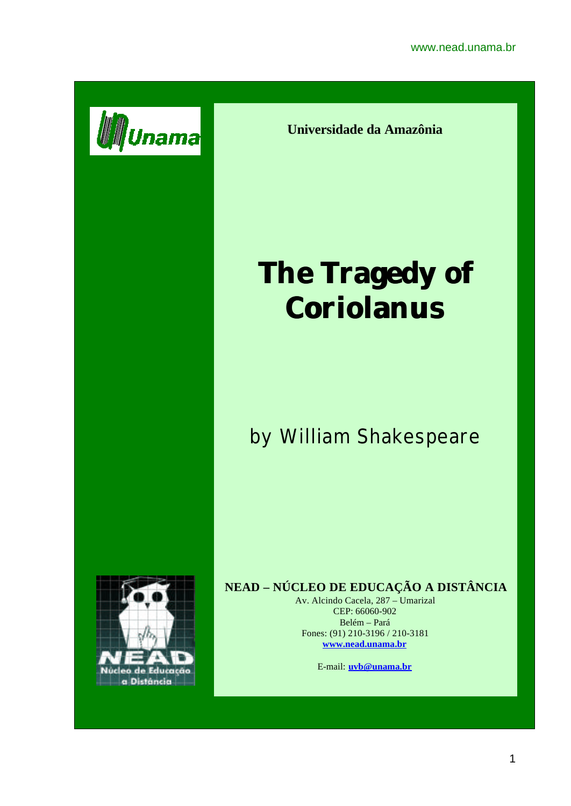

**Universidade da Amazônia**

# **The Tragedy of Coriolanus**

by William Shakespeare



# **NEAD – NÚCLEO DE EDUCAÇÃO A DISTÂNCIA**

Av. Alcindo Cacela, 287 – Umarizal CEP: 66060-902 Belém – Pará Fones: (91) 210-3196 / 210-3181 **www.nead.unama.br**

E-mail: **uvb@unama.br**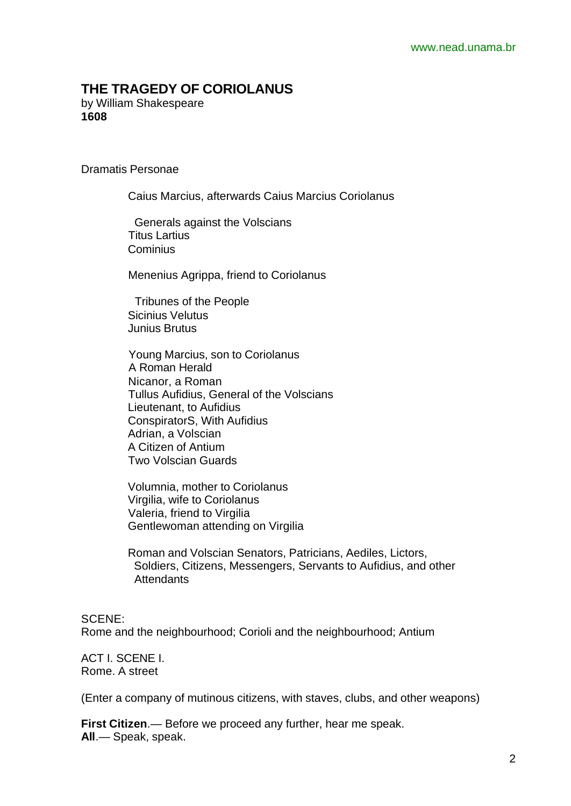# **THE TRAGEDY OF CORIOLANUS**

by William Shakespeare **1608**

Dramatis Personae

Caius Marcius, afterwards Caius Marcius Coriolanus

 Generals against the Volscians Titus Lartius **Cominius** 

Menenius Agrippa, friend to Coriolanus

 Tribunes of the People Sicinius Velutus Junius Brutus

 Young Marcius, son to Coriolanus A Roman Herald Nicanor, a Roman Tullus Aufidius, General of the Volscians Lieutenant, to Aufidius ConspiratorS, With Aufidius Adrian, a Volscian A Citizen of Antium Two Volscian Guards

 Volumnia, mother to Coriolanus Virgilia, wife to Coriolanus Valeria, friend to Virgilia Gentlewoman attending on Virgilia

 Roman and Volscian Senators, Patricians, Aediles, Lictors, Soldiers, Citizens, Messengers, Servants to Aufidius, and other **Attendants** 

SCENE:

Rome and the neighbourhood; Corioli and the neighbourhood; Antium

ACT I. SCENE I. Rome. A street

(Enter a company of mutinous citizens, with staves, clubs, and other weapons)

**First Citizen**.— Before we proceed any further, hear me speak. **All**.— Speak, speak.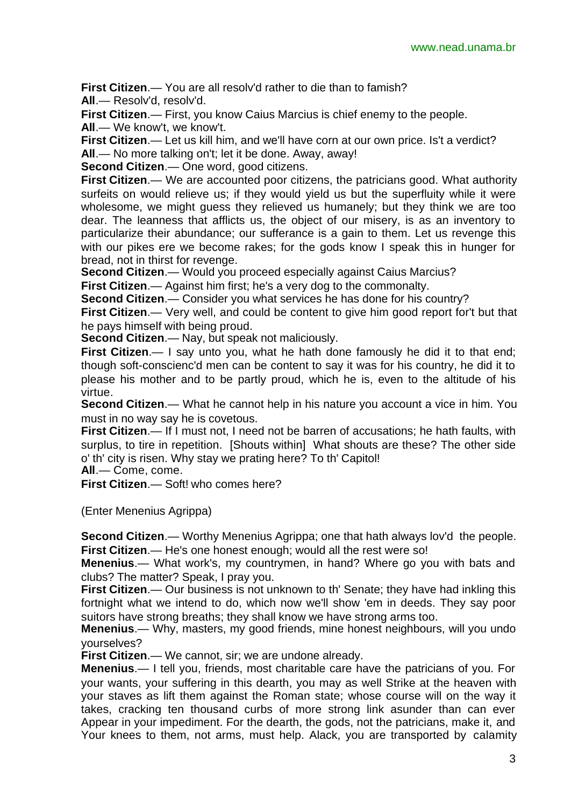**First Citizen**.— You are all resolv'd rather to die than to famish? **All**.— Resolv'd, resolv'd.

**First Citizen**.— First, you know Caius Marcius is chief enemy to the people. **All**.— We know't, we know't.

**First Citizen**.— Let us kill him, and we'll have corn at our own price. Is't a verdict? **All**.— No more talking on't; let it be done. Away, away!

**Second Citizen**.— One word, good citizens.

**First Citizen**.— We are accounted poor citizens, the patricians good. What authority surfeits on would relieve us; if they would yield us but the superfluity while it were wholesome, we might guess they relieved us humanely; but they think we are too dear. The leanness that afflicts us, the object of our misery, is as an inventory to particularize their abundance; our sufferance is a gain to them. Let us revenge this with our pikes ere we become rakes; for the gods know I speak this in hunger for bread, not in thirst for revenge.

**Second Citizen.**— Would you proceed especially against Caius Marcius?

**First Citizen**.— Against him first; he's a very dog to the commonalty.

**Second Citizen**.— Consider you what services he has done for his country?

**First Citizen.**— Very well, and could be content to give him good report for't but that he pays himself with being proud.

**Second Citizen**.— Nay, but speak not maliciously.

**First Citizen.**— I say unto you, what he hath done famously he did it to that end; though soft-conscienc'd men can be content to say it was for his country, he did it to please his mother and to be partly proud, which he is, even to the altitude of his virtue.

**Second Citizen**.— What he cannot help in his nature you account a vice in him. You must in no way say he is covetous.

**First Citizen.**— If I must not, I need not be barren of accusations; he hath faults, with surplus, to tire in repetition. [Shouts within] What shouts are these? The other side o' th' city is risen. Why stay we prating here? To th' Capitol!

**All**.— Come, come.

**First Citizen**.— Soft! who comes here?

(Enter Menenius Agrippa)

**Second Citizen**.— Worthy Menenius Agrippa; one that hath always lov'd the people. **First Citizen**.— He's one honest enough; would all the rest were so!

**Menenius**.— What work's, my countrymen, in hand? Where go you with bats and clubs? The matter? Speak, I pray you.

**First Citizen**.— Our business is not unknown to th' Senate; they have had inkling this fortnight what we intend to do, which now we'll show 'em in deeds. They say poor suitors have strong breaths; they shall know we have strong arms too.

**Menenius**.— Why, masters, my good friends, mine honest neighbours, will you undo yourselves?

**First Citizen**.— We cannot, sir; we are undone already.

**Menenius**.— I tell you, friends, most charitable care have the patricians of you. For your wants, your suffering in this dearth, you may as well Strike at the heaven with your staves as lift them against the Roman state; whose course will on the way it takes, cracking ten thousand curbs of more strong link asunder than can ever Appear in your impediment. For the dearth, the gods, not the patricians, make it, and Your knees to them, not arms, must help. Alack, you are transported by calamity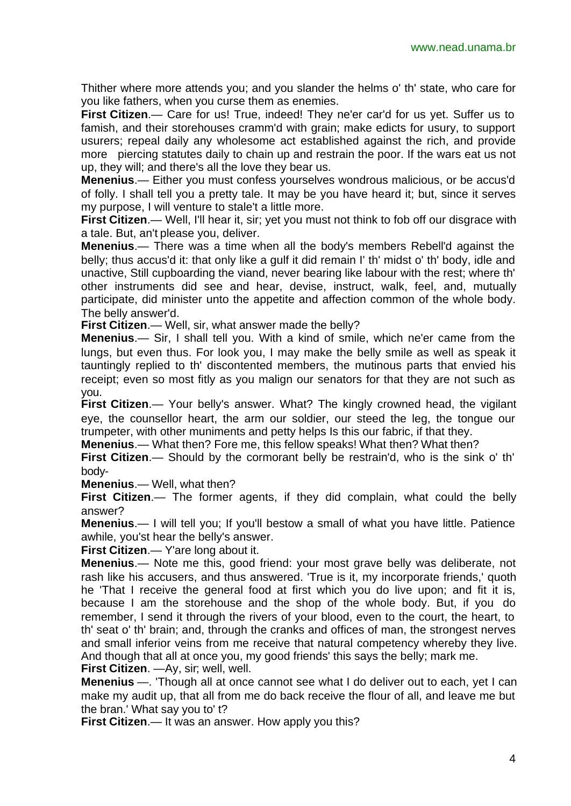Thither where more attends you; and you slander the helms o' th' state, who care for you like fathers, when you curse them as enemies.

**First Citizen.**— Care for us! True, indeed! They ne'er car'd for us yet. Suffer us to famish, and their storehouses cramm'd with grain; make edicts for usury, to support usurers; repeal daily any wholesome act established against the rich, and provide more piercing statutes daily to chain up and restrain the poor. If the wars eat us not up, they will; and there's all the love they bear us.

**Menenius**.— Either you must confess yourselves wondrous malicious, or be accus'd of folly. I shall tell you a pretty tale. It may be you have heard it; but, since it serves my purpose, I will venture to stale't a little more.

**First Citizen.**— Well, I'll hear it, sir; yet you must not think to fob off our disgrace with a tale. But, an't please you, deliver.

**Menenius**.— There was a time when all the body's members Rebell'd against the belly; thus accus'd it: that only like a gulf it did remain I' th' midst o' th' body, idle and unactive, Still cupboarding the viand, never bearing like labour with the rest; where th' other instruments did see and hear, devise, instruct, walk, feel, and, mutually participate, did minister unto the appetite and affection common of the whole body. The belly answer'd.

**First Citizen**.— Well, sir, what answer made the belly?

**Menenius**.— Sir, I shall tell you. With a kind of smile, which ne'er came from the lungs, but even thus. For look you, I may make the belly smile as well as speak it tauntingly replied to th' discontented members, the mutinous parts that envied his receipt; even so most fitly as you malign our senators for that they are not such as you.

**First Citizen.**— Your belly's answer. What? The kingly crowned head, the vigilant eye, the counsellor heart, the arm our soldier, our steed the leg, the tongue our trumpeter, with other muniments and petty helps Is this our fabric, if that they.

**Menenius**.— What then? Fore me, this fellow speaks! What then? What then?

**First Citizen**.— Should by the cormorant belly be restrain'd, who is the sink o' th' body-

**Menenius**.— Well, what then?

**First Citizen**.— The former agents, if they did complain, what could the belly answer?

**Menenius**.— I will tell you; If you'll bestow a small of what you have little. Patience awhile, you'st hear the belly's answer.

**First Citizen**.— Y'are long about it.

**Menenius**.— Note me this, good friend: your most grave belly was deliberate, not rash like his accusers, and thus answered. 'True is it, my incorporate friends,' quoth he 'That I receive the general food at first which you do live upon; and fit it is, because I am the storehouse and the shop of the whole body. But, if you do remember, I send it through the rivers of your blood, even to the court, the heart, to th' seat o' th' brain; and, through the cranks and offices of man, the strongest nerves and small inferior veins from me receive that natural competency whereby they live. And though that all at once you, my good friends' this says the belly; mark me.

**First Citizen**. —Ay, sir; well, well.

**Menenius** —. 'Though all at once cannot see what I do deliver out to each, yet I can make my audit up, that all from me do back receive the flour of all, and leave me but the bran.' What say you to' t?

**First Citizen.— It was an answer. How apply you this?**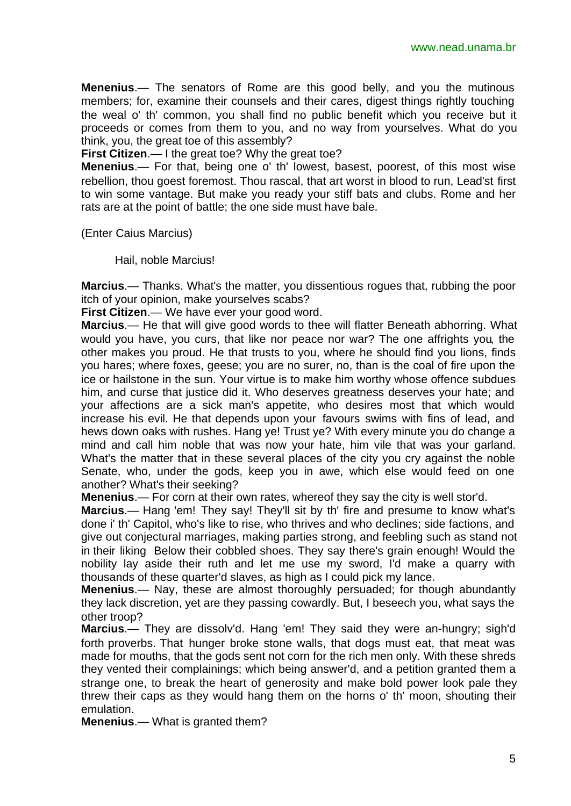**Menenius**.— The senators of Rome are this good belly, and you the mutinous members; for, examine their counsels and their cares, digest things rightly touching the weal o' th' common, you shall find no public benefit which you receive but it proceeds or comes from them to you, and no way from yourselves. What do you think, you, the great toe of this assembly?

**First Citizen**.— I the great toe? Why the great toe?

**Menenius**.— For that, being one o' th' lowest, basest, poorest, of this most wise rebellion, thou goest foremost. Thou rascal, that art worst in blood to run, Lead'st first to win some vantage. But make you ready your stiff bats and clubs. Rome and her rats are at the point of battle; the one side must have bale.

(Enter Caius Marcius)

Hail, noble Marcius!

**Marcius**.— Thanks. What's the matter, you dissentious rogues that, rubbing the poor itch of your opinion, make yourselves scabs?

**First Citizen**.— We have ever your good word.

**Marcius**.— He that will give good words to thee will flatter Beneath abhorring. What would you have, you curs, that like nor peace nor war? The one affrights you, the other makes you proud. He that trusts to you, where he should find you lions, finds you hares; where foxes, geese; you are no surer, no, than is the coal of fire upon the ice or hailstone in the sun. Your virtue is to make him worthy whose offence subdues him, and curse that justice did it. Who deserves greatness deserves your hate; and your affections are a sick man's appetite, who desires most that which would increase his evil. He that depends upon your favours swims with fins of lead, and hews down oaks with rushes. Hang ye! Trust ye? With every minute you do change a mind and call him noble that was now your hate, him vile that was your garland. What's the matter that in these several places of the city you cry against the noble Senate, who, under the gods, keep you in awe, which else would feed on one another? What's their seeking?

**Menenius**.— For corn at their own rates, whereof they say the city is well stor'd.

**Marcius**.— Hang 'em! They say! They'll sit by th' fire and presume to know what's done i' th' Capitol, who's like to rise, who thrives and who declines; side factions, and give out conjectural marriages, making parties strong, and feebling such as stand not in their liking Below their cobbled shoes. They say there's grain enough! Would the nobility lay aside their ruth and let me use my sword, I'd make a quarry with thousands of these quarter'd slaves, as high as I could pick my lance.

**Menenius**.— Nay, these are almost thoroughly persuaded; for though abundantly they lack discretion, yet are they passing cowardly. But, I beseech you, what says the other troop?

**Marcius**.— They are dissolv'd. Hang 'em! They said they were an-hungry; sigh'd forth proverbs. That hunger broke stone walls, that dogs must eat, that meat was made for mouths, that the gods sent not corn for the rich men only. With these shreds they vented their complainings; which being answer'd, and a petition granted them a strange one, to break the heart of generosity and make bold power look pale they threw their caps as they would hang them on the horns o' th' moon, shouting their emulation.

**Menenius**.— What is granted them?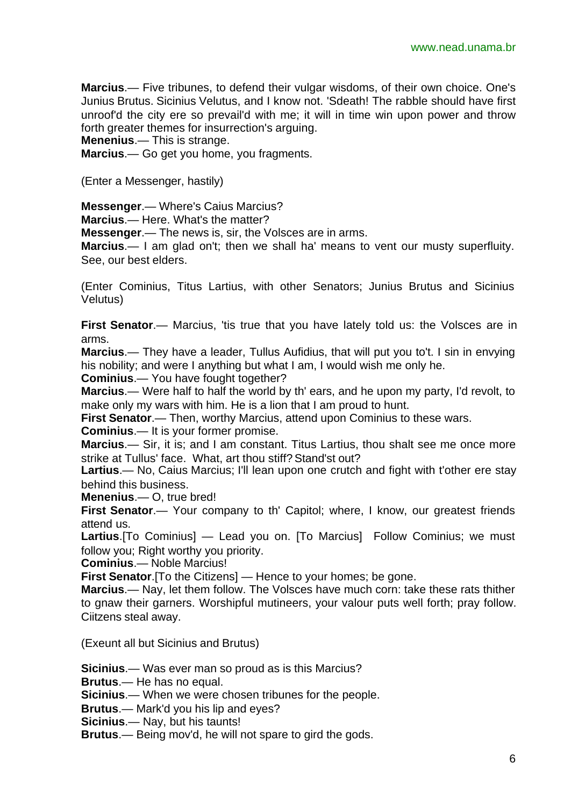**Marcius**.— Five tribunes, to defend their vulgar wisdoms, of their own choice. One's Junius Brutus. Sicinius Velutus, and I know not. 'Sdeath! The rabble should have first unroof'd the city ere so prevail'd with me; it will in time win upon power and throw forth greater themes for insurrection's arguing.

**Menenius**.— This is strange.

**Marcius**.— Go get you home, you fragments.

(Enter a Messenger, hastily)

**Messenger**.— Where's Caius Marcius?

**Marcius**.— Here. What's the matter?

**Messenger**.— The news is, sir, the Volsces are in arms.

**Marcius**.— I am glad on't; then we shall ha' means to vent our musty superfluity. See, our best elders.

(Enter Cominius, Titus Lartius, with other Senators; Junius Brutus and Sicinius Velutus)

**First Senator.**— Marcius, 'tis true that you have lately told us: the Volsces are in arms.

**Marcius**.— They have a leader, Tullus Aufidius, that will put you to't. I sin in envying his nobility; and were I anything but what I am, I would wish me only he.

**Cominius**.— You have fought together?

**Marcius**.— Were half to half the world by th' ears, and he upon my party, I'd revolt, to make only my wars with him. He is a lion that I am proud to hunt.

**First Senator.**— Then, worthy Marcius, attend upon Cominius to these wars.

**Cominius**.— It is your former promise.

**Marcius**.— Sir, it is; and I am constant. Titus Lartius, thou shalt see me once more strike at Tullus' face. What, art thou stiff? Stand'st out?

Lartius.— No, Caius Marcius; I'll lean upon one crutch and fight with t'other ere stay behind this business.

**Menenius**.— O, true bred!

First Senator. - Your company to th' Capitol; where, I know, our greatest friends attend us.

**Lartius**.[To Cominius] — Lead you on. [To Marcius] Follow Cominius; we must follow you: Right worthy you priority.

**Cominius**.— Noble Marcius!

**First Senator**.[To the Citizens] — Hence to your homes; be gone.

**Marcius**.— Nay, let them follow. The Volsces have much corn: take these rats thither to gnaw their garners. Worshipful mutineers, your valour puts well forth; pray follow. Ciitzens steal away.

(Exeunt all but Sicinius and Brutus)

**Sicinius**.— Was ever man so proud as is this Marcius?

**Brutus**.— He has no equal.

**Sicinius**.— When we were chosen tribunes for the people.

**Brutus**.— Mark'd you his lip and eyes?

**Sicinius**.— Nay, but his taunts!

**Brutus**.— Being mov'd, he will not spare to gird the gods.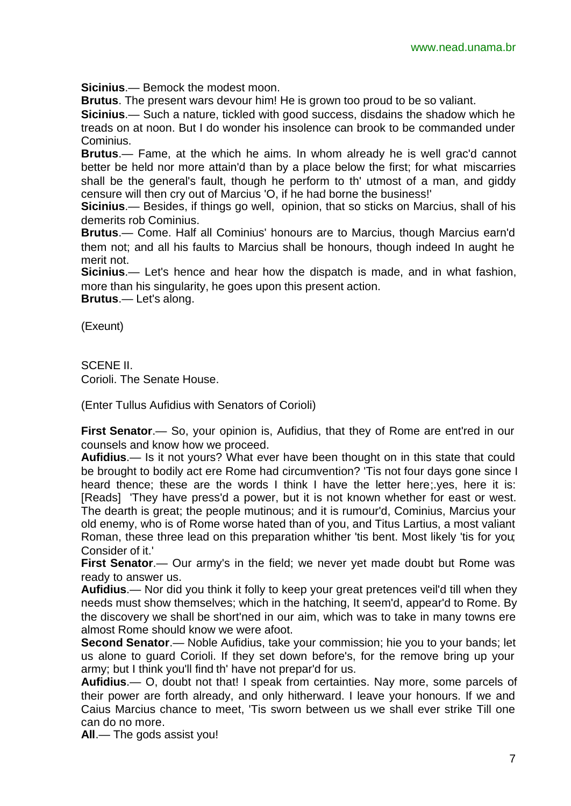**Sicinius**.— Bemock the modest moon.

**Brutus**. The present wars devour him! He is grown too proud to be so valiant.

**Sicinius**.— Such a nature, tickled with good success, disdains the shadow which he treads on at noon. But I do wonder his insolence can brook to be commanded under Cominius.

**Brutus**.— Fame, at the which he aims. In whom already he is well grac'd cannot better be held nor more attain'd than by a place below the first; for what miscarries shall be the general's fault, though he perform to th' utmost of a man, and giddy censure will then cry out of Marcius 'O, if he had borne the business!'

**Sicinius**.— Besides, if things go well, opinion, that so sticks on Marcius, shall of his demerits rob Cominius.

**Brutus**.— Come. Half all Cominius' honours are to Marcius, though Marcius earn'd them not; and all his faults to Marcius shall be honours, though indeed In aught he merit not.

**Sicinius**.— Let's hence and hear how the dispatch is made, and in what fashion, more than his singularity, he goes upon this present action.

**Brutus**.— Let's along.

(Exeunt)

SCENE II.

Corioli. The Senate House.

(Enter Tullus Aufidius with Senators of Corioli)

First Senator.— So, your opinion is, Aufidius, that they of Rome are entired in our counsels and know how we proceed.

**Aufidius**.— Is it not yours? What ever have been thought on in this state that could be brought to bodily act ere Rome had circumvention? 'Tis not four days gone since I heard thence; these are the words I think I have the letter here;.yes, here it is: [Reads] 'They have press'd a power, but it is not known whether for east or west. The dearth is great; the people mutinous; and it is rumour'd, Cominius, Marcius your old enemy, who is of Rome worse hated than of you, and Titus Lartius, a most valiant Roman, these three lead on this preparation whither 'tis bent. Most likely 'tis for you; Consider of it.'

**First Senator.**— Our army's in the field; we never yet made doubt but Rome was ready to answer us.

**Aufidius**.— Nor did you think it folly to keep your great pretences veil'd till when they needs must show themselves; which in the hatching, It seem'd, appear'd to Rome. By the discovery we shall be short'ned in our aim, which was to take in many towns ere almost Rome should know we were afoot.

**Second Senator**.— Noble Aufidius, take your commission; hie you to your bands; let us alone to guard Corioli. If they set down before's, for the remove bring up your army; but I think you'll find th' have not prepar'd for us.

**Aufidius**.— O, doubt not that! I speak from certainties. Nay more, some parcels of their power are forth already, and only hitherward. I leave your honours. If we and Caius Marcius chance to meet, 'Tis sworn between us we shall ever strike Till one can do no more.

**All**.— The gods assist you!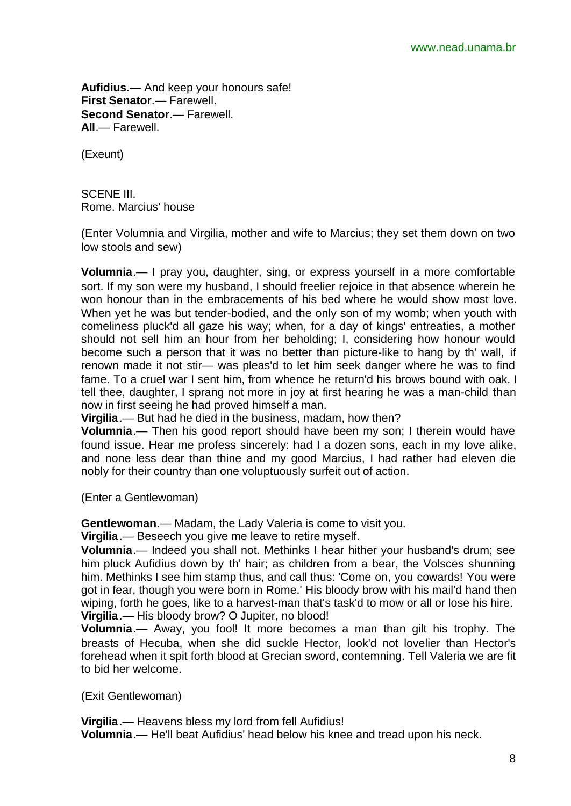**Aufidius**.— And keep your honours safe! **First Senator**.— Farewell. **Second Senator**.— Farewell. **All**.— Farewell.

(Exeunt)

SCENE III. Rome. Marcius' house

(Enter Volumnia and Virgilia, mother and wife to Marcius; they set them down on two low stools and sew)

**Volumnia**.— I pray you, daughter, sing, or express yourself in a more comfortable sort. If my son were my husband, I should freelier rejoice in that absence wherein he won honour than in the embracements of his bed where he would show most love. When yet he was but tender-bodied, and the only son of my womb; when youth with comeliness pluck'd all gaze his way; when, for a day of kings' entreaties, a mother should not sell him an hour from her beholding; I, considering how honour would become such a person that it was no better than picture-like to hang by th' wall, if renown made it not stir— was pleas'd to let him seek danger where he was to find fame. To a cruel war I sent him, from whence he return'd his brows bound with oak. I tell thee, daughter, I sprang not more in joy at first hearing he was a man-child than now in first seeing he had proved himself a man.

**Virgilia**.— But had he died in the business, madam, how then?

**Volumnia**.— Then his good report should have been my son; I therein would have found issue. Hear me profess sincerely: had I a dozen sons, each in my love alike, and none less dear than thine and my good Marcius, I had rather had eleven die nobly for their country than one voluptuously surfeit out of action.

(Enter a Gentlewoman)

**Gentlewoman**.— Madam, the Lady Valeria is come to visit you.

**Virgilia**.— Beseech you give me leave to retire myself.

**Volumnia**.— Indeed you shall not. Methinks I hear hither your husband's drum; see him pluck Aufidius down by th' hair; as children from a bear, the Volsces shunning him. Methinks I see him stamp thus, and call thus: 'Come on, you cowards! You were got in fear, though you were born in Rome.' His bloody brow with his mail'd hand then wiping, forth he goes, like to a harvest-man that's task'd to mow or all or lose his hire. **Virgilia**.— His bloody brow? O Jupiter, no blood!

**Volumnia**.— Away, you fool! It more becomes a man than gilt his trophy. The breasts of Hecuba, when she did suckle Hector, look'd not lovelier than Hector's forehead when it spit forth blood at Grecian sword, contemning. Tell Valeria we are fit to bid her welcome.

(Exit Gentlewoman)

**Virgilia**.— Heavens bless my lord from fell Aufidius! **Volumnia**.— He'll beat Aufidius' head below his knee and tread upon his neck.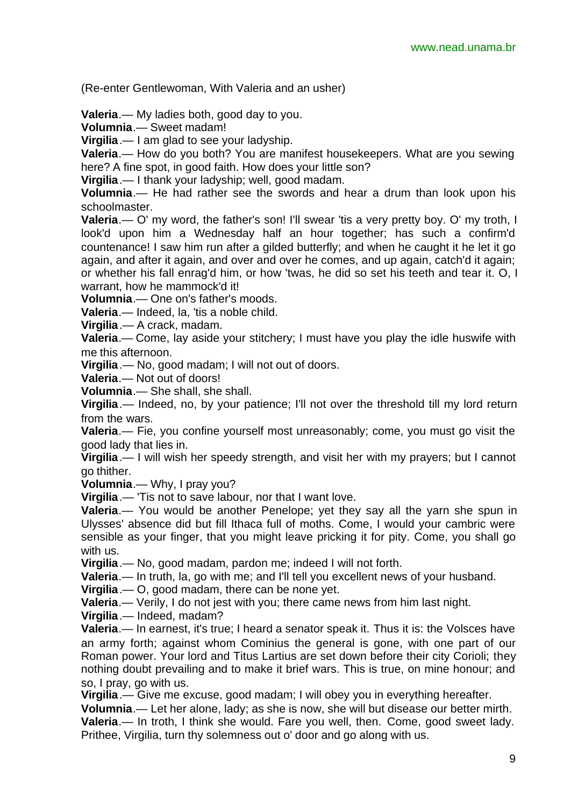(Re-enter Gentlewoman, With Valeria and an usher)

**Valeria**.— My ladies both, good day to you.

**Volumnia**.— Sweet madam!

**Virgilia**.— I am glad to see your ladyship.

**Valeria**.— How do you both? You are manifest housekeepers. What are you sewing here? A fine spot, in good faith. How does your little son?

**Virgilia**.— I thank your ladyship; well, good madam.

**Volumnia**.— He had rather see the swords and hear a drum than look upon his schoolmaster.

**Valeria.**— O' my word, the father's son! I'll swear 'tis a very pretty boy. O' my troth, I look'd upon him a Wednesday half an hour together; has such a confirm'd countenance! I saw him run after a gilded butterfly; and when he caught it he let it go again, and after it again, and over and over he comes, and up again, catch'd it again; or whether his fall enrag'd him, or how 'twas, he did so set his teeth and tear it. O, I warrant, how he mammock'd it!

**Volumnia**.— One on's father's moods.

**Valeria**.— Indeed, la, 'tis a noble child.

**Virgilia**.— A crack, madam.

**Valeria**.— Come, lay aside your stitchery; I must have you play the idle huswife with me this afternoon.

**Virgilia**.— No, good madam; I will not out of doors.

**Valeria**.— Not out of doors!

**Volumnia**.— She shall, she shall.

**Virgilia**.— Indeed, no, by your patience; I'll not over the threshold till my lord return from the wars.

**Valeria**.— Fie, you confine yourself most unreasonably; come, you must go visit the good lady that lies in.

**Virgilia**.— I will wish her speedy strength, and visit her with my prayers; but I cannot go thither.

**Volumnia**.— Why, I pray you?

**Virgilia**.— 'Tis not to save labour, nor that I want love.

**Valeria**.— You would be another Penelope; yet they say all the yarn she spun in Ulysses' absence did but fill Ithaca full of moths. Come, I would your cambric were sensible as your finger, that you might leave pricking it for pity. Come, you shall go with us.

**Virgilia**.— No, good madam, pardon me; indeed I will not forth.

**Valeria**.— In truth, la, go with me; and I'll tell you excellent news of your husband.

**Virgilia**.— O, good madam, there can be none yet.

**Valeria**.— Verily, I do not jest with you; there came news from him last night.

**Virgilia**.— Indeed, madam?

**Valeria**.— In earnest, it's true; I heard a senator speak it. Thus it is: the Volsces have an army forth; against whom Cominius the general is gone, with one part of our Roman power. Your lord and Titus Lartius are set down before their city Corioli; they nothing doubt prevailing and to make it brief wars. This is true, on mine honour; and so, I pray, go with us.

**Virgilia**.— Give me excuse, good madam; I will obey you in everything hereafter.

**Volumnia**.— Let her alone, lady; as she is now, she will but disease our better mirth. **Valeria**.— In troth, I think she would. Fare you well, then. Come, good sweet lady. Prithee, Virgilia, turn thy solemness out o' door and go along with us.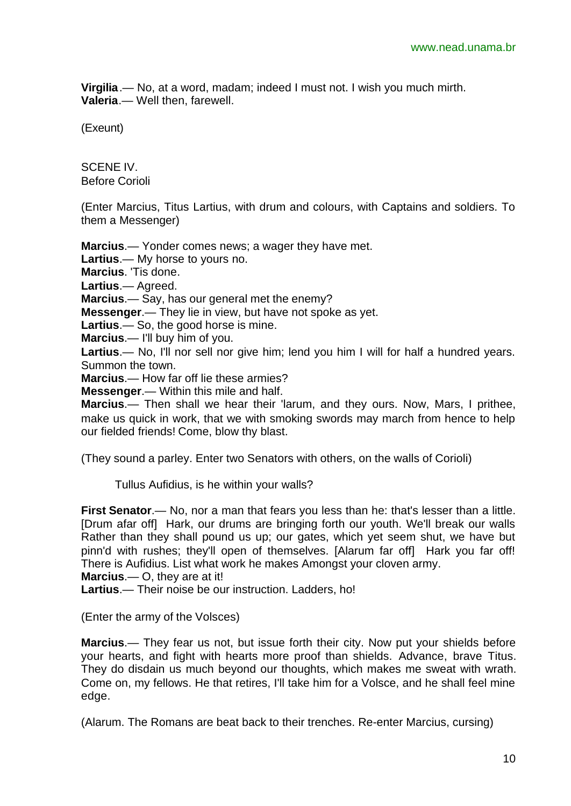**Virgilia**.— No, at a word, madam; indeed I must not. I wish you much mirth. **Valeria**.— Well then, farewell.

(Exeunt)

SCENE IV. Before Corioli

(Enter Marcius, Titus Lartius, with drum and colours, with Captains and soldiers. To them a Messenger)

**Marcius**.— Yonder comes news; a wager they have met. **Lartius**.— My horse to yours no. **Marcius**. 'Tis done. **Lartius**.— Agreed. **Marcius**.— Say, has our general met the enemy? **Messenger**.— They lie in view, but have not spoke as yet. **Lartius**.— So, the good horse is mine. **Marcius**.— I'll buy him of you.

**Lartius**.— No, I'll nor sell nor give him; lend you him I will for half a hundred years. Summon the town.

**Marcius**.— How far off lie these armies?

**Messenger**.— Within this mile and half.

**Marcius**.— Then shall we hear their 'larum, and they ours. Now, Mars, I prithee, make us quick in work, that we with smoking swords may march from hence to help our fielded friends! Come, blow thy blast.

(They sound a parley. Enter two Senators with others, on the walls of Corioli)

Tullus Aufidius, is he within your walls?

**First Senator**.— No, nor a man that fears you less than he: that's lesser than a little. [Drum afar off] Hark, our drums are bringing forth our youth. We'll break our walls Rather than they shall pound us up; our gates, which yet seem shut, we have but pinn'd with rushes; they'll open of themselves. [Alarum far off] Hark you far off! There is Aufidius. List what work he makes Amongst your cloven army.

**Marcius**.— O, they are at it!

**Lartius**.— Their noise be our instruction. Ladders, ho!

(Enter the army of the Volsces)

**Marcius**.— They fear us not, but issue forth their city. Now put your shields before your hearts, and fight with hearts more proof than shields. Advance, brave Titus. They do disdain us much beyond our thoughts, which makes me sweat with wrath. Come on, my fellows. He that retires, I'll take him for a Volsce, and he shall feel mine edge.

(Alarum. The Romans are beat back to their trenches. Re-enter Marcius, cursing)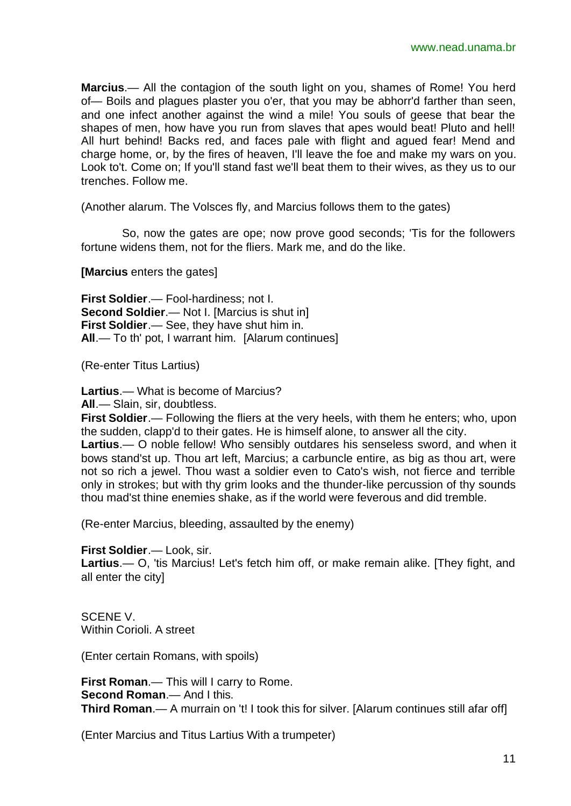**Marcius**.— All the contagion of the south light on you, shames of Rome! You herd of— Boils and plagues plaster you o'er, that you may be abhorr'd farther than seen, and one infect another against the wind a mile! You souls of geese that bear the shapes of men, how have you run from slaves that apes would beat! Pluto and hell! All hurt behind! Backs red, and faces pale with flight and agued fear! Mend and charge home, or, by the fires of heaven, I'll leave the foe and make my wars on you. Look to't. Come on; If you'll stand fast we'll beat them to their wives, as they us to our trenches. Follow me.

(Another alarum. The Volsces fly, and Marcius follows them to the gates)

So, now the gates are ope; now prove good seconds; 'Tis for the followers fortune widens them, not for the fliers. Mark me, and do the like.

**[Marcius** enters the gates]

**First Soldier**.— Fool-hardiness; not I. **Second Soldier**.— Not I. [Marcius is shut in] **First Soldier**.— See, they have shut him in. **All**.— To th' pot, I warrant him. [Alarum continues]

(Re-enter Titus Lartius)

**Lartius**.— What is become of Marcius?

**All**.— Slain, sir, doubtless.

**First Soldier**.— Following the fliers at the very heels, with them he enters; who, upon the sudden, clapp'd to their gates. He is himself alone, to answer all the city.

**Lartius**.— O noble fellow! Who sensibly outdares his senseless sword, and when it bows stand'st up. Thou art left, Marcius; a carbuncle entire, as big as thou art, were not so rich a jewel. Thou wast a soldier even to Cato's wish, not fierce and terrible only in strokes; but with thy grim looks and the thunder-like percussion of thy sounds thou mad'st thine enemies shake, as if the world were feverous and did tremble.

(Re-enter Marcius, bleeding, assaulted by the enemy)

**First Soldier**.— Look, sir.

**Lartius**.— O, 'tis Marcius! Let's fetch him off, or make remain alike. [They fight, and all enter the city]

SCENE V. Within Corioli. A street

(Enter certain Romans, with spoils)

**First Roman**.— This will I carry to Rome. **Second Roman**.— And I this. **Third Roman**.— A murrain on 't! I took this for silver. [Alarum continues still afar off]

(Enter Marcius and Titus Lartius With a trumpeter)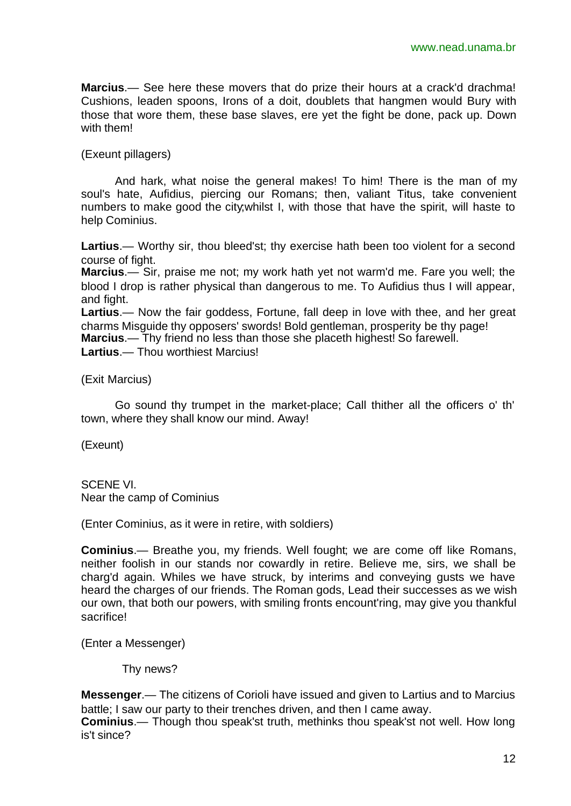**Marcius**.— See here these movers that do prize their hours at a crack'd drachma! Cushions, leaden spoons, Irons of a doit, doublets that hangmen would Bury with those that wore them, these base slaves, ere yet the fight be done, pack up. Down with them!

(Exeunt pillagers)

And hark, what noise the general makes! To him! There is the man of my soul's hate, Aufidius, piercing our Romans; then, valiant Titus, take convenient numbers to make good the city;whilst I, with those that have the spirit, will haste to help Cominius.

**Lartius**.— Worthy sir, thou bleed'st; thy exercise hath been too violent for a second course of fight.

**Marcius**.— Sir, praise me not; my work hath yet not warm'd me. Fare you well; the blood I drop is rather physical than dangerous to me. To Aufidius thus I will appear, and fight.

**Lartius**.— Now the fair goddess, Fortune, fall deep in love with thee, and her great charms Misguide thy opposers' swords! Bold gentleman, prosperity be thy page!

**Marcius**.— Thy friend no less than those she placeth highest! So farewell.

**Lartius**.— Thou worthiest Marcius!

(Exit Marcius)

Go sound thy trumpet in the market-place; Call thither all the officers o' th' town, where they shall know our mind. Away!

(Exeunt)

SCENE VI. Near the camp of Cominius

(Enter Cominius, as it were in retire, with soldiers)

**Cominius**.— Breathe you, my friends. Well fought; we are come off like Romans, neither foolish in our stands nor cowardly in retire. Believe me, sirs, we shall be charg'd again. Whiles we have struck, by interims and conveying gusts we have heard the charges of our friends. The Roman gods, Lead their successes as we wish our own, that both our powers, with smiling fronts encount'ring, may give you thankful sacrifice!

(Enter a Messenger)

Thy news?

**Messenger**.— The citizens of Corioli have issued and given to Lartius and to Marcius battle; I saw our party to their trenches driven, and then I came away.

**Cominius**.— Though thou speak'st truth, methinks thou speak'st not well. How long is't since?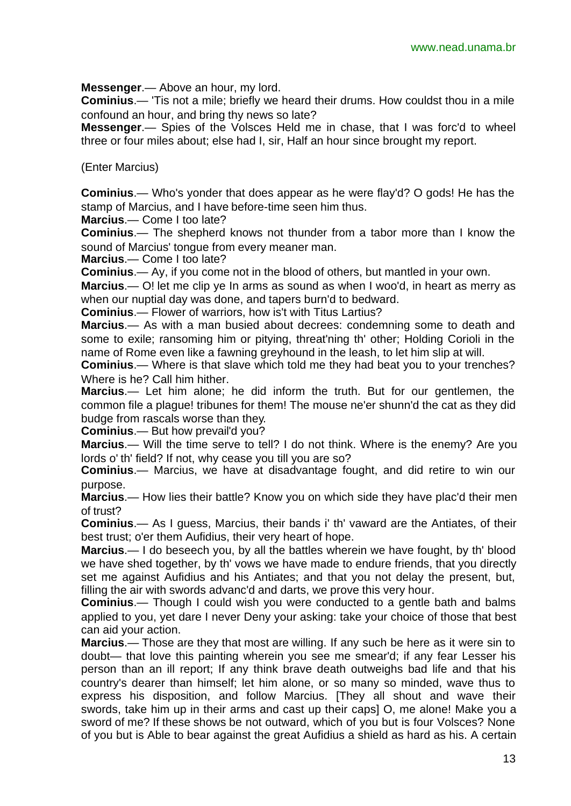**Messenger**.— Above an hour, my lord.

**Cominius**.— 'Tis not a mile; briefly we heard their drums. How couldst thou in a mile confound an hour, and bring thy news so late?

**Messenger**.— Spies of the Volsces Held me in chase, that I was forc'd to wheel three or four miles about; else had I, sir, Half an hour since brought my report.

#### (Enter Marcius)

**Cominius**.— Who's yonder that does appear as he were flay'd? O gods! He has the stamp of Marcius, and I have before-time seen him thus.

**Marcius**.— Come I too late?

**Cominius**.— The shepherd knows not thunder from a tabor more than I know the sound of Marcius' tongue from every meaner man.

**Marcius**.— Come I too late?

**Cominius**.— Ay, if you come not in the blood of others, but mantled in your own.

**Marcius**.— O! let me clip ye In arms as sound as when I woo'd, in heart as merry as when our nuptial day was done, and tapers burn'd to bedward.

**Cominius**.— Flower of warriors, how is't with Titus Lartius?

**Marcius**.— As with a man busied about decrees: condemning some to death and some to exile; ransoming him or pitying, threat'ning th' other; Holding Corioli in the name of Rome even like a fawning greyhound in the leash, to let him slip at will.

**Cominius**.— Where is that slave which told me they had beat you to your trenches? Where is he? Call him hither.

**Marcius**.— Let him alone; he did inform the truth. But for our gentlemen, the common file a plague! tribunes for them! The mouse ne'er shunn'd the cat as they did budge from rascals worse than they.

**Cominius**.— But how prevail'd you?

**Marcius**.— Will the time serve to tell? I do not think. Where is the enemy? Are you lords o' th' field? If not, why cease you till you are so?

**Cominius**.— Marcius, we have at disadvantage fought, and did retire to win our purpose.

**Marcius**.— How lies their battle? Know you on which side they have plac'd their men of trust?

**Cominius**.— As I guess, Marcius, their bands i' th' vaward are the Antiates, of their best trust; o'er them Aufidius, their very heart of hope.

**Marcius**.— I do beseech you, by all the battles wherein we have fought, by th' blood we have shed together, by th' vows we have made to endure friends, that you directly set me against Aufidius and his Antiates; and that you not delay the present, but, filling the air with swords advanc'd and darts, we prove this very hour.

**Cominius**.— Though I could wish you were conducted to a gentle bath and balms applied to you, yet dare I never Deny your asking: take your choice of those that best can aid your action.

**Marcius**.— Those are they that most are willing. If any such be here as it were sin to doubt— that love this painting wherein you see me smear'd; if any fear Lesser his person than an ill report; If any think brave death outweighs bad life and that his country's dearer than himself; let him alone, or so many so minded, wave thus to express his disposition, and follow Marcius. [They all shout and wave their swords, take him up in their arms and cast up their caps] O, me alone! Make you a sword of me? If these shows be not outward, which of you but is four Volsces? None of you but is Able to bear against the great Aufidius a shield as hard as his. A certain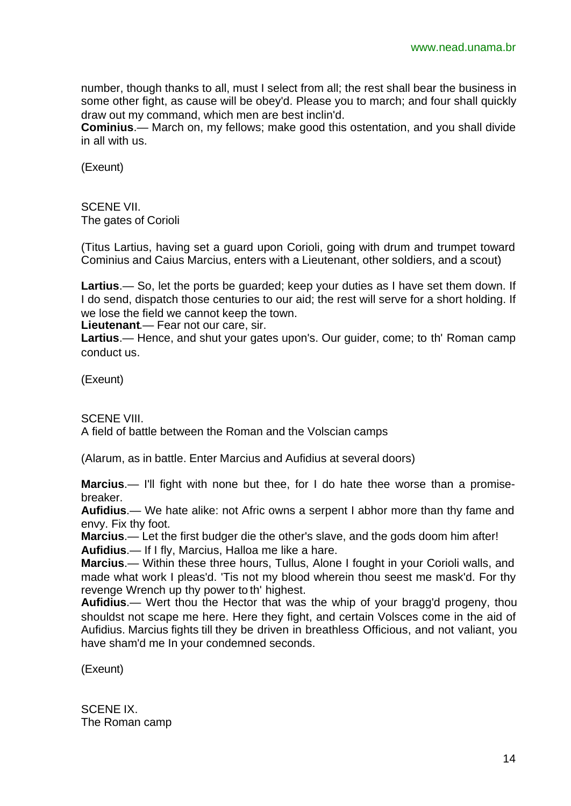number, though thanks to all, must I select from all; the rest shall bear the business in some other fight, as cause will be obey'd. Please you to march; and four shall quickly draw out my command, which men are best inclin'd.

**Cominius**.— March on, my fellows; make good this ostentation, and you shall divide in all with us.

(Exeunt)

SCENE VII. The gates of Corioli

(Titus Lartius, having set a guard upon Corioli, going with drum and trumpet toward Cominius and Caius Marcius, enters with a Lieutenant, other soldiers, and a scout)

**Lartius**.— So, let the ports be guarded; keep your duties as I have set them down. If I do send, dispatch those centuries to our aid; the rest will serve for a short holding. If we lose the field we cannot keep the town.

**Lieutenant**.— Fear not our care, sir.

**Lartius**.— Hence, and shut your gates upon's. Our guider, come; to th' Roman camp conduct us.

(Exeunt)

SCENE VIII.

A field of battle between the Roman and the Volscian camps

(Alarum, as in battle. Enter Marcius and Aufidius at several doors)

**Marcius**.— I'll fight with none but thee, for I do hate thee worse than a promisebreaker.

**Aufidius**.— We hate alike: not Afric owns a serpent I abhor more than thy fame and envy. Fix thy foot.

**Marcius**.— Let the first budger die the other's slave, and the gods doom him after! **Aufidius**.— If I fly, Marcius, Halloa me like a hare.

**Marcius**.— Within these three hours, Tullus, Alone I fought in your Corioli walls, and made what work I pleas'd. 'Tis not my blood wherein thou seest me mask'd. For thy revenge Wrench up thy power to th' highest.

**Aufidius**.— Wert thou the Hector that was the whip of your bragg'd progeny, thou shouldst not scape me here. Here they fight, and certain Volsces come in the aid of Aufidius. Marcius fights till they be driven in breathless Officious, and not valiant, you have sham'd me In your condemned seconds.

(Exeunt)

SCENE IX. The Roman camp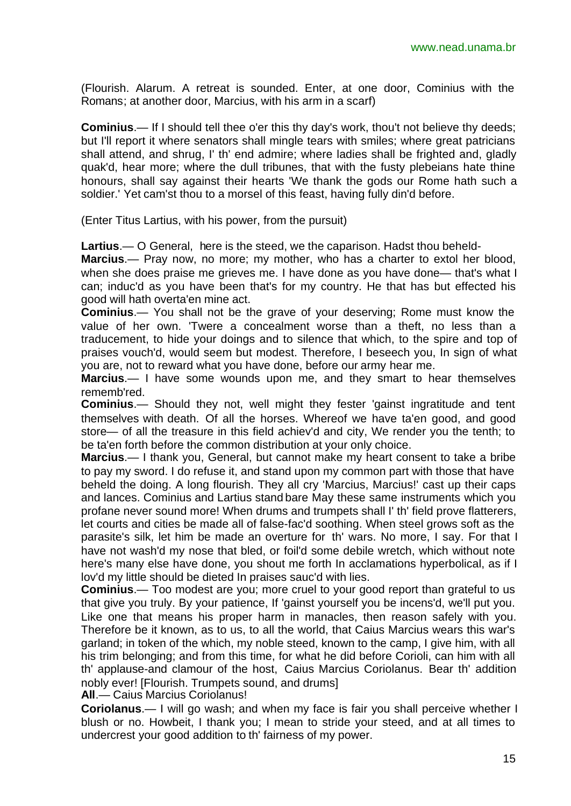(Flourish. Alarum. A retreat is sounded. Enter, at one door, Cominius with the Romans; at another door, Marcius, with his arm in a scarf)

**Cominius**.— If I should tell thee o'er this thy day's work, thou't not believe thy deeds; but I'll report it where senators shall mingle tears with smiles; where great patricians shall attend, and shrug, I' th' end admire; where ladies shall be frighted and, gladly quak'd, hear more; where the dull tribunes, that with the fusty plebeians hate thine honours, shall say against their hearts 'We thank the gods our Rome hath such a soldier.' Yet cam'st thou to a morsel of this feast, having fully din'd before.

(Enter Titus Lartius, with his power, from the pursuit)

**Lartius**.— O General, here is the steed, we the caparison. Hadst thou beheld-

**Marcius**.— Pray now, no more; my mother, who has a charter to extol her blood, when she does praise me grieves me. I have done as you have done— that's what I can; induc'd as you have been that's for my country. He that has but effected his good will hath overta'en mine act.

**Cominius**.— You shall not be the grave of your deserving; Rome must know the value of her own. 'Twere a concealment worse than a theft, no less than a traducement, to hide your doings and to silence that which, to the spire and top of praises vouch'd, would seem but modest. Therefore, I beseech you, In sign of what you are, not to reward what you have done, before our army hear me.

**Marcius**.— I have some wounds upon me, and they smart to hear themselves rememb'red.

**Cominius**.— Should they not, well might they fester 'gainst ingratitude and tent themselves with death. Of all the horses. Whereof we have ta'en good, and good store— of all the treasure in this field achiev'd and city, We render you the tenth; to be ta'en forth before the common distribution at your only choice.

**Marcius**.— I thank you, General, but cannot make my heart consent to take a bribe to pay my sword. I do refuse it, and stand upon my common part with those that have beheld the doing. A long flourish. They all cry 'Marcius, Marcius!' cast up their caps and lances. Cominius and Lartius stand bare May these same instruments which you profane never sound more! When drums and trumpets shall I' th' field prove flatterers, let courts and cities be made all of false-fac'd soothing. When steel grows soft as the parasite's silk, let him be made an overture for th' wars. No more, I say. For that I have not wash'd my nose that bled, or foil'd some debile wretch, which without note here's many else have done, you shout me forth In acclamations hyperbolical, as if I lov'd my little should be dieted In praises sauc'd with lies.

**Cominius**.— Too modest are you; more cruel to your good report than grateful to us that give you truly. By your patience, If 'gainst yourself you be incens'd, we'll put you. Like one that means his proper harm in manacles, then reason safely with you. Therefore be it known, as to us, to all the world, that Caius Marcius wears this war's garland; in token of the which, my noble steed, known to the camp, I give him, with all his trim belonging; and from this time, for what he did before Corioli, can him with all th' applause-and clamour of the host, Caius Marcius Coriolanus. Bear th' addition nobly ever! [Flourish. Trumpets sound, and drums]

**All**.— Caius Marcius Coriolanus!

**Coriolanus**.— I will go wash; and when my face is fair you shall perceive whether I blush or no. Howbeit, I thank you; I mean to stride your steed, and at all times to undercrest your good addition to th' fairness of my power.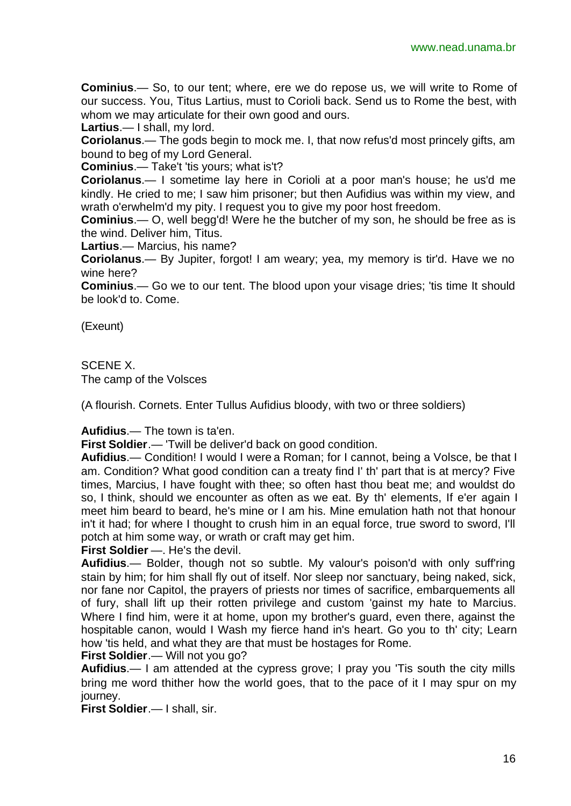**Cominius**.— So, to our tent; where, ere we do repose us, we will write to Rome of our success. You, Titus Lartius, must to Corioli back. Send us to Rome the best, with whom we may articulate for their own good and ours.

**Lartius**.— I shall, my lord.

**Coriolanus**.— The gods begin to mock me. I, that now refus'd most princely gifts, am bound to beg of my Lord General.

**Cominius**.— Take't 'tis yours; what is't?

**Coriolanus**.— I sometime lay here in Corioli at a poor man's house; he us'd me kindly. He cried to me; I saw him prisoner; but then Aufidius was within my view, and wrath o'erwhelm'd my pity. I request you to give my poor host freedom.

**Cominius**.— O, well begg'd! Were he the butcher of my son, he should be free as is the wind. Deliver him, Titus.

**Lartius**.— Marcius, his name?

**Coriolanus**.— By Jupiter, forgot! I am weary; yea, my memory is tir'd. Have we no wine here?

**Cominius.**— Go we to our tent. The blood upon your visage dries; 'tis time It should be look'd to. Come.

(Exeunt)

SCENE X. The camp of the Volsces

(A flourish. Cornets. Enter Tullus Aufidius bloody, with two or three soldiers)

**Aufidius**.— The town is ta'en.

**First Soldier**.— 'Twill be deliver'd back on good condition.

**Aufidius**.— Condition! I would I were a Roman; for I cannot, being a Volsce, be that I am. Condition? What good condition can a treaty find I' th' part that is at mercy? Five times, Marcius, I have fought with thee; so often hast thou beat me; and wouldst do so, I think, should we encounter as often as we eat. By th' elements, If e'er again I meet him beard to beard, he's mine or I am his. Mine emulation hath not that honour in't it had; for where I thought to crush him in an equal force, true sword to sword, I'll potch at him some way, or wrath or craft may get him.

**First Soldier** —. He's the devil.

**Aufidius**.— Bolder, though not so subtle. My valour's poison'd with only suff'ring stain by him; for him shall fly out of itself. Nor sleep nor sanctuary, being naked, sick, nor fane nor Capitol, the prayers of priests nor times of sacrifice, embarquements all of fury, shall lift up their rotten privilege and custom 'gainst my hate to Marcius. Where I find him, were it at home, upon my brother's guard, even there, against the hospitable canon, would I Wash my fierce hand in's heart. Go you to th' city; Learn how 'tis held, and what they are that must be hostages for Rome.

**First Soldier**.— Will not you go?

**Aufidius**.— I am attended at the cypress grove; I pray you 'Tis south the city mills bring me word thither how the world goes, that to the pace of it I may spur on my journey.

**First Soldier**.— I shall, sir.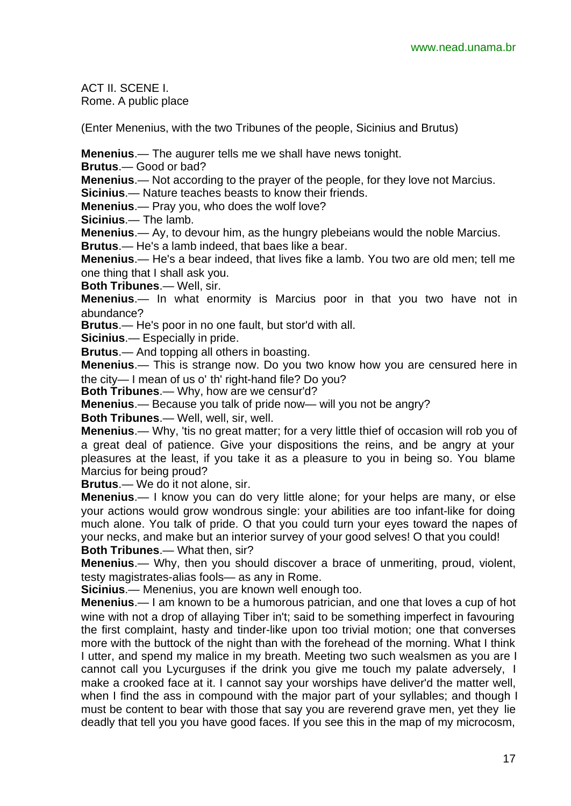ACT II. SCENE I. Rome. A public place

(Enter Menenius, with the two Tribunes of the people, Sicinius and Brutus)

**Menenius**.— The augurer tells me we shall have news tonight.

**Brutus**.— Good or bad?

**Menenius**.— Not according to the prayer of the people, for they love not Marcius.

**Sicinius**.— Nature teaches beasts to know their friends.

**Menenius**.— Pray you, who does the wolf love?

**Sicinius**.— The lamb.

**Menenius**.— Ay, to devour him, as the hungry plebeians would the noble Marcius. **Brutus**.— He's a lamb indeed, that baes like a bear.

**Menenius**.— He's a bear indeed, that lives fike a lamb. You two are old men; tell me one thing that I shall ask you.

**Both Tribunes**.— Well, sir.

**Menenius**.— In what enormity is Marcius poor in that you two have not in abundance?

**Brutus**.— He's poor in no one fault, but stor'd with all.

**Sicinius**.— Especially in pride.

**Brutus**.— And topping all others in boasting.

**Menenius**.— This is strange now. Do you two know how you are censured here in the city— I mean of us o' th' right-hand file? Do you?

**Both Tribunes**.— Why, how are we censur'd?

**Menenius**.— Because you talk of pride now— will you not be angry?

**Both Tribunes**.— Well, well, sir, well.

**Menenius**.— Why, 'tis no great matter; for a very little thief of occasion will rob you of a great deal of patience. Give your dispositions the reins, and be angry at your pleasures at the least, if you take it as a pleasure to you in being so. You blame Marcius for being proud?

**Brutus**.— We do it not alone, sir.

**Menenius**.— I know you can do very little alone; for your helps are many, or else your actions would grow wondrous single: your abilities are too infant-like for doing much alone. You talk of pride. O that you could turn your eyes toward the napes of your necks, and make but an interior survey of your good selves! O that you could! **Both Tribunes**.— What then, sir?

**Menenius**.— Why, then you should discover a brace of unmeriting, proud, violent, testy magistrates-alias fools— as any in Rome.

**Sicinius**.— Menenius, you are known well enough too.

**Menenius**.— I am known to be a humorous patrician, and one that loves a cup of hot wine with not a drop of allaying Tiber in't; said to be something imperfect in favouring the first complaint, hasty and tinder-like upon too trivial motion; one that converses more with the buttock of the night than with the forehead of the morning. What I think I utter, and spend my malice in my breath. Meeting two such wealsmen as you are I cannot call you Lycurguses if the drink you give me touch my palate adversely, I make a crooked face at it. I cannot say your worships have deliver'd the matter well, when I find the ass in compound with the major part of your syllables; and though I must be content to bear with those that say you are reverend grave men, yet they lie deadly that tell you you have good faces. If you see this in the map of my microcosm,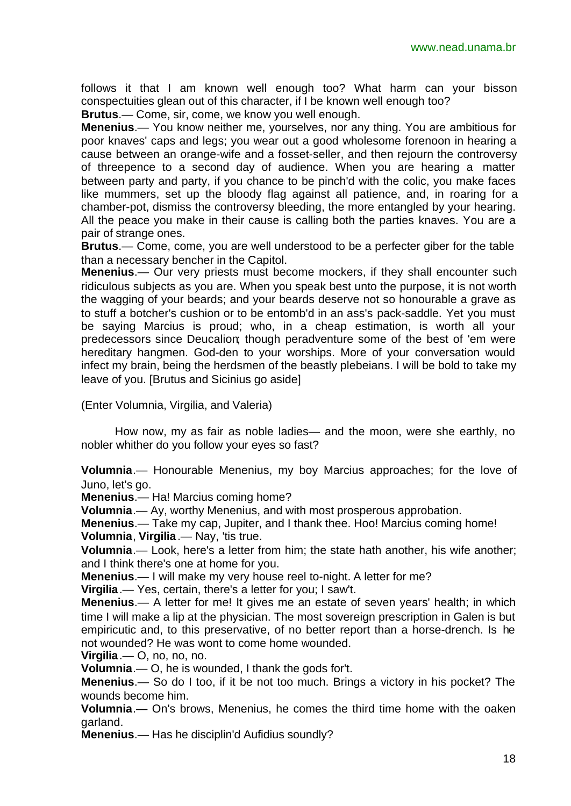follows it that I am known well enough too? What harm can your bisson conspectuities glean out of this character, if I be known well enough too?

**Brutus**.— Come, sir, come, we know you well enough.

**Menenius**.— You know neither me, yourselves, nor any thing. You are ambitious for poor knaves' caps and legs; you wear out a good wholesome forenoon in hearing a cause between an orange-wife and a fosset-seller, and then rejourn the controversy of threepence to a second day of audience. When you are hearing a matter between party and party, if you chance to be pinch'd with the colic, you make faces like mummers, set up the bloody flag against all patience, and, in roaring for a chamber-pot, dismiss the controversy bleeding, the more entangled by your hearing. All the peace you make in their cause is calling both the parties knaves. You are a pair of strange ones.

**Brutus**.— Come, come, you are well understood to be a perfecter giber for the table than a necessary bencher in the Capitol.

**Menenius**.— Our very priests must become mockers, if they shall encounter such ridiculous subjects as you are. When you speak best unto the purpose, it is not worth the wagging of your beards; and your beards deserve not so honourable a grave as to stuff a botcher's cushion or to be entomb'd in an ass's pack-saddle. Yet you must be saying Marcius is proud; who, in a cheap estimation, is worth all your predecessors since Deucalion; though peradventure some of the best of 'em were hereditary hangmen. God-den to your worships. More of your conversation would infect my brain, being the herdsmen of the beastly plebeians. I will be bold to take my leave of you. [Brutus and Sicinius go aside]

(Enter Volumnia, Virgilia, and Valeria)

How now, my as fair as noble ladies— and the moon, were she earthly, no nobler whither do you follow your eyes so fast?

**Volumnia**.— Honourable Menenius, my boy Marcius approaches; for the love of Juno, let's go.

**Menenius**.— Ha! Marcius coming home?

**Volumnia**.— Ay, worthy Menenius, and with most prosperous approbation.

**Menenius**.— Take my cap, Jupiter, and I thank thee. Hoo! Marcius coming home! **Volumnia**, **Virgilia**.— Nay, 'tis true.

**Volumnia**.— Look, here's a letter from him; the state hath another, his wife another; and I think there's one at home for you.

**Menenius**.— I will make my very house reel to-night. A letter for me?

**Virgilia**.— Yes, certain, there's a letter for you; I saw't.

**Menenius**.— A letter for me! It gives me an estate of seven years' health; in which time I will make a lip at the physician. The most sovereign prescription in Galen is but empiricutic and, to this preservative, of no better report than a horse-drench. Is he not wounded? He was wont to come home wounded.

**Virgilia**.— O, no, no, no.

**Volumnia**.— O, he is wounded, I thank the gods for't.

**Menenius**.— So do I too, if it be not too much. Brings a victory in his pocket? The wounds become him.

**Volumnia**.— On's brows, Menenius, he comes the third time home with the oaken garland.

**Menenius**.— Has he disciplin'd Aufidius soundly?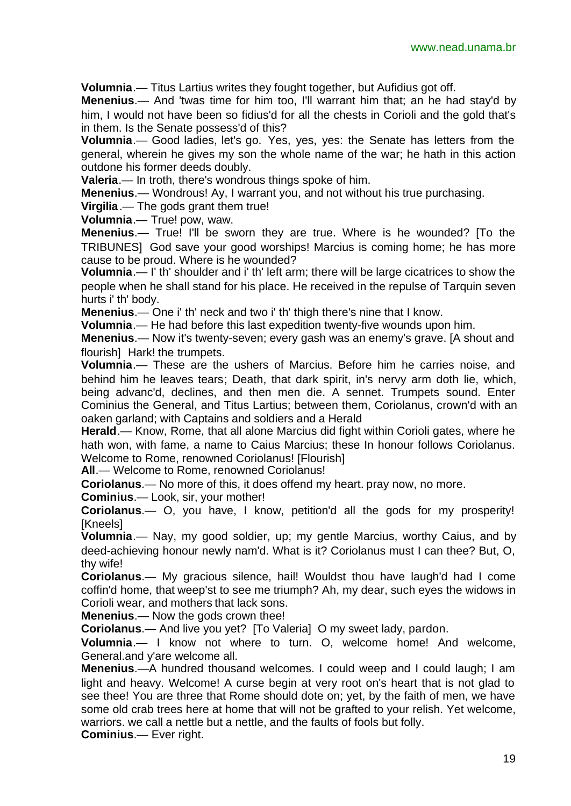**Volumnia**.— Titus Lartius writes they fought together, but Aufidius got off.

**Menenius**.— And 'twas time for him too, I'll warrant him that; an he had stay'd by him, I would not have been so fidius'd for all the chests in Corioli and the gold that's in them. Is the Senate possess'd of this?

**Volumnia**.— Good ladies, let's go. Yes, yes, yes: the Senate has letters from the general, wherein he gives my son the whole name of the war; he hath in this action outdone his former deeds doubly.

**Valeria**.— In troth, there's wondrous things spoke of him.

**Menenius**.— Wondrous! Ay, I warrant you, and not without his true purchasing.

**Virgilia**.— The gods grant them true!

**Volumnia**.— True! pow, waw.

**Menenius**.— True! I'll be sworn they are true. Where is he wounded? [To the TRIBUNES] God save your good worships! Marcius is coming home; he has more cause to be proud. Where is he wounded?

**Volumnia**.— I' th' shoulder and i' th' left arm; there will be large cicatrices to show the people when he shall stand for his place. He received in the repulse of Tarquin seven hurts i' th' body.

**Menenius**.— One i' th' neck and two i' th' thigh there's nine that I know.

**Volumnia**.— He had before this last expedition twenty-five wounds upon him.

**Menenius**.— Now it's twenty-seven; every gash was an enemy's grave. [A shout and flourish] Hark! the trumpets.

**Volumnia**.— These are the ushers of Marcius. Before him he carries noise, and behind him he leaves tears; Death, that dark spirit, in's nervy arm doth lie, which, being advanc'd, declines, and then men die. A sennet. Trumpets sound. Enter Cominius the General, and Titus Lartius; between them, Coriolanus, crown'd with an oaken garland; with Captains and soldiers and a Herald

**Herald**.— Know, Rome, that all alone Marcius did fight within Corioli gates, where he hath won, with fame, a name to Caius Marcius; these In honour follows Coriolanus. Welcome to Rome, renowned Coriolanus! [Flourish]

**All**.— Welcome to Rome, renowned Coriolanus!

**Coriolanus**.— No more of this, it does offend my heart. pray now, no more.

**Cominius**.— Look, sir, your mother!

**Coriolanus**.— O, you have, I know, petition'd all the gods for my prosperity! [Kneels]

**Volumnia**.— Nay, my good soldier, up; my gentle Marcius, worthy Caius, and by deed-achieving honour newly nam'd. What is it? Coriolanus must I can thee? But, O, thy wife!

**Coriolanus**.— My gracious silence, hail! Wouldst thou have laugh'd had I come coffin'd home, that weep'st to see me triumph? Ah, my dear, such eyes the widows in Corioli wear, and mothers that lack sons.

**Menenius**.— Now the gods crown thee!

**Coriolanus**.— And live you yet? [To Valeria] O my sweet lady, pardon.

**Volumnia**.— I know not where to turn. O, welcome home! And welcome, General.and y'are welcome all.

**Menenius**.—A hundred thousand welcomes. I could weep and I could laugh; I am light and heavy. Welcome! A curse begin at very root on's heart that is not glad to see thee! You are three that Rome should dote on; yet, by the faith of men, we have some old crab trees here at home that will not be grafted to your relish. Yet welcome, warriors. we call a nettle but a nettle, and the faults of fools but folly.

**Cominius**.— Ever right.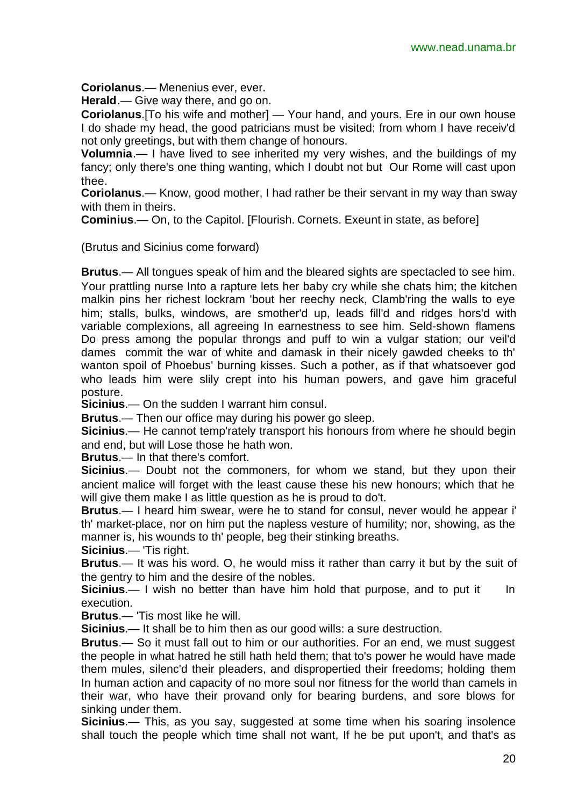**Coriolanus**.— Menenius ever, ever.

**Herald**.— Give way there, and go on.

**Coriolanus**.[To his wife and mother] — Your hand, and yours. Ere in our own house I do shade my head, the good patricians must be visited; from whom I have receiv'd not only greetings, but with them change of honours.

**Volumnia**.— I have lived to see inherited my very wishes, and the buildings of my fancy; only there's one thing wanting, which I doubt not but Our Rome will cast upon thee.

**Coriolanus**.— Know, good mother, I had rather be their servant in my way than sway with them in theirs.

**Cominius**.— On, to the Capitol. [Flourish. Cornets. Exeunt in state, as before]

(Brutus and Sicinius come forward)

**Brutus**.— All tongues speak of him and the bleared sights are spectacled to see him. Your prattling nurse Into a rapture lets her baby cry while she chats him; the kitchen malkin pins her richest lockram 'bout her reechy neck, Clamb'ring the walls to eye him; stalls, bulks, windows, are smother'd up, leads fill'd and ridges hors'd with variable complexions, all agreeing In earnestness to see him. Seld-shown flamens Do press among the popular throngs and puff to win a vulgar station; our veil'd dames commit the war of white and damask in their nicely gawded cheeks to th' wanton spoil of Phoebus' burning kisses. Such a pother, as if that whatsoever god who leads him were slily crept into his human powers, and gave him graceful posture.

**Sicinius**.— On the sudden I warrant him consul.

**Brutus**.— Then our office may during his power go sleep.

**Sicinius**.— He cannot temp'rately transport his honours from where he should begin and end, but will Lose those he hath won.

**Brutus**.— In that there's comfort.

**Sicinius**.— Doubt not the commoners, for whom we stand, but they upon their ancient malice will forget with the least cause these his new honours; which that he will give them make I as little question as he is proud to do't.

**Brutus**.— I heard him swear, were he to stand for consul, never would he appear i' th' market-place, nor on him put the napless vesture of humility; nor, showing, as the manner is, his wounds to th' people, beg their stinking breaths.

**Sicinius**.— 'Tis right.

**Brutus**.— It was his word. O, he would miss it rather than carry it but by the suit of the gentry to him and the desire of the nobles.

**Sicinius**.— I wish no better than have him hold that purpose, and to put it In execution.

**Brutus**.— 'Tis most like he will.

**Sicinius**.— It shall be to him then as our good wills: a sure destruction.

**Brutus**.— So it must fall out to him or our authorities. For an end, we must suggest the people in what hatred he still hath held them; that to's power he would have made them mules, silenc'd their pleaders, and dispropertied their freedoms; holding them In human action and capacity of no more soul nor fitness for the world than camels in their war, who have their provand only for bearing burdens, and sore blows for sinking under them.

**Sicinius**.— This, as you say, suggested at some time when his soaring insolence shall touch the people which time shall not want, If he be put upon't, and that's as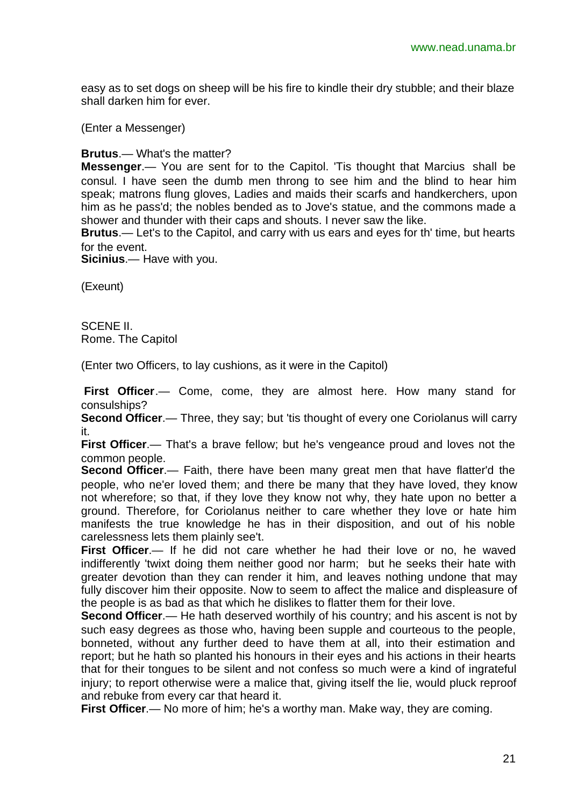easy as to set dogs on sheep will be his fire to kindle their dry stubble; and their blaze shall darken him for ever.

(Enter a Messenger)

**Brutus**.— What's the matter?

**Messenger**.— You are sent for to the Capitol. 'Tis thought that Marcius shall be consul. I have seen the dumb men throng to see him and the blind to hear him speak; matrons flung gloves, Ladies and maids their scarfs and handkerchers, upon him as he pass'd; the nobles bended as to Jove's statue, and the commons made a shower and thunder with their caps and shouts. I never saw the like.

**Brutus**.— Let's to the Capitol, and carry with us ears and eyes for th' time, but hearts for the event.

**Sicinius**.— Have with you.

(Exeunt)

SCENE II. Rome. The Capitol

(Enter two Officers, to lay cushions, as it were in the Capitol)

**First Officer**.— Come, come, they are almost here. How many stand for consulships?

**Second Officer.**— Three, they say; but 'tis thought of every one Coriolanus will carry it.

**First Officer.**— That's a brave fellow; but he's vengeance proud and loves not the common people.

**Second Officer**.— Faith, there have been many great men that have flatter'd the people, who ne'er loved them; and there be many that they have loved, they know not wherefore; so that, if they love they know not why, they hate upon no better a ground. Therefore, for Coriolanus neither to care whether they love or hate him manifests the true knowledge he has in their disposition, and out of his noble carelessness lets them plainly see't.

**First Officer**.— If he did not care whether he had their love or no, he waved indifferently 'twixt doing them neither good nor harm; but he seeks their hate with greater devotion than they can render it him, and leaves nothing undone that may fully discover him their opposite. Now to seem to affect the malice and displeasure of the people is as bad as that which he dislikes to flatter them for their love.

**Second Officer.**— He hath deserved worthily of his country; and his ascent is not by such easy degrees as those who, having been supple and courteous to the people, bonneted, without any further deed to have them at all, into their estimation and report; but he hath so planted his honours in their eyes and his actions in their hearts that for their tongues to be silent and not confess so much were a kind of ingrateful injury; to report otherwise were a malice that, giving itself the lie, would pluck reproof and rebuke from every car that heard it.

**First Officer**.— No more of him; he's a worthy man. Make way, they are coming.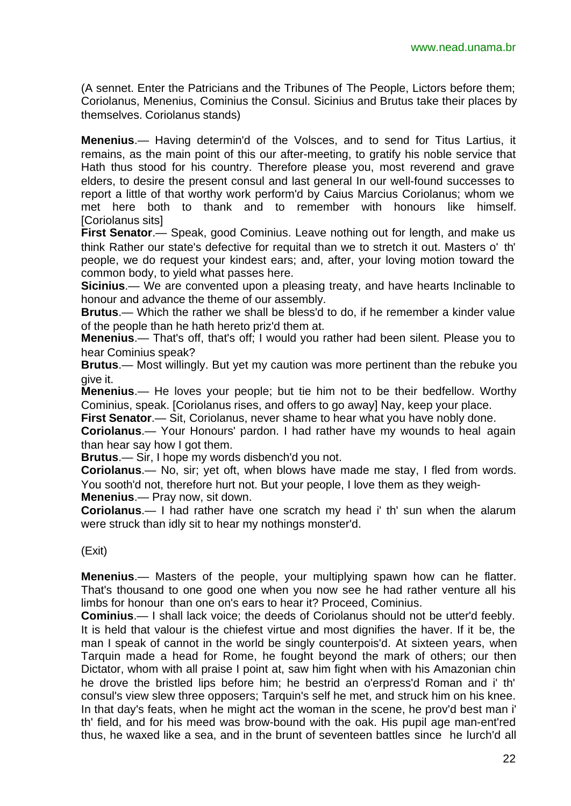(A sennet. Enter the Patricians and the Tribunes of The People, Lictors before them; Coriolanus, Menenius, Cominius the Consul. Sicinius and Brutus take their places by themselves. Coriolanus stands)

**Menenius**.— Having determin'd of the Volsces, and to send for Titus Lartius, it remains, as the main point of this our after-meeting, to gratify his noble service that Hath thus stood for his country. Therefore please you, most reverend and grave elders, to desire the present consul and last general In our well-found successes to report a little of that worthy work perform'd by Caius Marcius Coriolanus; whom we met here both to thank and to remember with honours like himself. [Coriolanus sits]

**First Senator**.— Speak, good Cominius. Leave nothing out for length, and make us think Rather our state's defective for requital than we to stretch it out. Masters o' th' people, we do request your kindest ears; and, after, your loving motion toward the common body, to yield what passes here.

**Sicinius**.— We are convented upon a pleasing treaty, and have hearts Inclinable to honour and advance the theme of our assembly.

**Brutus**.— Which the rather we shall be bless'd to do, if he remember a kinder value of the people than he hath hereto priz'd them at.

**Menenius**.— That's off, that's off; I would you rather had been silent. Please you to hear Cominius speak?

**Brutus**.— Most willingly. But yet my caution was more pertinent than the rebuke you give it.

**Menenius**.— He loves your people; but tie him not to be their bedfellow. Worthy Cominius, speak. [Coriolanus rises, and offers to go away] Nay, keep your place.

**First Senator**.— Sit, Coriolanus, never shame to hear what you have nobly done.

**Coriolanus**.— Your Honours' pardon. I had rather have my wounds to heal again than hear say how I got them.

**Brutus**.— Sir, I hope my words disbench'd you not.

**Coriolanus**.— No, sir; yet oft, when blows have made me stay, I fled from words. You sooth'd not, therefore hurt not. But your people, I love them as they weigh-**Menenius**.— Pray now, sit down.

**Coriolanus**.— I had rather have one scratch my head i' th' sun when the alarum were struck than idly sit to hear my nothings monster'd.

(Exit)

**Menenius**.— Masters of the people, your multiplying spawn how can he flatter. That's thousand to one good one when you now see he had rather venture all his limbs for honour than one on's ears to hear it? Proceed, Cominius.

**Cominius**.— I shall lack voice; the deeds of Coriolanus should not be utter'd feebly. It is held that valour is the chiefest virtue and most dignifies the haver. If it be, the man I speak of cannot in the world be singly counterpois'd. At sixteen years, when Tarquin made a head for Rome, he fought beyond the mark of others; our then Dictator, whom with all praise I point at, saw him fight when with his Amazonian chin he drove the bristled lips before him; he bestrid an o'erpress'd Roman and i' th' consul's view slew three opposers; Tarquin's self he met, and struck him on his knee. In that day's feats, when he might act the woman in the scene, he prov'd best man i' th' field, and for his meed was brow-bound with the oak. His pupil age man-ent'red thus, he waxed like a sea, and in the brunt of seventeen battles since he lurch'd all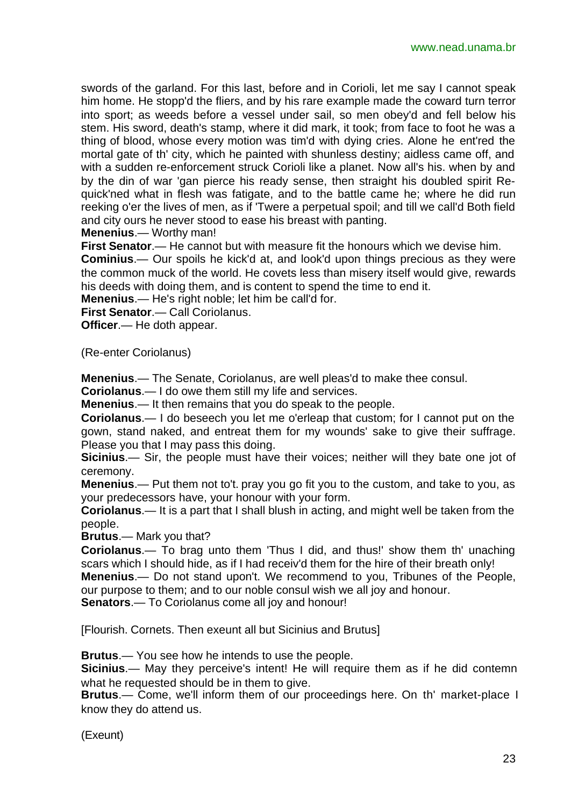swords of the garland. For this last, before and in Corioli, let me say I cannot speak him home. He stopp'd the fliers, and by his rare example made the coward turn terror into sport; as weeds before a vessel under sail, so men obey'd and fell below his stem. His sword, death's stamp, where it did mark, it took; from face to foot he was a thing of blood, whose every motion was tim'd with dying cries. Alone he ent'red the mortal gate of th' city, which he painted with shunless destiny; aidless came off, and with a sudden re-enforcement struck Corioli like a planet. Now all's his. when by and by the din of war 'gan pierce his ready sense, then straight his doubled spirit Requick'ned what in flesh was fatigate, and to the battle came he; where he did run reeking o'er the lives of men, as if 'Twere a perpetual spoil; and till we call'd Both field and city ours he never stood to ease his breast with panting.

**Menenius**.— Worthy man!

**First Senator**.— He cannot but with measure fit the honours which we devise him.

**Cominius**.— Our spoils he kick'd at, and look'd upon things precious as they were the common muck of the world. He covets less than misery itself would give, rewards his deeds with doing them, and is content to spend the time to end it.

**Menenius**.— He's right noble; let him be call'd for.

**First Senator**.— Call Coriolanus.

**Officer**.— He doth appear.

(Re-enter Coriolanus)

**Menenius**.— The Senate, Coriolanus, are well pleas'd to make thee consul.

**Coriolanus**.— I do owe them still my life and services.

**Menenius**.— It then remains that you do speak to the people.

**Coriolanus**.— I do beseech you let me o'erleap that custom; for I cannot put on the gown, stand naked, and entreat them for my wounds' sake to give their suffrage. Please you that I may pass this doing.

**Sicinius**.— Sir, the people must have their voices; neither will they bate one jot of ceremony.

**Menenius**.— Put them not to't. pray you go fit you to the custom, and take to you, as your predecessors have, your honour with your form.

**Coriolanus**.— It is a part that I shall blush in acting, and might well be taken from the people.

**Brutus**.— Mark you that?

**Coriolanus**.— To brag unto them 'Thus I did, and thus!' show them th' unaching scars which I should hide, as if I had receiv'd them for the hire of their breath only!

**Menenius**.— Do not stand upon't. We recommend to you, Tribunes of the People, our purpose to them; and to our noble consul wish we all joy and honour.

**Senators**.— To Coriolanus come all joy and honour!

[Flourish. Cornets. Then exeunt all but Sicinius and Brutus]

**Brutus**.— You see how he intends to use the people.

**Sicinius.**— May they perceive's intent! He will require them as if he did contemn what he requested should be in them to give.

**Brutus**.— Come, we'll inform them of our proceedings here. On th' market-place I know they do attend us.

(Exeunt)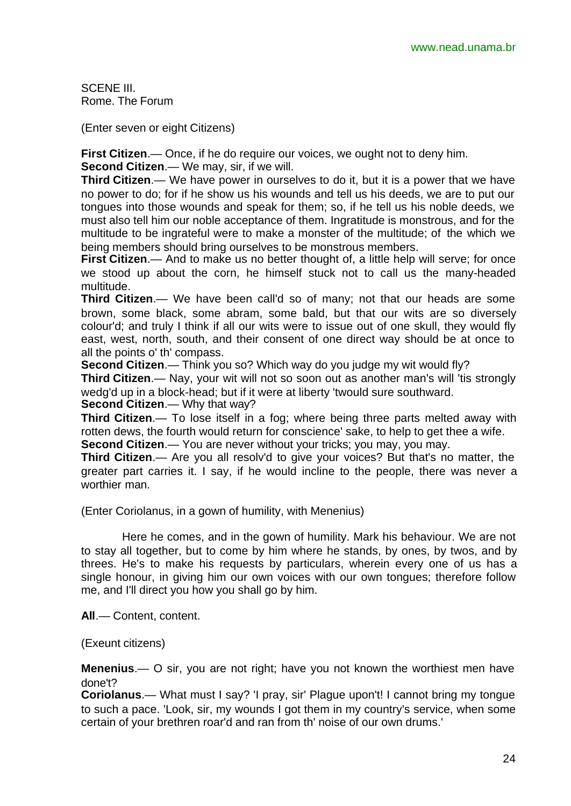SCENE III. Rome. The Forum

(Enter seven or eight Citizens)

**First Citizen**.— Once, if he do require our voices, we ought not to deny him.

**Second Citizen**.— We may, sir, if we will.

**Third Citizen**.— We have power in ourselves to do it, but it is a power that we have no power to do; for if he show us his wounds and tell us his deeds, we are to put our tongues into those wounds and speak for them; so, if he tell us his noble deeds, we must also tell him our noble acceptance of them. Ingratitude is monstrous, and for the multitude to be ingrateful were to make a monster of the multitude; of the which we being members should bring ourselves to be monstrous members.

**First Citizen**.— And to make us no better thought of, a little help will serve; for once we stood up about the corn, he himself stuck not to call us the many-headed multitude.

**Third Citizen**.— We have been call'd so of many; not that our heads are some brown, some black, some abram, some bald, but that our wits are so diversely colour'd; and truly I think if all our wits were to issue out of one skull, they would fly east, west, north, south, and their consent of one direct way should be at once to all the points o' th' compass.

**Second Citizen**.— Think you so? Which way do you judge my wit would fly?

**Third Citizen**.— Nay, your wit will not so soon out as another man's will 'tis strongly wedg'd up in a block-head; but if it were at liberty 'twould sure southward.

**Second Citizen**.— Why that way?

**Third Citizen**.— To lose itself in a fog; where being three parts melted away with rotten dews, the fourth would return for conscience' sake, to help to get thee a wife.

**Second Citizen**.— You are never without your tricks; you may, you may.

**Third Citizen**.— Are you all resolv'd to give your voices? But that's no matter, the greater part carries it. I say, if he would incline to the people, there was never a worthier man.

(Enter Coriolanus, in a gown of humility, with Menenius)

Here he comes, and in the gown of humility. Mark his behaviour. We are not to stay all together, but to come by him where he stands, by ones, by twos, and by threes. He's to make his requests by particulars, wherein every one of us has a single honour, in giving him our own voices with our own tongues; therefore follow me, and I'll direct you how you shall go by him.

**All**.— Content, content.

(Exeunt citizens)

**Menenius**.— O sir, you are not right; have you not known the worthiest men have done't?

**Coriolanus**.— What must I say? 'I pray, sir' Plague upon't! I cannot bring my tongue to such a pace. 'Look, sir, my wounds I got them in my country's service, when some certain of your brethren roar'd and ran from th' noise of our own drums.'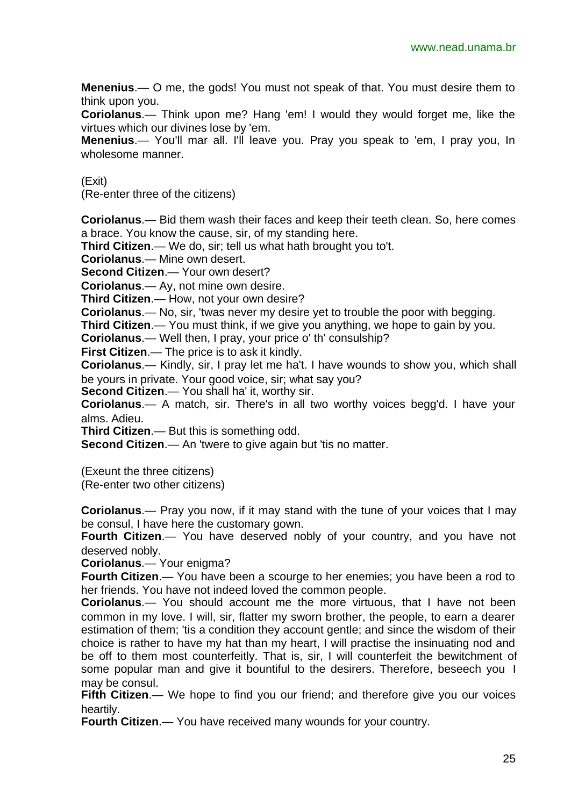**Menenius**.— O me, the gods! You must not speak of that. You must desire them to think upon you.

**Coriolanus**.— Think upon me? Hang 'em! I would they would forget me, like the virtues which our divines lose by 'em.

**Menenius**.— You'll mar all. I'll leave you. Pray you speak to 'em, I pray you, In wholesome manner.

(Exit)

(Re-enter three of the citizens)

**Coriolanus**.— Bid them wash their faces and keep their teeth clean. So, here comes a brace. You know the cause, sir, of my standing here.

**Third Citizen**.— We do, sir; tell us what hath brought you to't.

**Coriolanus**.— Mine own desert.

**Second Citizen**.— Your own desert?

**Coriolanus**.— Ay, not mine own desire.

**Third Citizen**.— How, not your own desire?

**Coriolanus**.— No, sir, 'twas never my desire yet to trouble the poor with begging.

**Third Citizen**.— You must think, if we give you anything, we hope to gain by you.

**Coriolanus**.— Well then, I pray, your price o' th' consulship?

**First Citizen**.— The price is to ask it kindly.

**Coriolanus**.— Kindly, sir, I pray let me ha't. I have wounds to show you, which shall be yours in private. Your good voice, sir; what say you?

**Second Citizen**.— You shall ha' it, worthy sir.

**Coriolanus**.— A match, sir. There's in all two worthy voices begg'd. I have your alms. Adieu.

**Third Citizen**.— But this is something odd.

**Second Citizen.**— An 'twere to give again but 'tis no matter.

(Exeunt the three citizens)

(Re-enter two other citizens)

**Coriolanus**.— Pray you now, if it may stand with the tune of your voices that I may be consul, I have here the customary gown.

**Fourth Citizen**.— You have deserved nobly of your country, and you have not deserved nobly.

**Coriolanus**.— Your enigma?

**Fourth Citizen**.— You have been a scourge to her enemies; you have been a rod to her friends. You have not indeed loved the common people.

**Coriolanus**.— You should account me the more virtuous, that I have not been common in my love. I will, sir, flatter my sworn brother, the people, to earn a dearer estimation of them; 'tis a condition they account gentle; and since the wisdom of their choice is rather to have my hat than my heart, I will practise the insinuating nod and be off to them most counterfeitly. That is, sir, I will counterfeit the bewitchment of some popular man and give it bountiful to the desirers. Therefore, beseech you I may be consul.

**Fifth Citizen.**— We hope to find you our friend; and therefore give you our voices heartily.

**Fourth Citizen**.— You have received many wounds for your country.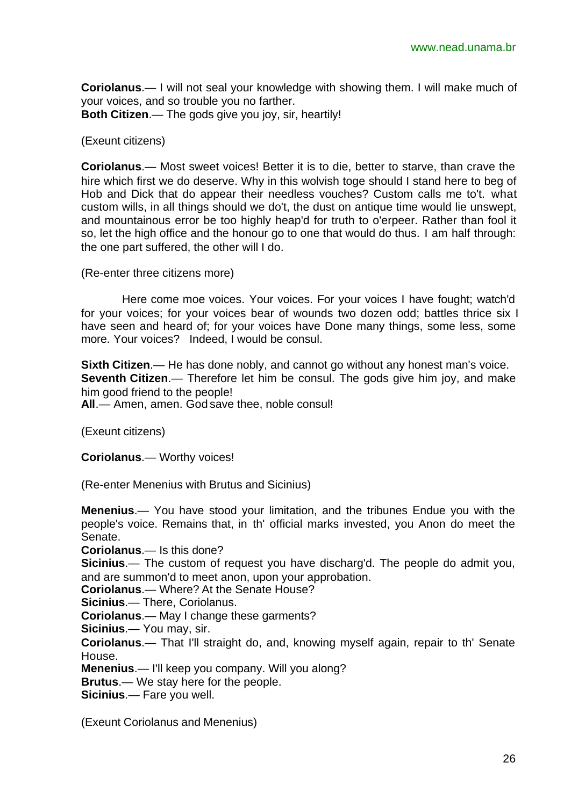**Coriolanus**.— I will not seal your knowledge with showing them. I will make much of your voices, and so trouble you no farther. **Both Citizen**.— The gods give you joy, sir, heartily!

## (Exeunt citizens)

**Coriolanus**.— Most sweet voices! Better it is to die, better to starve, than crave the hire which first we do deserve. Why in this wolvish toge should I stand here to beg of Hob and Dick that do appear their needless vouches? Custom calls me to't. what custom wills, in all things should we do't, the dust on antique time would lie unswept, and mountainous error be too highly heap'd for truth to o'erpeer. Rather than fool it so, let the high office and the honour go to one that would do thus. I am half through: the one part suffered, the other will I do.

(Re-enter three citizens more)

Here come moe voices. Your voices. For your voices I have fought; watch'd for your voices; for your voices bear of wounds two dozen odd; battles thrice six I have seen and heard of; for your voices have Done many things, some less, some more. Your voices? Indeed, I would be consul.

**Sixth Citizen.**— He has done nobly, and cannot go without any honest man's voice. **Seventh Citizen.**— Therefore let him be consul. The gods give him joy, and make him good friend to the people! **All**.— Amen, amen. God save thee, noble consul!

(Exeunt citizens)

**Coriolanus**.— Worthy voices!

(Re-enter Menenius with Brutus and Sicinius)

**Menenius**.— You have stood your limitation, and the tribunes Endue you with the people's voice. Remains that, in th' official marks invested, you Anon do meet the Senate.

**Coriolanus**.— Is this done?

**Sicinius**.— The custom of request you have discharg'd. The people do admit you, and are summon'd to meet anon, upon your approbation.

**Coriolanus**.— Where? At the Senate House?

**Sicinius**.— There, Coriolanus.

**Coriolanus**.— May I change these garments?

**Sicinius**.— You may, sir.

**Coriolanus**.— That I'll straight do, and, knowing myself again, repair to th' Senate House.

**Menenius**.— I'll keep you company. Will you along?

**Brutus**.— We stay here for the people.

**Sicinius**.— Fare you well.

(Exeunt Coriolanus and Menenius)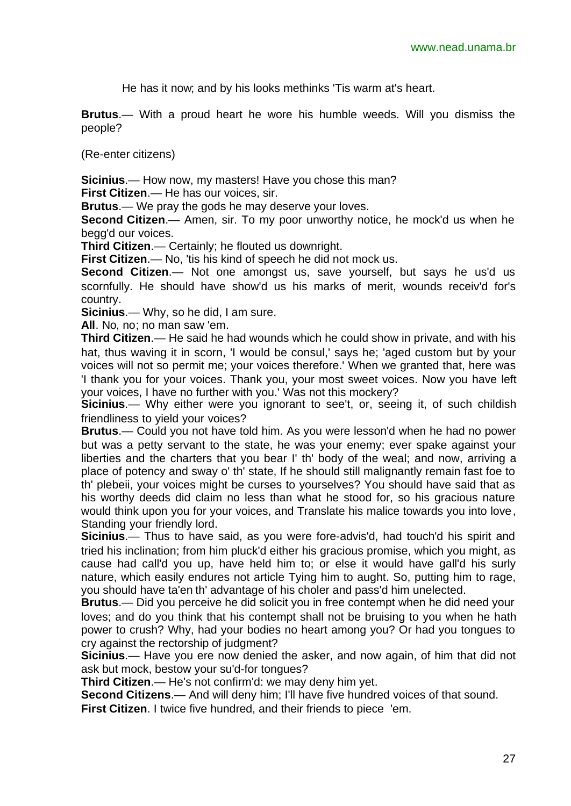He has it now; and by his looks methinks 'Tis warm at's heart.

**Brutus**.— With a proud heart he wore his humble weeds. Will you dismiss the people?

(Re-enter citizens)

**Sicinius**.— How now, my masters! Have you chose this man?

**First Citizen**.— He has our voices, sir.

**Brutus**.— We pray the gods he may deserve your loves.

**Second Citizen**.— Amen, sir. To my poor unworthy notice, he mock'd us when he begg'd our voices.

**Third Citizen**.— Certainly; he flouted us downright.

**First Citizen.**— No, 'tis his kind of speech he did not mock us.

**Second Citizen**.— Not one amongst us, save yourself, but says he us'd us scornfully. He should have show'd us his marks of merit, wounds receiv'd for's country.

**Sicinius**.— Why, so he did, I am sure.

**All**. No, no; no man saw 'em.

**Third Citizen**.— He said he had wounds which he could show in private, and with his hat, thus waving it in scorn, 'I would be consul,' says he; 'aged custom but by your voices will not so permit me; your voices therefore.' When we granted that, here was 'I thank you for your voices. Thank you, your most sweet voices. Now you have left your voices, I have no further with you.' Was not this mockery?

**Sicinius**.— Why either were you ignorant to see't, or, seeing it, of such childish friendliness to yield your voices?

**Brutus**.— Could you not have told him. As you were lesson'd when he had no power but was a petty servant to the state, he was your enemy; ever spake against your liberties and the charters that you bear I' th' body of the weal; and now, arriving a place of potency and sway o' th' state, If he should still malignantly remain fast foe to th' plebeii, your voices might be curses to yourselves? You should have said that as his worthy deeds did claim no less than what he stood for, so his gracious nature would think upon you for your voices, and Translate his malice towards you into love, Standing your friendly lord.

**Sicinius**.— Thus to have said, as you were fore-advis'd, had touch'd his spirit and tried his inclination; from him pluck'd either his gracious promise, which you might, as cause had call'd you up, have held him to; or else it would have gall'd his surly nature, which easily endures not article Tying him to aught. So, putting him to rage, you should have ta'en th' advantage of his choler and pass'd him unelected.

**Brutus**.— Did you perceive he did solicit you in free contempt when he did need your loves; and do you think that his contempt shall not be bruising to you when he hath power to crush? Why, had your bodies no heart among you? Or had you tongues to cry against the rectorship of judgment?

**Sicinius**.— Have you ere now denied the asker, and now again, of him that did not ask but mock, bestow your su'd-for tongues?

**Third Citizen**.— He's not confirm'd: we may deny him yet.

**Second Citizens**.— And will deny him; I'll have five hundred voices of that sound.

**First Citizen.** I twice five hundred, and their friends to piece 'em.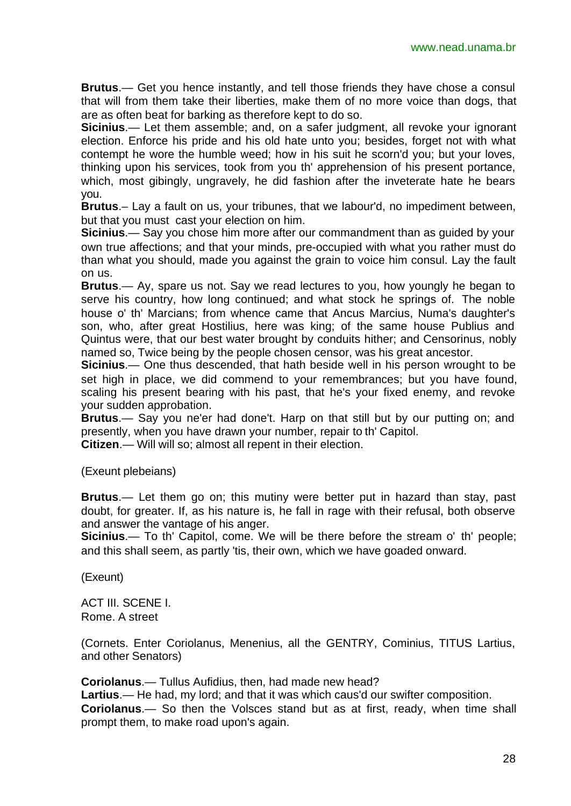**Brutus**.— Get you hence instantly, and tell those friends they have chose a consul that will from them take their liberties, make them of no more voice than dogs, that are as often beat for barking as therefore kept to do so.

**Sicinius**.— Let them assemble; and, on a safer judgment, all revoke your ignorant election. Enforce his pride and his old hate unto you; besides, forget not with what contempt he wore the humble weed; how in his suit he scorn'd you; but your loves, thinking upon his services, took from you th' apprehension of his present portance, which, most gibingly, ungravely, he did fashion after the inveterate hate he bears you.

**Brutus**.– Lay a fault on us, your tribunes, that we labour'd, no impediment between, but that you must cast your election on him.

**Sicinius**.— Say you chose him more after our commandment than as guided by your own true affections; and that your minds, pre-occupied with what you rather must do than what you should, made you against the grain to voice him consul. Lay the fault on us.

**Brutus**.— Ay, spare us not. Say we read lectures to you, how youngly he began to serve his country, how long continued; and what stock he springs of. The noble house o' th' Marcians; from whence came that Ancus Marcius, Numa's daughter's son, who, after great Hostilius, here was king; of the same house Publius and Quintus were, that our best water brought by conduits hither; and Censorinus, nobly named so, Twice being by the people chosen censor, was his great ancestor.

**Sicinius**.— One thus descended, that hath beside well in his person wrought to be set high in place, we did commend to your remembrances; but you have found, scaling his present bearing with his past, that he's your fixed enemy, and revoke your sudden approbation.

**Brutus**.— Say you ne'er had done't. Harp on that still but by our putting on; and presently, when you have drawn your number, repair to th' Capitol.

**Citizen**.— Will will so; almost all repent in their election.

(Exeunt plebeians)

**Brutus**.— Let them go on; this mutiny were better put in hazard than stay, past doubt, for greater. If, as his nature is, he fall in rage with their refusal, both observe and answer the vantage of his anger.

**Sicinius**.— To th' Capitol, come. We will be there before the stream o' th' people; and this shall seem, as partly 'tis, their own, which we have goaded onward.

(Exeunt)

ACT III. SCENE I. Rome. A street

(Cornets. Enter Coriolanus, Menenius, all the GENTRY, Cominius, TITUS Lartius, and other Senators)

**Coriolanus**.— Tullus Aufidius, then, had made new head?

**Lartius**.— He had, my lord; and that it was which caus'd our swifter composition.

**Coriolanus**.— So then the Volsces stand but as at first, ready, when time shall prompt them, to make road upon's again.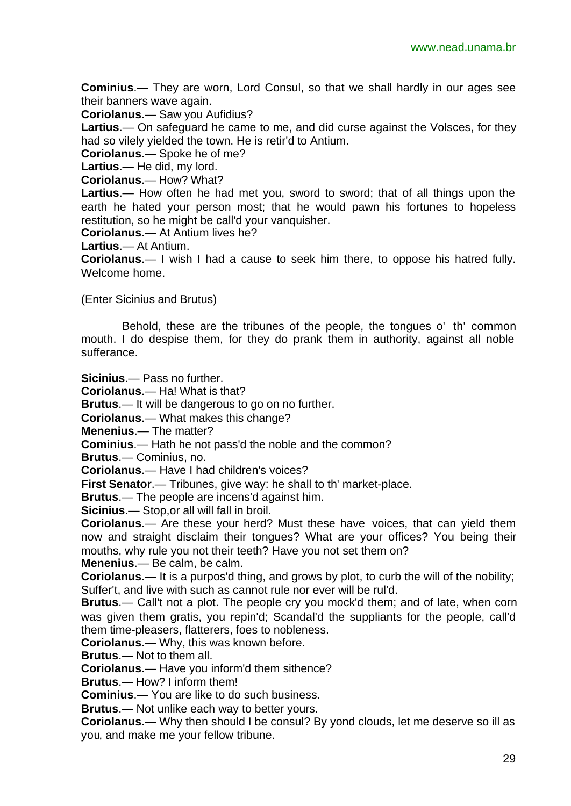**Cominius**.— They are worn, Lord Consul, so that we shall hardly in our ages see their banners wave again.

**Coriolanus**.— Saw you Aufidius?

**Lartius**.— On safeguard he came to me, and did curse against the Volsces, for they had so vilely yielded the town. He is retir'd to Antium.

**Coriolanus**.— Spoke he of me?

**Lartius**.— He did, my lord.

**Coriolanus**.— How? What?

**Lartius**.— How often he had met you, sword to sword; that of all things upon the earth he hated your person most; that he would pawn his fortunes to hopeless restitution, so he might be call'd your vanquisher.

**Coriolanus**.— At Antium lives he?

**Lartius**.— At Antium.

**Coriolanus**.— I wish I had a cause to seek him there, to oppose his hatred fully. Welcome home.

(Enter Sicinius and Brutus)

Behold, these are the tribunes of the people, the tongues o' th' common mouth. I do despise them, for they do prank them in authority, against all noble sufferance.

**Sicinius**.— Pass no further.

**Coriolanus**.— Ha! What is that?

**Brutus**.— It will be dangerous to go on no further.

**Coriolanus**.— What makes this change?

**Menenius**.— The matter?

**Cominius**.— Hath he not pass'd the noble and the common?

**Brutus**.— Cominius, no.

**Coriolanus**.— Have I had children's voices?

**First Senator**.— Tribunes, give way: he shall to th' market-place.

**Brutus**.— The people are incens'd against him.

**Sicinius**.— Stop,or all will fall in broil.

**Coriolanus**.— Are these your herd? Must these have voices, that can yield them now and straight disclaim their tongues? What are your offices? You being their mouths, why rule you not their teeth? Have you not set them on?

**Menenius**.— Be calm, be calm.

**Coriolanus**.— It is a purpos'd thing, and grows by plot, to curb the will of the nobility; Suffer't, and live with such as cannot rule nor ever will be rul'd.

**Brutus**.— Call't not a plot. The people cry you mock'd them; and of late, when corn was given them gratis, you repin'd; Scandal'd the suppliants for the people, call'd them time-pleasers, flatterers, foes to nobleness.

**Coriolanus**.— Why, this was known before.

**Brutus**.— Not to them all.

**Coriolanus**.— Have you inform'd them sithence?

**Brutus**.— How? I inform them!

**Cominius**.— You are like to do such business.

**Brutus**.— Not unlike each way to better yours.

**Coriolanus**.— Why then should I be consul? By yond clouds, let me deserve so ill as you, and make me your fellow tribune.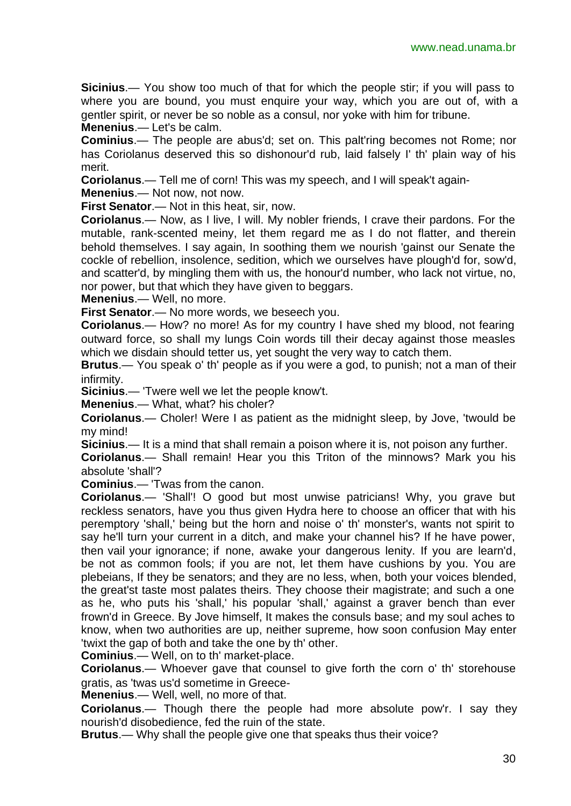**Sicinius**.— You show too much of that for which the people stir; if you will pass to where you are bound, you must enquire your way, which you are out of, with a gentler spirit, or never be so noble as a consul, nor yoke with him for tribune.

**Menenius**.— Let's be calm.

**Cominius**.— The people are abus'd; set on. This palt'ring becomes not Rome; nor has Coriolanus deserved this so dishonour'd rub, laid falsely I' th' plain way of his merit.

**Coriolanus**.— Tell me of corn! This was my speech, and I will speak't again-

**Menenius**.— Not now, not now.

**First Senator**.— Not in this heat, sir, now.

**Coriolanus**.— Now, as I live, I will. My nobler friends, I crave their pardons. For the mutable, rank-scented meiny, let them regard me as I do not flatter, and therein behold themselves. I say again, In soothing them we nourish 'gainst our Senate the cockle of rebellion, insolence, sedition, which we ourselves have plough'd for, sow'd, and scatter'd, by mingling them with us, the honour'd number, who lack not virtue, no, nor power, but that which they have given to beggars.

**Menenius**.— Well, no more.

**First Senator**.— No more words, we beseech you.

**Coriolanus**.— How? no more! As for my country I have shed my blood, not fearing outward force, so shall my lungs Coin words till their decay against those measles which we disdain should tetter us, yet sought the very way to catch them.

**Brutus**.— You speak o' th' people as if you were a god, to punish; not a man of their infirmity.

**Sicinius**.— 'Twere well we let the people know't.

**Menenius**.— What, what? his choler?

**Coriolanus**.— Choler! Were I as patient as the midnight sleep, by Jove, 'twould be my mind!

**Sicinius**.— It is a mind that shall remain a poison where it is, not poison any further.

**Coriolanus**.— Shall remain! Hear you this Triton of the minnows? Mark you his absolute 'shall'?

**Cominius**.— 'Twas from the canon.

**Coriolanus**.— 'Shall'! O good but most unwise patricians! Why, you grave but reckless senators, have you thus given Hydra here to choose an officer that with his peremptory 'shall,' being but the horn and noise o' th' monster's, wants not spirit to say he'll turn your current in a ditch, and make your channel his? If he have power, then vail your ignorance; if none, awake your dangerous lenity. If you are learn'd, be not as common fools; if you are not, let them have cushions by you. You are plebeians, If they be senators; and they are no less, when, both your voices blended, the great'st taste most palates theirs. They choose their magistrate; and such a one as he, who puts his 'shall,' his popular 'shall,' against a graver bench than ever frown'd in Greece. By Jove himself, It makes the consuls base; and my soul aches to know, when two authorities are up, neither supreme, how soon confusion May enter 'twixt the gap of both and take the one by th' other.

**Cominius**.— Well, on to th' market-place.

**Coriolanus**.— Whoever gave that counsel to give forth the corn o' th' storehouse gratis, as 'twas us'd sometime in Greece-

**Menenius**.— Well, well, no more of that.

**Coriolanus**.— Though there the people had more absolute pow'r. I say they nourish'd disobedience, fed the ruin of the state.

**Brutus**.— Why shall the people give one that speaks thus their voice?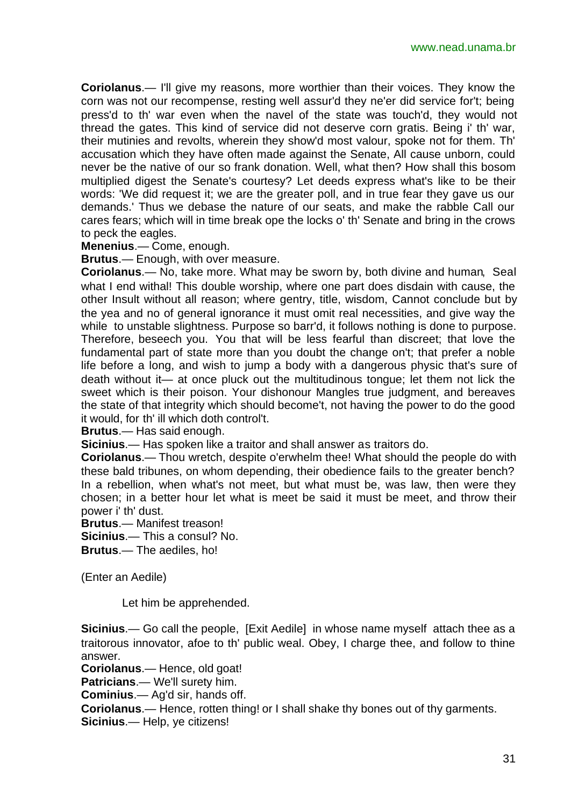**Coriolanus**.— I'll give my reasons, more worthier than their voices. They know the corn was not our recompense, resting well assur'd they ne'er did service for't; being press'd to th' war even when the navel of the state was touch'd, they would not thread the gates. This kind of service did not deserve corn gratis. Being i' th' war, their mutinies and revolts, wherein they show'd most valour, spoke not for them. Th' accusation which they have often made against the Senate, All cause unborn, could never be the native of our so frank donation. Well, what then? How shall this bosom multiplied digest the Senate's courtesy? Let deeds express what's like to be their words: 'We did request it; we are the greater poll, and in true fear they gave us our demands.' Thus we debase the nature of our seats, and make the rabble Call our cares fears; which will in time break ope the locks o' th' Senate and bring in the crows to peck the eagles.

**Menenius**.— Come, enough.

**Brutus**.— Enough, with over measure.

**Coriolanus**.— No, take more. What may be sworn by, both divine and human, Seal what I end withal! This double worship, where one part does disdain with cause, the other Insult without all reason; where gentry, title, wisdom, Cannot conclude but by the yea and no of general ignorance it must omit real necessities, and give way the while to unstable slightness. Purpose so barr'd, it follows nothing is done to purpose. Therefore, beseech you. You that will be less fearful than discreet; that love the fundamental part of state more than you doubt the change on't; that prefer a noble life before a long, and wish to jump a body with a dangerous physic that's sure of death without it— at once pluck out the multitudinous tongue; let them not lick the sweet which is their poison. Your dishonour Mangles true judgment, and bereaves the state of that integrity which should become't, not having the power to do the good it would, for th' ill which doth control't.

**Brutus**.— Has said enough.

**Sicinius**.— Has spoken like a traitor and shall answer as traitors do.

**Coriolanus**.— Thou wretch, despite o'erwhelm thee! What should the people do with these bald tribunes, on whom depending, their obedience fails to the greater bench? In a rebellion, when what's not meet, but what must be, was law, then were they chosen; in a better hour let what is meet be said it must be meet, and throw their power i' th' dust.

**Brutus**.— Manifest treason!

**Sicinius**.— This a consul? No.

**Brutus**.— The aediles, ho!

(Enter an Aedile)

Let him be apprehended.

**Sicinius**.— Go call the people, [Exit Aedile] in whose name myself attach thee as a traitorous innovator, afoe to th' public weal. Obey, I charge thee, and follow to thine answer.

**Coriolanus**.— Hence, old goat!

**Patricians**.— We'll surety him.

**Cominius**.— Ag'd sir, hands off.

**Coriolanus**.— Hence, rotten thing! or I shall shake thy bones out of thy garments. **Sicinius**.— Help, ye citizens!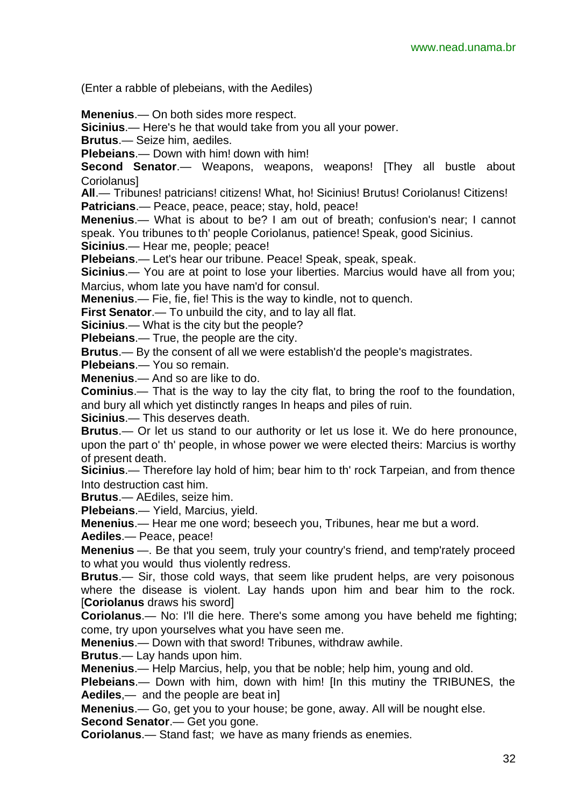(Enter a rabble of plebeians, with the Aediles)

**Menenius**.— On both sides more respect.

**Sicinius**.— Here's he that would take from you all your power.

**Brutus**.— Seize him, aediles.

**Plebeians**.— Down with him! down with him!

**Second Senator**.— Weapons, weapons, weapons! [They all bustle about Coriolanus]

**All**.— Tribunes! patricians! citizens! What, ho! Sicinius! Brutus! Coriolanus! Citizens! **Patricians**.— Peace, peace, peace; stay, hold, peace!

**Menenius**.— What is about to be? I am out of breath; confusion's near; I cannot speak. You tribunes to th' people Coriolanus, patience! Speak, good Sicinius.

**Sicinius**.— Hear me, people; peace!

**Plebeians**.— Let's hear our tribune. Peace! Speak, speak, speak.

**Sicinius**.— You are at point to lose your liberties. Marcius would have all from you; Marcius, whom late you have nam'd for consul.

**Menenius**.— Fie, fie, fie! This is the way to kindle, not to quench.

**First Senator**.— To unbuild the city, and to lay all flat.

**Sicinius**.— What is the city but the people?

**Plebeians**.— True, the people are the city.

**Brutus**.— By the consent of all we were establish'd the people's magistrates.

**Plebeians**.— You so remain.

**Menenius**.— And so are like to do.

**Cominius**.— That is the way to lay the city flat, to bring the roof to the foundation, and bury all which yet distinctly ranges In heaps and piles of ruin.

**Sicinius**.— This deserves death.

**Brutus**.— Or let us stand to our authority or let us lose it. We do here pronounce, upon the part o' th' people, in whose power we were elected theirs: Marcius is worthy of present death.

**Sicinius**.— Therefore lay hold of him; bear him to th' rock Tarpeian, and from thence Into destruction cast him.

**Brutus**.— AEdiles, seize him.

**Plebeians**.— Yield, Marcius, yield.

**Menenius**.— Hear me one word; beseech you, Tribunes, hear me but a word.

**Aediles**.— Peace, peace!

**Menenius** —. Be that you seem, truly your country's friend, and temp'rately proceed to what you would thus violently redress.

**Brutus**.— Sir, those cold ways, that seem like prudent helps, are very poisonous where the disease is violent. Lay hands upon him and bear him to the rock. [**Coriolanus** draws his sword]

**Coriolanus**.— No: I'll die here. There's some among you have beheld me fighting; come, try upon yourselves what you have seen me.

**Menenius**.— Down with that sword! Tribunes, withdraw awhile.

**Brutus**.— Lay hands upon him.

**Menenius**.— Help Marcius, help, you that be noble; help him, young and old.

**Plebeians**.— Down with him, down with him! [In this mutiny the TRIBUNES, the **Aediles**,— and the people are beat in]

**Menenius**.— Go, get you to your house; be gone, away. All will be nought else.

**Second Senator**.— Get you gone.

**Coriolanus**.— Stand fast; we have as many friends as enemies.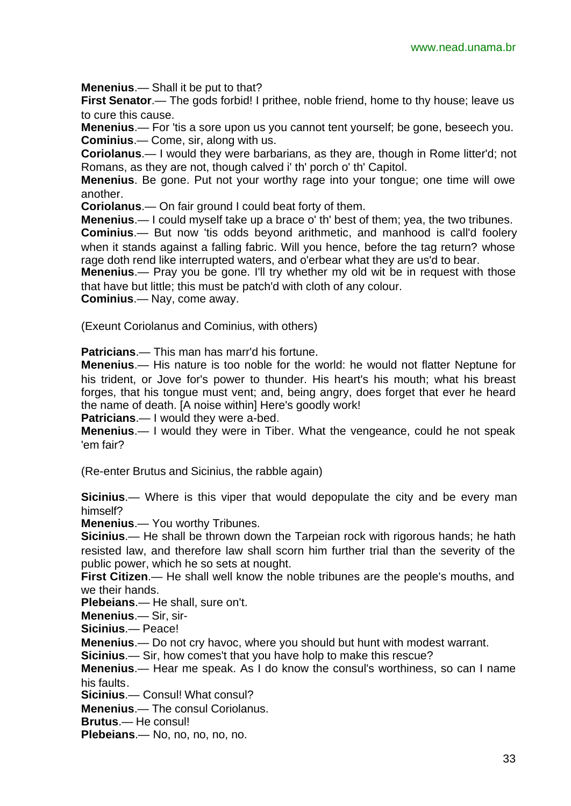**Menenius**.— Shall it be put to that?

**First Senator.**— The gods forbid! I prithee, noble friend, home to thy house; leave us to cure this cause.

**Menenius**.— For 'tis a sore upon us you cannot tent yourself; be gone, beseech you. **Cominius**.— Come, sir, along with us.

**Coriolanus**.— I would they were barbarians, as they are, though in Rome litter'd; not Romans, as they are not, though calved i' th' porch o' th' Capitol.

**Menenius**. Be gone. Put not your worthy rage into your tongue; one time will owe another.

**Coriolanus**.— On fair ground I could beat forty of them.

**Menenius**.— I could myself take up a brace o' th' best of them; yea, the two tribunes.

**Cominius**.— But now 'tis odds beyond arithmetic, and manhood is call'd foolery when it stands against a falling fabric. Will you hence, before the tag return? whose rage doth rend like interrupted waters, and o'erbear what they are us'd to bear.

**Menenius**.— Pray you be gone. I'll try whether my old wit be in request with those that have but little; this must be patch'd with cloth of any colour.

**Cominius**.— Nay, come away.

(Exeunt Coriolanus and Cominius, with others)

**Patricians**.— This man has marr'd his fortune.

**Menenius**.— His nature is too noble for the world: he would not flatter Neptune for his trident, or Jove for's power to thunder. His heart's his mouth; what his breast forges, that his tongue must vent; and, being angry, does forget that ever he heard the name of death. [A noise within] Here's goodly work!

**Patricians**.— I would they were a-bed.

**Menenius**.— I would they were in Tiber. What the vengeance, could he not speak 'em fair?

(Re-enter Brutus and Sicinius, the rabble again)

**Sicinius**.— Where is this viper that would depopulate the city and be every man himself?

**Menenius**.— You worthy Tribunes.

**Sicinius**.— He shall be thrown down the Tarpeian rock with rigorous hands; he hath resisted law, and therefore law shall scorn him further trial than the severity of the public power, which he so sets at nought.

**First Citizen**.— He shall well know the noble tribunes are the people's mouths, and we their hands.

**Plebeians**.— He shall, sure on't.

**Menenius**.— Sir, sir-

**Sicinius**.— Peace!

**Menenius**.— Do not cry havoc, where you should but hunt with modest warrant.

**Sicinius**.— Sir, how comes't that you have holp to make this rescue?

**Menenius**.— Hear me speak. As I do know the consul's worthiness, so can I name his faults.

**Sicinius**.— Consul! What consul?

**Menenius**.— The consul Coriolanus.

**Brutus**.— He consul!

**Plebeians**.— No, no, no, no, no.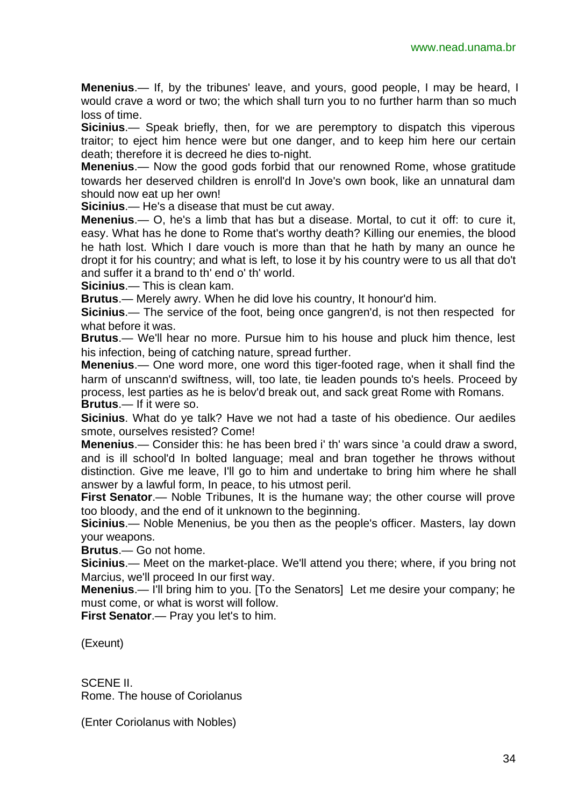**Menenius**.— If, by the tribunes' leave, and yours, good people, I may be heard, I would crave a word or two; the which shall turn you to no further harm than so much loss of time.

**Sicinius**.— Speak briefly, then, for we are peremptory to dispatch this viperous traitor; to eject him hence were but one danger, and to keep him here our certain death; therefore it is decreed he dies to-night.

**Menenius**.— Now the good gods forbid that our renowned Rome, whose gratitude towards her deserved children is enroll'd In Jove's own book, like an unnatural dam should now eat up her own!

**Sicinius**.— He's a disease that must be cut away.

**Menenius**.— O, he's a limb that has but a disease. Mortal, to cut it off: to cure it, easy. What has he done to Rome that's worthy death? Killing our enemies, the blood he hath lost. Which I dare vouch is more than that he hath by many an ounce he dropt it for his country; and what is left, to lose it by his country were to us all that do't and suffer it a brand to th' end o' th' world.

**Sicinius**.— This is clean kam.

**Brutus**.— Merely awry. When he did love his country, It honour'd him.

**Sicinius**.— The service of the foot, being once gangren'd, is not then respected for what before it was.

**Brutus**.— We'll hear no more. Pursue him to his house and pluck him thence, lest his infection, being of catching nature, spread further.

**Menenius**.— One word more, one word this tiger-footed rage, when it shall find the harm of unscann'd swiftness, will, too late, tie leaden pounds to's heels. Proceed by process, lest parties as he is belov'd break out, and sack great Rome with Romans. **Brutus**.— If it were so.

**Sicinius**. What do ye talk? Have we not had a taste of his obedience. Our aediles smote, ourselves resisted? Come!

**Menenius**.— Consider this: he has been bred i' th' wars since 'a could draw a sword, and is ill school'd In bolted language; meal and bran together he throws without distinction. Give me leave, I'll go to him and undertake to bring him where he shall answer by a lawful form, In peace, to his utmost peril.

**First Senator**.— Noble Tribunes, It is the humane way; the other course will prove too bloody, and the end of it unknown to the beginning.

**Sicinius**.— Noble Menenius, be you then as the people's officer. Masters, lay down your weapons.

**Brutus**.— Go not home.

**Sicinius**.— Meet on the market-place. We'll attend you there; where, if you bring not Marcius, we'll proceed In our first way.

**Menenius**.— I'll bring him to you. [To the Senators] Let me desire your company; he must come, or what is worst will follow.

**First Senator.**— Pray you let's to him.

(Exeunt)

SCENE II. Rome. The house of Coriolanus

(Enter Coriolanus with Nobles)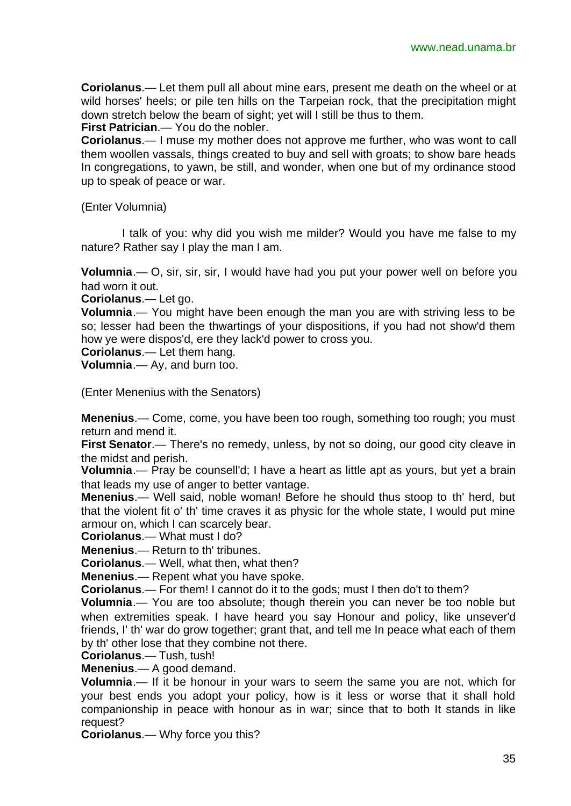**Coriolanus**.— Let them pull all about mine ears, present me death on the wheel or at wild horses' heels; or pile ten hills on the Tarpeian rock, that the precipitation might down stretch below the beam of sight; yet will I still be thus to them.

**First Patrician**.— You do the nobler.

**Coriolanus**.— I muse my mother does not approve me further, who was wont to call them woollen vassals, things created to buy and sell with groats; to show bare heads In congregations, to yawn, be still, and wonder, when one but of my ordinance stood up to speak of peace or war.

(Enter Volumnia)

I talk of you: why did you wish me milder? Would you have me false to my nature? Rather say I play the man I am.

**Volumnia.**— O, sir, sir, sir, I would have had you put your power well on before you had worn it out.

**Coriolanus**.— Let go.

**Volumnia**.— You might have been enough the man you are with striving less to be so; lesser had been the thwartings of your dispositions, if you had not show'd them how ye were dispos'd, ere they lack'd power to cross you.

**Coriolanus**.— Let them hang.

**Volumnia**.— Ay, and burn too.

(Enter Menenius with the Senators)

**Menenius**.— Come, come, you have been too rough, something too rough; you must return and mend it.

**First Senator.**— There's no remedy, unless, by not so doing, our good city cleave in the midst and perish.

**Volumnia**.— Pray be counsell'd; I have a heart as little apt as yours, but yet a brain that leads my use of anger to better vantage.

**Menenius**.— Well said, noble woman! Before he should thus stoop to th' herd, but that the violent fit o' th' time craves it as physic for the whole state, I would put mine armour on, which I can scarcely bear.

**Coriolanus**.— What must I do?

**Menenius**.— Return to th' tribunes.

**Coriolanus**.— Well, what then, what then?

**Menenius**.— Repent what you have spoke.

**Coriolanus**.— For them! I cannot do it to the gods; must I then do't to them?

**Volumnia**.— You are too absolute; though therein you can never be too noble but when extremities speak. I have heard you say Honour and policy, like unsever'd friends, I' th' war do grow together; grant that, and tell me In peace what each of them by th' other lose that they combine not there.

**Coriolanus**.— Tush, tush!

**Menenius**.— A good demand.

**Volumnia**.— If it be honour in your wars to seem the same you are not, which for your best ends you adopt your policy, how is it less or worse that it shall hold companionship in peace with honour as in war; since that to both It stands in like request?

**Coriolanus**.— Why force you this?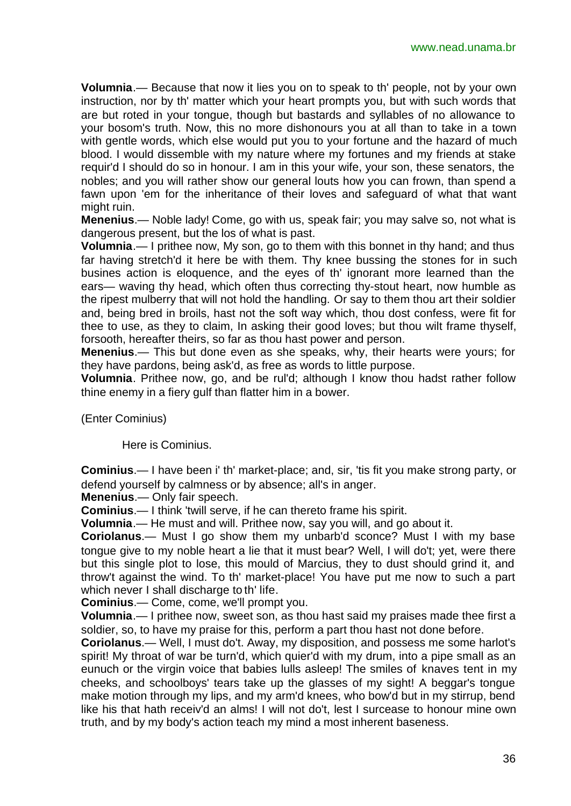**Volumnia**.— Because that now it lies you on to speak to th' people, not by your own instruction, nor by th' matter which your heart prompts you, but with such words that are but roted in your tongue, though but bastards and syllables of no allowance to your bosom's truth. Now, this no more dishonours you at all than to take in a town with gentle words, which else would put you to your fortune and the hazard of much blood. I would dissemble with my nature where my fortunes and my friends at stake requir'd I should do so in honour. I am in this your wife, your son, these senators, the nobles; and you will rather show our general louts how you can frown, than spend a fawn upon 'em for the inheritance of their loves and safeguard of what that want might ruin.

**Menenius**.— Noble lady! Come, go with us, speak fair; you may salve so, not what is dangerous present, but the los of what is past.

**Volumnia**.— I prithee now, My son, go to them with this bonnet in thy hand; and thus far having stretch'd it here be with them. Thy knee bussing the stones for in such busines action is eloquence, and the eyes of th' ignorant more learned than the ears— waving thy head, which often thus correcting thy-stout heart, now humble as the ripest mulberry that will not hold the handling. Or say to them thou art their soldier and, being bred in broils, hast not the soft way which, thou dost confess, were fit for thee to use, as they to claim, In asking their good loves; but thou wilt frame thyself, forsooth, hereafter theirs, so far as thou hast power and person.

**Menenius**.— This but done even as she speaks, why, their hearts were yours; for they have pardons, being ask'd, as free as words to little purpose.

**Volumnia**. Prithee now, go, and be rul'd; although I know thou hadst rather follow thine enemy in a fiery gulf than flatter him in a bower.

(Enter Cominius)

Here is Cominius.

**Cominius**.— I have been i' th' market-place; and, sir, 'tis fit you make strong party, or defend yourself by calmness or by absence; all's in anger.

**Menenius**.— Only fair speech.

**Cominius**.— I think 'twill serve, if he can thereto frame his spirit.

**Volumnia**.— He must and will. Prithee now, say you will, and go about it.

**Coriolanus**.— Must I go show them my unbarb'd sconce? Must I with my base tongue give to my noble heart a lie that it must bear? Well, I will do't; yet, were there but this single plot to lose, this mould of Marcius, they to dust should grind it, and throw't against the wind. To th' market-place! You have put me now to such a part which never I shall discharge to th' life.

**Cominius**.— Come, come, we'll prompt you.

**Volumnia**.— I prithee now, sweet son, as thou hast said my praises made thee first a soldier, so, to have my praise for this, perform a part thou hast not done before.

**Coriolanus**.— Well, I must do't. Away, my disposition, and possess me some harlot's spirit! My throat of war be turn'd, which quier'd with my drum, into a pipe small as an eunuch or the virgin voice that babies lulls asleep! The smiles of knaves tent in my cheeks, and schoolboys' tears take up the glasses of my sight! A beggar's tongue make motion through my lips, and my arm'd knees, who bow'd but in my stirrup, bend like his that hath receiv'd an alms! I will not do't, lest I surcease to honour mine own truth, and by my body's action teach my mind a most inherent baseness.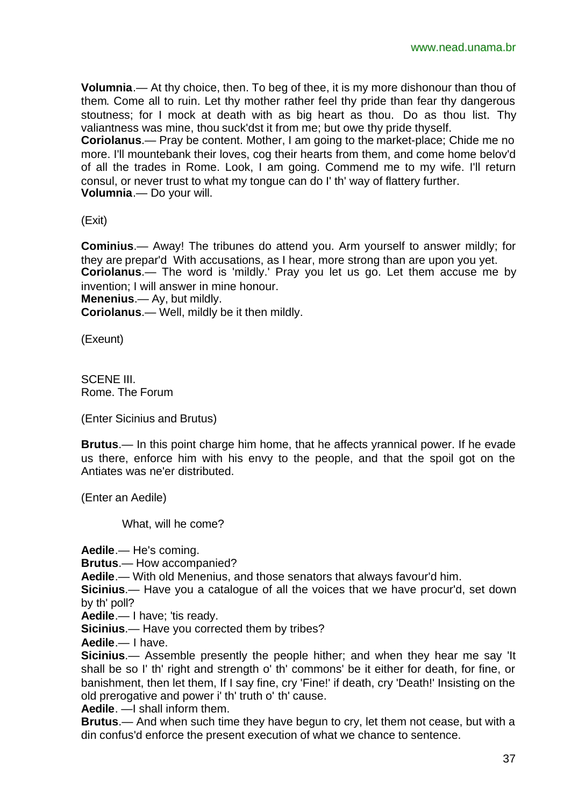**Volumnia**.— At thy choice, then. To beg of thee, it is my more dishonour than thou of them. Come all to ruin. Let thy mother rather feel thy pride than fear thy dangerous stoutness; for I mock at death with as big heart as thou. Do as thou list. Thy valiantness was mine, thou suck'dst it from me; but owe thy pride thyself.

**Coriolanus**.— Pray be content. Mother, I am going to the market-place; Chide me no more. I'll mountebank their loves, cog their hearts from them, and come home belov'd of all the trades in Rome. Look, I am going. Commend me to my wife. I'll return consul, or never trust to what my tongue can do I' th' way of flattery further. **Volumnia**.— Do your will.

(Exit)

**Cominius**.— Away! The tribunes do attend you. Arm yourself to answer mildly; for they are prepar'd With accusations, as I hear, more strong than are upon you yet. **Coriolanus**.— The word is 'mildly.' Pray you let us go. Let them accuse me by invention; I will answer in mine honour.

**Menenius**.— Ay, but mildly. **Coriolanus**.— Well, mildly be it then mildly.

(Exeunt)

SCENE III. Rome. The Forum

(Enter Sicinius and Brutus)

**Brutus**.— In this point charge him home, that he affects yrannical power. If he evade us there, enforce him with his envy to the people, and that the spoil got on the Antiates was ne'er distributed.

(Enter an Aedile)

What, will he come?

**Aedile**.— He's coming.

**Brutus**.— How accompanied?

**Aedile**.— With old Menenius, and those senators that always favour'd him.

**Sicinius**.— Have you a catalogue of all the voices that we have procur'd, set down by th' poll?

**Aedile**.— I have; 'tis ready.

**Sicinius**.— Have you corrected them by tribes?

**Aedile**.— I have.

**Sicinius.**— Assemble presently the people hither; and when they hear me say 'It shall be so I' th' right and strength o' th' commons' be it either for death, for fine, or banishment, then let them, If I say fine, cry 'Fine!' if death, cry 'Death!' Insisting on the old prerogative and power i' th' truth o' th' cause.

**Aedile**. —I shall inform them.

**Brutus**.— And when such time they have begun to cry, let them not cease, but with a din confus'd enforce the present execution of what we chance to sentence.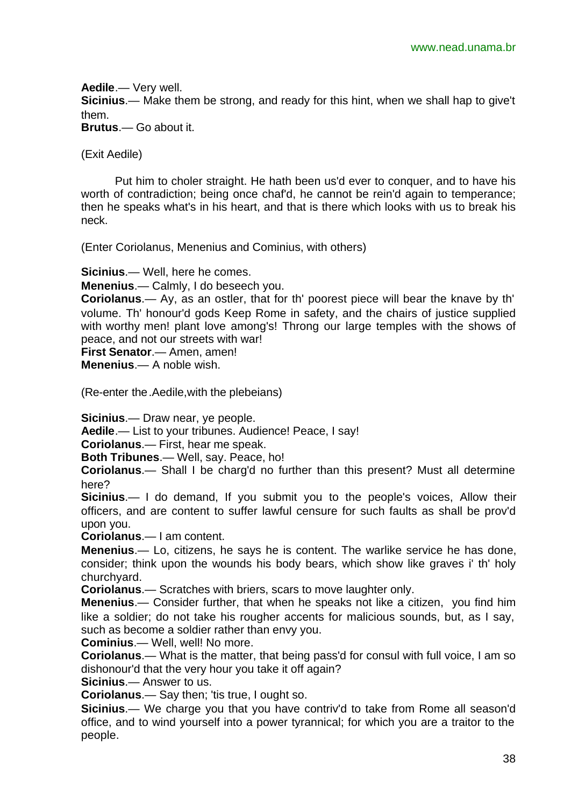**Aedile**.— Very well. **Sicinius**.— Make them be strong, and ready for this hint, when we shall hap to give't them.

**Brutus**.— Go about it.

(Exit Aedile)

Put him to choler straight. He hath been us'd ever to conquer, and to have his worth of contradiction; being once chaf'd, he cannot be rein'd again to temperance; then he speaks what's in his heart, and that is there which looks with us to break his neck.

(Enter Coriolanus, Menenius and Cominius, with others)

**Sicinius**.— Well, here he comes.

**Menenius**.— Calmly, I do beseech you.

**Coriolanus**.— Ay, as an ostler, that for th' poorest piece will bear the knave by th' volume. Th' honour'd gods Keep Rome in safety, and the chairs of justice supplied with worthy men! plant love among's! Throng our large temples with the shows of peace, and not our streets with war!

**First Senator**.— Amen, amen!

**Menenius**.— A noble wish.

(Re-enter the.Aedile,with the plebeians)

**Sicinius**.— Draw near, ye people.

**Aedile**.— List to your tribunes. Audience! Peace, I say!

**Coriolanus**.— First, hear me speak.

**Both Tribunes**.— Well, say. Peace, ho!

**Coriolanus**.— Shall I be charg'd no further than this present? Must all determine here?

**Sicinius**.— I do demand, If you submit you to the people's voices, Allow their officers, and are content to suffer lawful censure for such faults as shall be prov'd upon you.

**Coriolanus**.— I am content.

**Menenius**.— Lo, citizens, he says he is content. The warlike service he has done, consider; think upon the wounds his body bears, which show like graves i' th' holy churchyard.

**Coriolanus**.— Scratches with briers, scars to move laughter only.

**Menenius**.— Consider further, that when he speaks not like a citizen, you find him like a soldier; do not take his rougher accents for malicious sounds, but, as I say, such as become a soldier rather than envy you.

**Cominius**.— Well, well! No more.

**Coriolanus**.— What is the matter, that being pass'd for consul with full voice, I am so dishonour'd that the very hour you take it off again?

**Sicinius**.— Answer to us.

**Coriolanus**.— Say then; 'tis true, I ought so.

**Sicinius**.— We charge you that you have contriv'd to take from Rome all season'd office, and to wind yourself into a power tyrannical; for which you are a traitor to the people.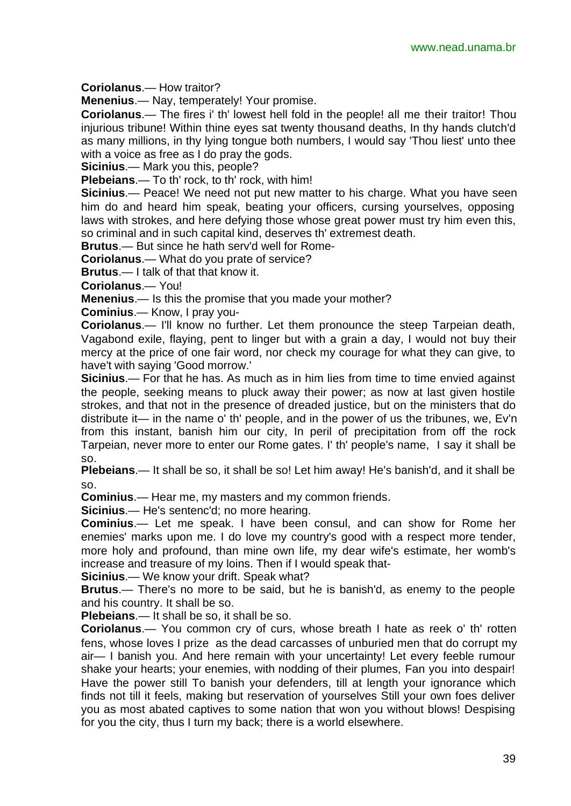**Coriolanus**.— How traitor?

**Menenius**.— Nay, temperately! Your promise.

**Coriolanus**.— The fires i' th' lowest hell fold in the people! all me their traitor! Thou injurious tribune! Within thine eyes sat twenty thousand deaths, In thy hands clutch'd as many millions, in thy lying tongue both numbers, I would say 'Thou liest' unto thee with a voice as free as I do pray the gods.

**Sicinius**.— Mark you this, people?

**Plebeians**.— To th' rock, to th' rock, with him!

**Sicinius**.— Peace! We need not put new matter to his charge. What you have seen him do and heard him speak, beating your officers, cursing yourselves, opposing laws with strokes, and here defying those whose great power must try him even this, so criminal and in such capital kind, deserves th' extremest death.

**Brutus**.— But since he hath serv'd well for Rome-

**Coriolanus**.— What do you prate of service?

**Brutus**.— I talk of that that know it.

**Coriolanus**.— You!

**Menenius**.— Is this the promise that you made your mother?

**Cominius**.— Know, I pray you-

**Coriolanus**.— I'll know no further. Let them pronounce the steep Tarpeian death, Vagabond exile, flaying, pent to linger but with a grain a day, I would not buy their mercy at the price of one fair word, nor check my courage for what they can give, to have't with saying 'Good morrow.'

**Sicinius**.— For that he has. As much as in him lies from time to time envied against the people, seeking means to pluck away their power; as now at last given hostile strokes, and that not in the presence of dreaded justice, but on the ministers that do distribute it— in the name o' th' people, and in the power of us the tribunes, we, Ev'n from this instant, banish him our city, In peril of precipitation from off the rock Tarpeian, never more to enter our Rome gates. I' th' people's name, I say it shall be so.

**Plebeians**.— It shall be so, it shall be so! Let him away! He's banish'd, and it shall be so.

**Cominius**.— Hear me, my masters and my common friends.

**Sicinius**.— He's sentenc'd; no more hearing.

**Cominius**.— Let me speak. I have been consul, and can show for Rome her enemies' marks upon me. I do love my country's good with a respect more tender, more holy and profound, than mine own life, my dear wife's estimate, her womb's increase and treasure of my loins. Then if I would speak that-

**Sicinius**.— We know your drift. Speak what?

**Brutus**.— There's no more to be said, but he is banish'd, as enemy to the people and his country. It shall be so.

**Plebeians**.— It shall be so, it shall be so.

**Coriolanus**.— You common cry of curs, whose breath I hate as reek o' th' rotten fens, whose loves I prize as the dead carcasses of unburied men that do corrupt my air— I banish you. And here remain with your uncertainty! Let every feeble rumour shake your hearts; your enemies, with nodding of their plumes, Fan you into despair! Have the power still To banish your defenders, till at length your ignorance which finds not till it feels, making but reservation of yourselves Still your own foes deliver you as most abated captives to some nation that won you without blows! Despising for you the city, thus I turn my back; there is a world elsewhere.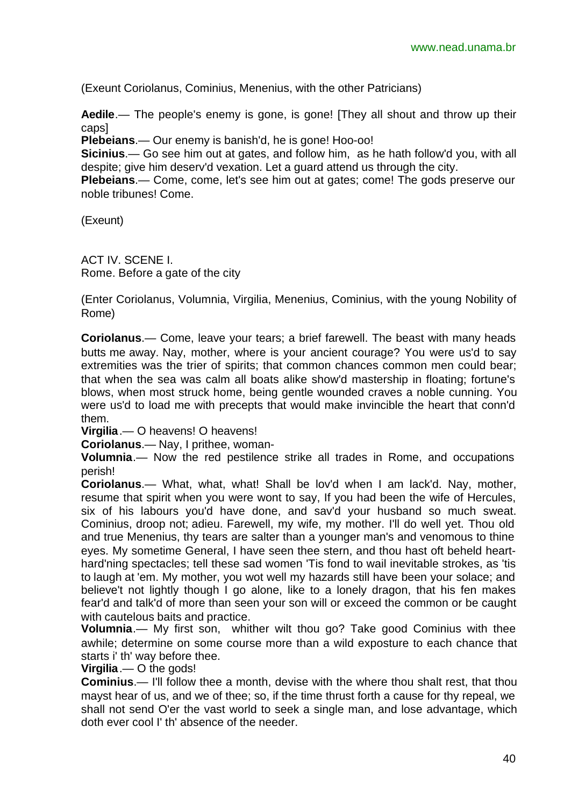(Exeunt Coriolanus, Cominius, Menenius, with the other Patricians)

**Aedile**.— The people's enemy is gone, is gone! [They all shout and throw up their caps]

**Plebeians**.— Our enemy is banish'd, he is gone! Hoo-oo!

**Sicinius**.— Go see him out at gates, and follow him, as he hath follow'd you, with all despite; give him deserv'd vexation. Let a guard attend us through the city.

**Plebeians**.— Come, come, let's see him out at gates; come! The gods preserve our noble tribunes! Come.

(Exeunt)

ACT IV. SCENE I. Rome. Before a gate of the city

(Enter Coriolanus, Volumnia, Virgilia, Menenius, Cominius, with the young Nobility of Rome)

**Coriolanus**.— Come, leave your tears; a brief farewell. The beast with many heads butts me away. Nay, mother, where is your ancient courage? You were us'd to say extremities was the trier of spirits; that common chances common men could bear; that when the sea was calm all boats alike show'd mastership in floating; fortune's blows, when most struck home, being gentle wounded craves a noble cunning. You were us'd to load me with precepts that would make invincible the heart that conn'd them.

**Virgilia**.— O heavens! O heavens!

**Coriolanus**.— Nay, I prithee, woman-

**Volumnia**.— Now the red pestilence strike all trades in Rome, and occupations perish!

**Coriolanus**.— What, what, what! Shall be lov'd when I am lack'd. Nay, mother, resume that spirit when you were wont to say, If you had been the wife of Hercules, six of his labours you'd have done, and sav'd your husband so much sweat. Cominius, droop not; adieu. Farewell, my wife, my mother. I'll do well yet. Thou old and true Menenius, thy tears are salter than a younger man's and venomous to thine eyes. My sometime General, I have seen thee stern, and thou hast oft beheld hearthard'ning spectacles; tell these sad women 'Tis fond to wail inevitable strokes, as 'tis to laugh at 'em. My mother, you wot well my hazards still have been your solace; and believe't not lightly though I go alone, like to a lonely dragon, that his fen makes fear'd and talk'd of more than seen your son will or exceed the common or be caught with cautelous baits and practice.

**Volumnia**.— My first son, whither wilt thou go? Take good Cominius with thee awhile; determine on some course more than a wild exposture to each chance that starts i' th' way before thee.

**Virgilia**.— O the gods!

**Cominius**.— I'll follow thee a month, devise with the where thou shalt rest, that thou mayst hear of us, and we of thee; so, if the time thrust forth a cause for thy repeal, we shall not send O'er the vast world to seek a single man, and lose advantage, which doth ever cool I' th' absence of the needer.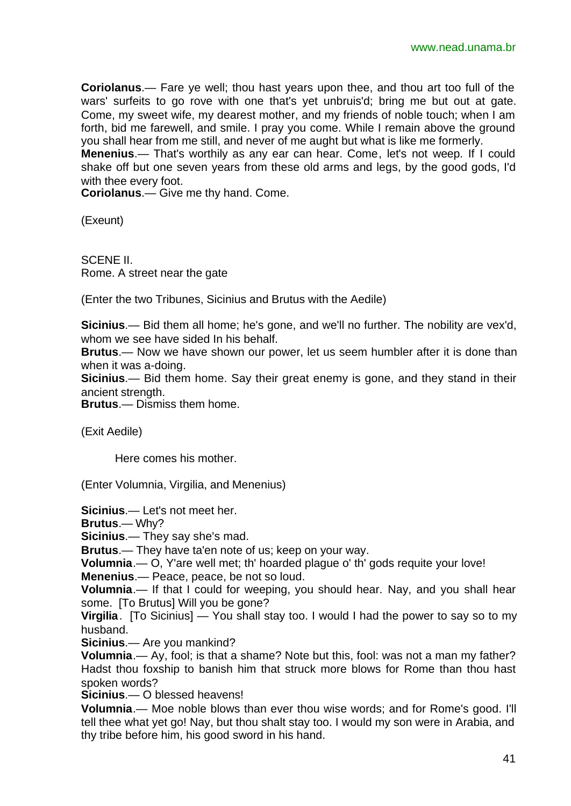**Coriolanus**.— Fare ye well; thou hast years upon thee, and thou art too full of the wars' surfeits to go rove with one that's yet unbruis'd; bring me but out at gate. Come, my sweet wife, my dearest mother, and my friends of noble touch; when I am forth, bid me farewell, and smile. I pray you come. While I remain above the ground you shall hear from me still, and never of me aught but what is like me formerly.

**Menenius**.— That's worthily as any ear can hear. Come, let's not weep. If I could shake off but one seven years from these old arms and legs, by the good gods, I'd with thee every foot.

**Coriolanus**.— Give me thy hand. Come.

(Exeunt)

SCENE II. Rome. A street near the gate

(Enter the two Tribunes, Sicinius and Brutus with the Aedile)

**Sicinius**.— Bid them all home; he's gone, and we'll no further. The nobility are vex'd, whom we see have sided In his behalf.

**Brutus**.— Now we have shown our power, let us seem humbler after it is done than when it was a-doing.

**Sicinius**.— Bid them home. Say their great enemy is gone, and they stand in their ancient strength.

**Brutus**.— Dismiss them home.

(Exit Aedile)

Here comes his mother.

(Enter Volumnia, Virgilia, and Menenius)

**Sicinius**.— Let's not meet her.

**Brutus**.— Why?

**Sicinius**.— They say she's mad.

**Brutus**.— They have ta'en note of us; keep on your way.

**Volumnia**.— O, Y'are well met; th' hoarded plague o' th' gods requite your love!

**Menenius**.— Peace, peace, be not so loud.

**Volumnia**.— If that I could for weeping, you should hear. Nay, and you shall hear some. [To Brutus] Will you be gone?

**Virgilia**. [To Sicinius] — You shall stay too. I would I had the power to say so to my husband.

**Sicinius**.— Are you mankind?

**Volumnia**.— Ay, fool; is that a shame? Note but this, fool: was not a man my father? Hadst thou foxship to banish him that struck more blows for Rome than thou hast spoken words?

**Sicinius**.— O blessed heavens!

**Volumnia**.— Moe noble blows than ever thou wise words; and for Rome's good. I'll tell thee what yet go! Nay, but thou shalt stay too. I would my son were in Arabia, and thy tribe before him, his good sword in his hand.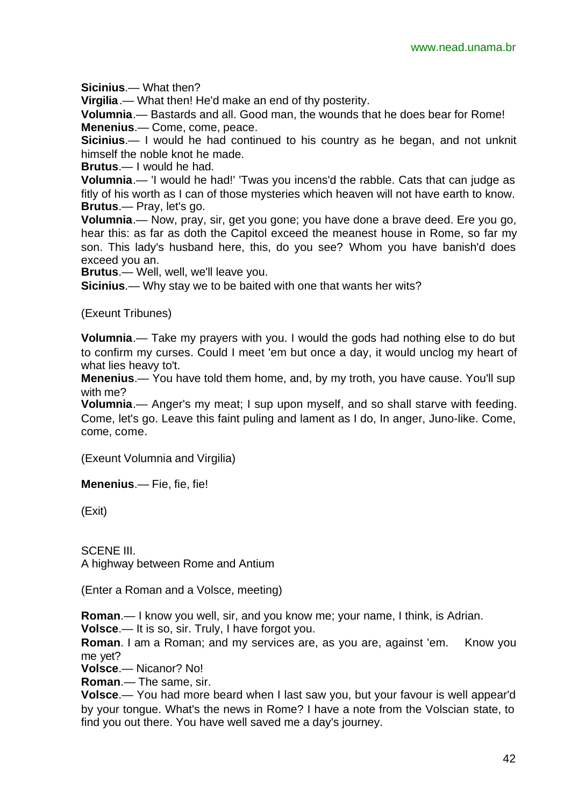**Sicinius**.— What then?

**Virgilia**.— What then! He'd make an end of thy posterity.

**Volumnia**.— Bastards and all. Good man, the wounds that he does bear for Rome! **Menenius**.— Come, come, peace.

**Sicinius**.— I would he had continued to his country as he began, and not unknit himself the noble knot he made.

**Brutus**.— I would he had.

**Volumnia**.— 'I would he had!' 'Twas you incens'd the rabble. Cats that can judge as fitly of his worth as I can of those mysteries which heaven will not have earth to know. **Brutus**.— Pray, let's go.

**Volumnia**.— Now, pray, sir, get you gone; you have done a brave deed. Ere you go, hear this: as far as doth the Capitol exceed the meanest house in Rome, so far my son. This lady's husband here, this, do you see? Whom you have banish'd does exceed you an.

**Brutus**.— Well, well, we'll leave you.

**Sicinius**.— Why stay we to be baited with one that wants her wits?

(Exeunt Tribunes)

**Volumnia**.— Take my prayers with you. I would the gods had nothing else to do but to confirm my curses. Could I meet 'em but once a day, it would unclog my heart of what lies heavy to't.

**Menenius**.— You have told them home, and, by my troth, you have cause. You'll sup with me?

**Volumnia**.— Anger's my meat; I sup upon myself, and so shall starve with feeding. Come, let's go. Leave this faint puling and lament as I do, In anger, Juno-like. Come, come, come.

(Exeunt Volumnia and Virgilia)

**Menenius**.— Fie, fie, fie!

(Exit)

SCENE III. A highway between Rome and Antium

(Enter a Roman and a Volsce, meeting)

**Roman**.— I know you well, sir, and you know me; your name, I think, is Adrian.

**Volsce**.— It is so, sir. Truly, I have forgot you.

**Roman.** I am a Roman; and my services are, as you are, against 'em. Know you me yet?

**Volsce**.— Nicanor? No!

**Roman**.— The same, sir.

**Volsce**.— You had more beard when I last saw you, but your favour is well appear'd by your tongue. What's the news in Rome? I have a note from the Volscian state, to find you out there. You have well saved me a day's journey.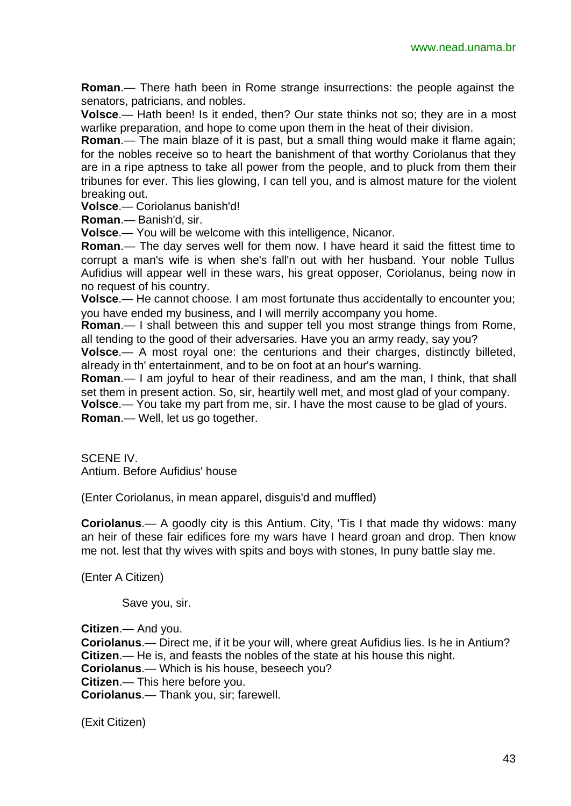**Roman**.— There hath been in Rome strange insurrections: the people against the senators, patricians, and nobles.

**Volsce**.— Hath been! Is it ended, then? Our state thinks not so; they are in a most warlike preparation, and hope to come upon them in the heat of their division.

**Roman**.— The main blaze of it is past, but a small thing would make it flame again; for the nobles receive so to heart the banishment of that worthy Coriolanus that they are in a ripe aptness to take all power from the people, and to pluck from them their tribunes for ever. This lies glowing, I can tell you, and is almost mature for the violent breaking out.

**Volsce**.— Coriolanus banish'd!

**Roman**.— Banish'd, sir.

**Volsce**.— You will be welcome with this intelligence, Nicanor.

**Roman**.— The day serves well for them now. I have heard it said the fittest time to corrupt a man's wife is when she's fall'n out with her husband. Your noble Tullus Aufidius will appear well in these wars, his great opposer, Coriolanus, being now in no request of his country.

**Volsce**.— He cannot choose. I am most fortunate thus accidentally to encounter you; you have ended my business, and I will merrily accompany you home.

**Roman**.— I shall between this and supper tell you most strange things from Rome, all tending to the good of their adversaries. Have you an army ready, say you?

**Volsce**.— A most royal one: the centurions and their charges, distinctly billeted, already in th' entertainment, and to be on foot at an hour's warning.

**Roman**.— I am joyful to hear of their readiness, and am the man, I think, that shall set them in present action. So, sir, heartily well met, and most glad of your company.

**Volsce**.— You take my part from me, sir. I have the most cause to be glad of yours.

**Roman**.— Well, let us go together.

SCENE IV. Antium. Before Aufidius' house

(Enter Coriolanus, in mean apparel, disguis'd and muffled)

**Coriolanus**.— A goodly city is this Antium. City, 'Tis I that made thy widows: many an heir of these fair edifices fore my wars have I heard groan and drop. Then know me not. lest that thy wives with spits and boys with stones, In puny battle slay me.

(Enter A Citizen)

Save you, sir.

**Citizen**.— And you. **Coriolanus**.— Direct me, if it be your will, where great Aufidius lies. Is he in Antium? **Citizen**.— He is, and feasts the nobles of the state at his house this night. **Coriolanus**.— Which is his house, beseech you? **Citizen**.— This here before you. **Coriolanus**.— Thank you, sir; farewell.

(Exit Citizen)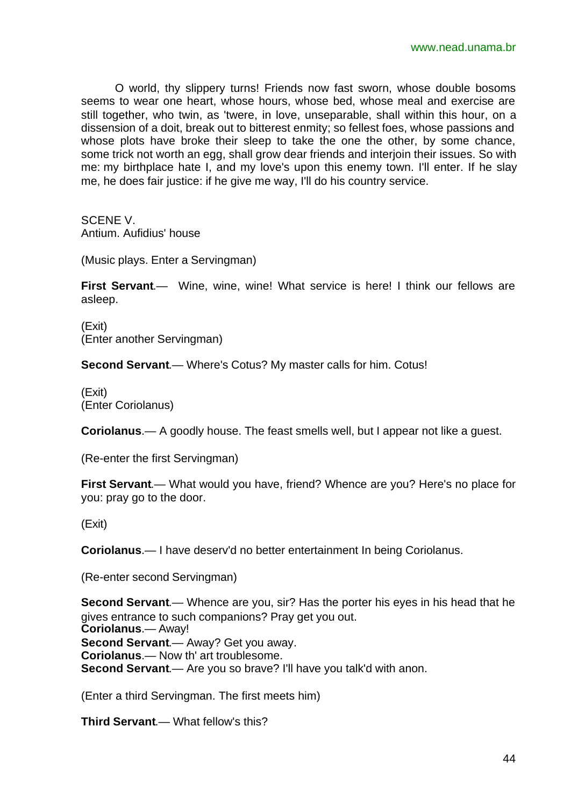O world, thy slippery turns! Friends now fast sworn, whose double bosoms seems to wear one heart, whose hours, whose bed, whose meal and exercise are still together, who twin, as 'twere, in love, unseparable, shall within this hour, on a dissension of a doit, break out to bitterest enmity; so fellest foes, whose passions and whose plots have broke their sleep to take the one the other, by some chance, some trick not worth an egg, shall grow dear friends and interjoin their issues. So with me: my birthplace hate I, and my love's upon this enemy town. I'll enter. If he slay me, he does fair justice: if he give me way, I'll do his country service.

SCENE V.

Antium. Aufidius' house

(Music plays. Enter a Servingman)

**First Servant**.— Wine, wine, wine! What service is here! I think our fellows are asleep.

(Exit) (Enter another Servingman)

**Second Servant**.— Where's Cotus? My master calls for him. Cotus!

(Exit) (Enter Coriolanus)

**Coriolanus**.— A goodly house. The feast smells well, but I appear not like a guest.

(Re-enter the first Servingman)

**First Servant**.— What would you have, friend? Whence are you? Here's no place for you: pray go to the door.

(Exit)

**Coriolanus**.— I have deserv'd no better entertainment In being Coriolanus.

(Re-enter second Servingman)

**Second Servant**.— Whence are you, sir? Has the porter his eyes in his head that he gives entrance to such companions? Pray get you out. **Coriolanus**.— Away! **Second Servant**.— Away? Get you away. **Coriolanus**.— Now th' art troublesome. **Second Servant.**— Are you so brave? I'll have you talk'd with anon.

(Enter a third Servingman. The first meets him)

**Third Servant**.— What fellow's this?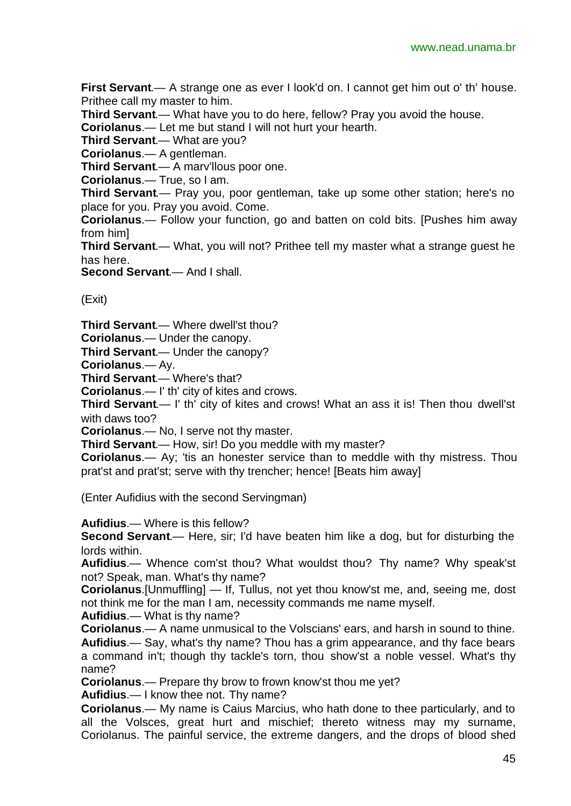**First Servant**.— A strange one as ever I look'd on. I cannot get him out o' th' house. Prithee call my master to him.

**Third Servant**.— What have you to do here, fellow? Pray you avoid the house.

**Coriolanus**.— Let me but stand I will not hurt your hearth.

**Third Servant**.— What are you?

**Coriolanus**.— A gentleman.

**Third Servant**.— A marv'llous poor one.

**Coriolanus**.— True, so I am.

**Third Servant**.— Pray you, poor gentleman, take up some other station; here's no place for you. Pray you avoid. Come.

**Coriolanus**.— Follow your function, go and batten on cold bits. [Pushes him away from him]

**Third Servant**.— What, you will not? Prithee tell my master what a strange guest he has here.

**Second Servant**.— And I shall.

(Exit)

**Third Servant**.— Where dwell'st thou?

**Coriolanus**.— Under the canopy.

**Third Servant**.— Under the canopy?

**Coriolanus**.— Ay.

**Third Servant**.— Where's that?

**Coriolanus**.— I' th' city of kites and crows.

**Third Servant**.— I' th' city of kites and crows! What an ass it is! Then thou dwell'st with daws too?

**Coriolanus**.— No, I serve not thy master.

**Third Servant**.— How, sir! Do you meddle with my master?

**Coriolanus**.— Ay; 'tis an honester service than to meddle with thy mistress. Thou prat'st and prat'st; serve with thy trencher; hence! [Beats him away]

(Enter Aufidius with the second Servingman)

**Aufidius**.— Where is this fellow?

**Second Servant**.— Here, sir; I'd have beaten him like a dog, but for disturbing the lords within.

**Aufidius**.— Whence com'st thou? What wouldst thou? Thy name? Why speak'st not? Speak, man. What's thy name?

**Coriolanus**.[Unmuffling] — If, Tullus, not yet thou know'st me, and, seeing me, dost not think me for the man I am, necessity commands me name myself.

**Aufidius**.— What is thy name?

**Coriolanus**.— A name unmusical to the Volscians' ears, and harsh in sound to thine. **Aufidius**.— Say, what's thy name? Thou has a grim appearance, and thy face bears a command in't; though thy tackle's torn, thou show'st a noble vessel. What's thy name?

**Coriolanus**.— Prepare thy brow to frown know'st thou me yet?

**Aufidius**.— I know thee not. Thy name?

**Coriolanus**.— My name is Caius Marcius, who hath done to thee particularly, and to all the Volsces, great hurt and mischief; thereto witness may my surname, Coriolanus. The painful service, the extreme dangers, and the drops of blood shed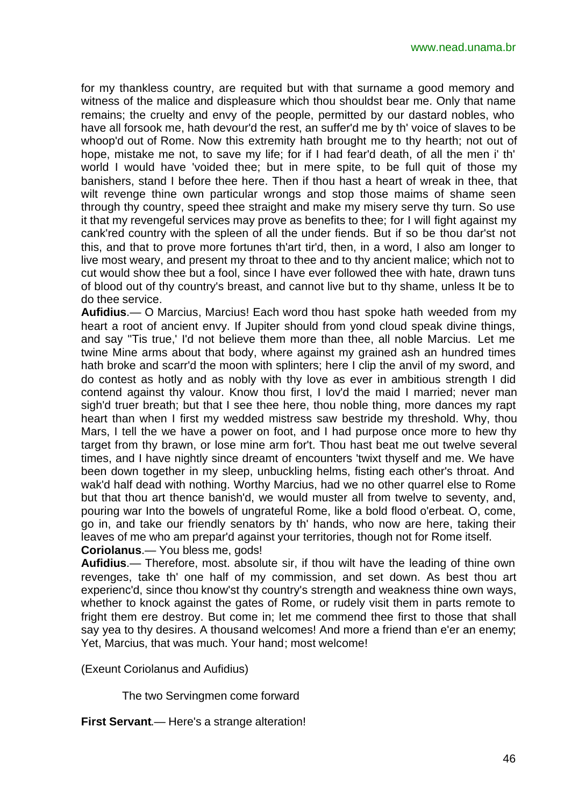for my thankless country, are requited but with that surname a good memory and witness of the malice and displeasure which thou shouldst bear me. Only that name remains; the cruelty and envy of the people, permitted by our dastard nobles, who have all forsook me, hath devour'd the rest, an suffer'd me by th' voice of slaves to be whoop'd out of Rome. Now this extremity hath brought me to thy hearth; not out of hope, mistake me not, to save my life; for if I had fear'd death, of all the men i' th' world I would have 'voided thee; but in mere spite, to be full quit of those my banishers, stand I before thee here. Then if thou hast a heart of wreak in thee, that wilt revenge thine own particular wrongs and stop those maims of shame seen through thy country, speed thee straight and make my misery serve thy turn. So use it that my revengeful services may prove as benefits to thee; for I will fight against my cank'red country with the spleen of all the under fiends. But if so be thou dar'st not this, and that to prove more fortunes th'art tir'd, then, in a word, I also am longer to live most weary, and present my throat to thee and to thy ancient malice; which not to cut would show thee but a fool, since I have ever followed thee with hate, drawn tuns of blood out of thy country's breast, and cannot live but to thy shame, unless It be to do thee service.

**Aufidius**.— O Marcius, Marcius! Each word thou hast spoke hath weeded from my heart a root of ancient envy. If Jupiter should from yond cloud speak divine things, and say ''Tis true,' I'd not believe them more than thee, all noble Marcius. Let me twine Mine arms about that body, where against my grained ash an hundred times hath broke and scarr'd the moon with splinters; here I clip the anvil of my sword, and do contest as hotly and as nobly with thy love as ever in ambitious strength I did contend against thy valour. Know thou first, I lov'd the maid I married; never man sigh'd truer breath; but that I see thee here, thou noble thing, more dances my rapt heart than when I first my wedded mistress saw bestride my threshold. Why, thou Mars, I tell the we have a power on foot, and I had purpose once more to hew thy target from thy brawn, or lose mine arm for't. Thou hast beat me out twelve several times, and I have nightly since dreamt of encounters 'twixt thyself and me. We have been down together in my sleep, unbuckling helms, fisting each other's throat. And wak'd half dead with nothing. Worthy Marcius, had we no other quarrel else to Rome but that thou art thence banish'd, we would muster all from twelve to seventy, and, pouring war Into the bowels of ungrateful Rome, like a bold flood o'erbeat. O, come, go in, and take our friendly senators by th' hands, who now are here, taking their leaves of me who am prepar'd against your territories, though not for Rome itself. **Coriolanus**.— You bless me, gods!

**Aufidius**.— Therefore, most. absolute sir, if thou wilt have the leading of thine own revenges, take th' one half of my commission, and set down. As best thou art experienc'd, since thou know'st thy country's strength and weakness thine own ways, whether to knock against the gates of Rome, or rudely visit them in parts remote to fright them ere destroy. But come in; let me commend thee first to those that shall say yea to thy desires. A thousand welcomes! And more a friend than e'er an enemy; Yet, Marcius, that was much. Your hand; most welcome!

(Exeunt Coriolanus and Aufidius)

The two Servingmen come forward

**First Servant**.— Here's a strange alteration!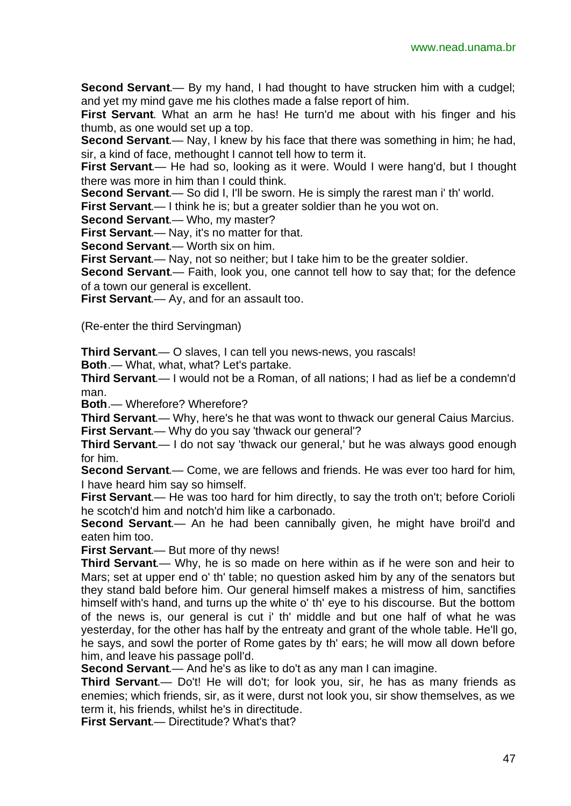**Second Servant**.— By my hand, I had thought to have strucken him with a cudgel; and yet my mind gave me his clothes made a false report of him.

**First Servant**. What an arm he has! He turn'd me about with his finger and his thumb, as one would set up a top.

**Second Servant**.— Nay, I knew by his face that there was something in him; he had, sir, a kind of face, methought I cannot tell how to term it.

**First Servant**.— He had so, looking as it were. Would I were hang'd, but I thought there was more in him than I could think.

**Second Servant**.— So did I, I'll be sworn. He is simply the rarest man i' th' world.

**First Servant**.— I think he is; but a greater soldier than he you wot on.

**Second Servant**.— Who, my master?

**First Servant**.— Nay, it's no matter for that.

**Second Servant**.— Worth six on him.

**First Servant**.— Nay, not so neither; but I take him to be the greater soldier.

**Second Servant**.— Faith, look you, one cannot tell how to say that; for the defence of a town our general is excellent.

**First Servant**.— Ay, and for an assault too.

(Re-enter the third Servingman)

**Third Servant**.— O slaves, I can tell you news-news, you rascals!

**Both**.— What, what, what? Let's partake.

**Third Servant**.— I would not be a Roman, of all nations; I had as lief be a condemn'd man.

**Both**.— Wherefore? Wherefore?

**Third Servant**.— Why, here's he that was wont to thwack our general Caius Marcius. **First Servant**.— Why do you say 'thwack our general'?

**Third Servant**.— I do not say 'thwack our general,' but he was always good enough for him.

**Second Servant**.— Come, we are fellows and friends. He was ever too hard for him, I have heard him say so himself.

**First Servant.**— He was too hard for him directly, to say the troth on't; before Corioli he scotch'd him and notch'd him like a carbonado.

**Second Servant**.— An he had been cannibally given, he might have broil'd and eaten him too.

**First Servant**.— But more of thy news!

**Third Servant**.— Why, he is so made on here within as if he were son and heir to Mars; set at upper end o' th' table; no question asked him by any of the senators but they stand bald before him. Our general himself makes a mistress of him, sanctifies himself with's hand, and turns up the white o' th' eye to his discourse. But the bottom of the news is, our general is cut i' th' middle and but one half of what he was yesterday, for the other has half by the entreaty and grant of the whole table. He'll go, he says, and sowl the porter of Rome gates by th' ears; he will mow all down before him, and leave his passage poll'd.

**Second Servant**.— And he's as like to do't as any man I can imagine.

**Third Servant**.— Do't! He will do't; for look you, sir, he has as many friends as enemies; which friends, sir, as it were, durst not look you, sir show themselves, as we term it, his friends, whilst he's in directitude.

**First Servant**.— Directitude? What's that?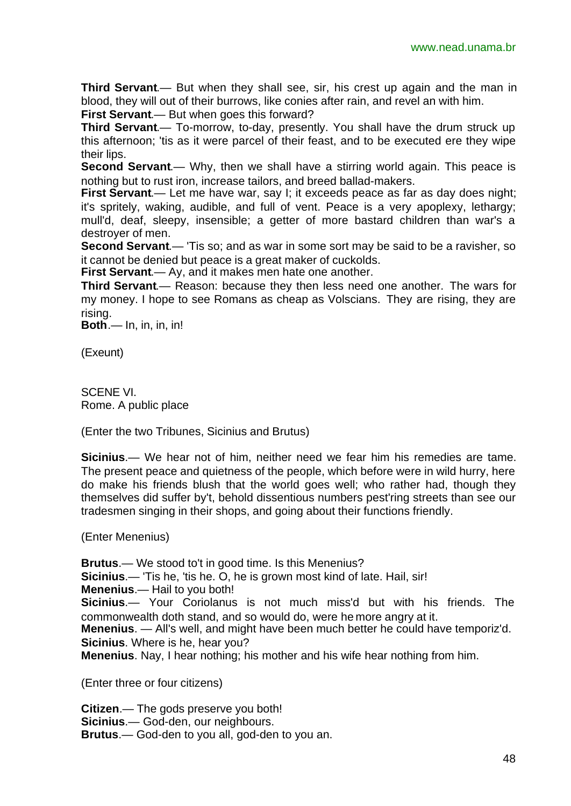**Third Servant**.— But when they shall see, sir, his crest up again and the man in blood, they will out of their burrows, like conies after rain, and revel an with him.

**First Servant**.— But when goes this forward?

**Third Servant**.— To-morrow, to-day, presently. You shall have the drum struck up this afternoon; 'tis as it were parcel of their feast, and to be executed ere they wipe their lips.

**Second Servant**.— Why, then we shall have a stirring world again. This peace is nothing but to rust iron, increase tailors, and breed ballad-makers.

**First Servant.**— Let me have war, say I; it exceeds peace as far as day does night; it's spritely, waking, audible, and full of vent. Peace is a very apoplexy, lethargy; mull'd, deaf, sleepy, insensible; a getter of more bastard children than war's a destroyer of men.

**Second Servant**.— 'Tis so; and as war in some sort may be said to be a ravisher, so it cannot be denied but peace is a great maker of cuckolds.

**First Servant**.— Ay, and it makes men hate one another.

**Third Servant**.— Reason: because they then less need one another. The wars for my money. I hope to see Romans as cheap as Volscians. They are rising, they are rising.

**Both**.— In, in, in, in!

(Exeunt)

SCENE VI. Rome. A public place

(Enter the two Tribunes, Sicinius and Brutus)

**Sicinius**.— We hear not of him, neither need we fear him his remedies are tame. The present peace and quietness of the people, which before were in wild hurry, here do make his friends blush that the world goes well; who rather had, though they themselves did suffer by't, behold dissentious numbers pest'ring streets than see our tradesmen singing in their shops, and going about their functions friendly.

(Enter Menenius)

**Brutus**.— We stood to't in good time. Is this Menenius?

**Sicinius**.— 'Tis he, 'tis he. O, he is grown most kind of late. Hail, sir!

**Menenius**.— Hail to you both!

**Sicinius**.— Your Coriolanus is not much miss'd but with his friends. The commonwealth doth stand, and so would do, were he more angry at it.

**Menenius**. — All's well, and might have been much better he could have temporiz'd. **Sicinius**. Where is he, hear you?

**Menenius**. Nay, I hear nothing; his mother and his wife hear nothing from him.

(Enter three or four citizens)

**Citizen**.— The gods preserve you both! **Sicinius**.— God-den, our neighbours. **Brutus**.— God-den to you all, god-den to you an.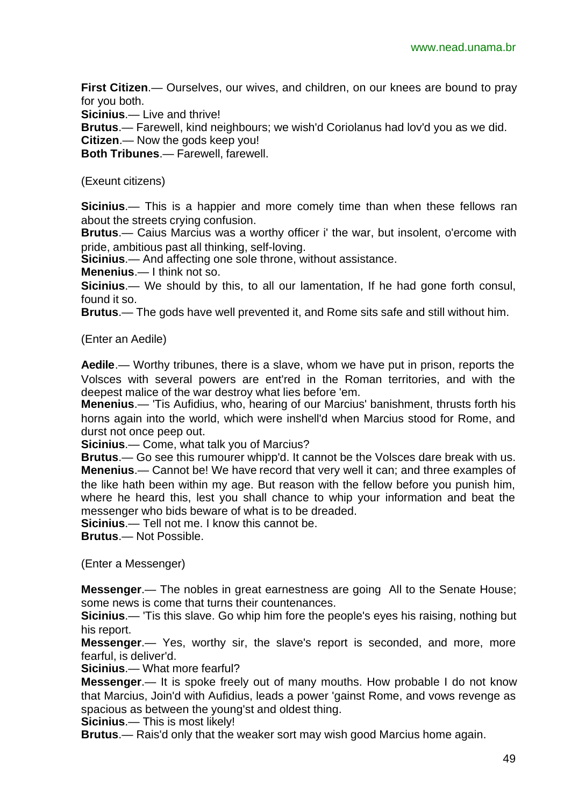**First Citizen**.— Ourselves, our wives, and children, on our knees are bound to pray for you both.

**Sicinius**.— Live and thrive!

**Brutus**.— Farewell, kind neighbours; we wish'd Coriolanus had lov'd you as we did.

**Citizen**.— Now the gods keep you!

**Both Tribunes**.— Farewell, farewell.

#### (Exeunt citizens)

**Sicinius**.— This is a happier and more comely time than when these fellows ran about the streets crying confusion.

**Brutus**.— Caius Marcius was a worthy officer i' the war, but insolent, o'ercome with pride, ambitious past all thinking, self-loving.

**Sicinius**.— And affecting one sole throne, without assistance.

**Menenius**.— I think not so.

**Sicinius**.— We should by this, to all our lamentation, If he had gone forth consul, found it so.

**Brutus**.— The gods have well prevented it, and Rome sits safe and still without him.

(Enter an Aedile)

**Aedile**.— Worthy tribunes, there is a slave, whom we have put in prison, reports the Volsces with several powers are ent'red in the Roman territories, and with the deepest malice of the war destroy what lies before 'em.

**Menenius**.— 'Tis Aufidius, who, hearing of our Marcius' banishment, thrusts forth his horns again into the world, which were inshell'd when Marcius stood for Rome, and durst not once peep out.

**Sicinius**.— Come, what talk you of Marcius?

**Brutus**.— Go see this rumourer whipp'd. It cannot be the Volsces dare break with us. **Menenius**.— Cannot be! We have record that very well it can; and three examples of the like hath been within my age. But reason with the fellow before you punish him, where he heard this, lest you shall chance to whip your information and beat the messenger who bids beware of what is to be dreaded.

**Sicinius**.— Tell not me. I know this cannot be.

**Brutus**.— Not Possible.

(Enter a Messenger)

**Messenger**.— The nobles in great earnestness are going All to the Senate House; some news is come that turns their countenances.

**Sicinius**.— 'Tis this slave. Go whip him fore the people's eyes his raising, nothing but his report.

**Messenger**.— Yes, worthy sir, the slave's report is seconded, and more, more fearful, is deliver'd.

**Sicinius**.— What more fearful?

**Messenger**.— It is spoke freely out of many mouths. How probable I do not know that Marcius, Join'd with Aufidius, leads a power 'gainst Rome, and vows revenge as spacious as between the young'st and oldest thing.

**Sicinius**.— This is most likely!

**Brutus**.— Rais'd only that the weaker sort may wish good Marcius home again.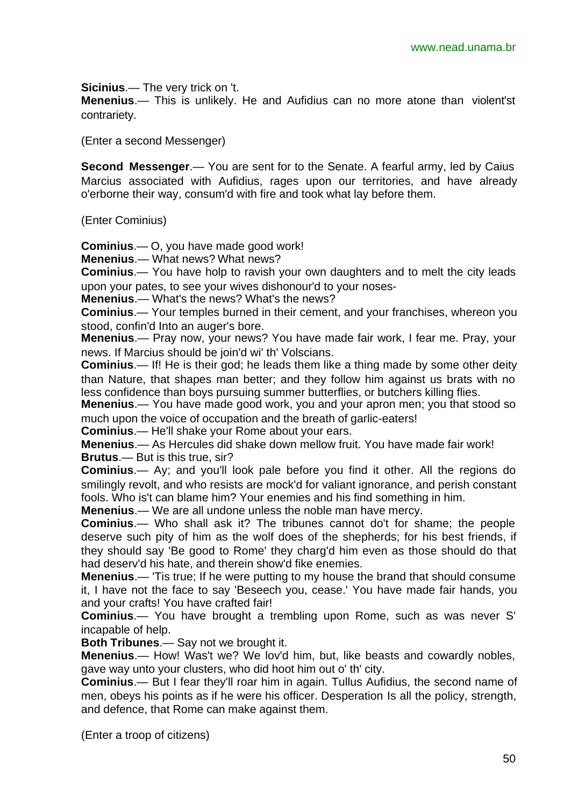**Sicinius**.— The very trick on 't.

**Menenius**.— This is unlikely. He and Aufidius can no more atone than violent'st contrariety.

(Enter a second Messenger)

**Second Messenger**.— You are sent for to the Senate. A fearful army, led by Caius Marcius associated with Aufidius, rages upon our territories, and have already o'erborne their way, consum'd with fire and took what lay before them.

(Enter Cominius)

**Cominius**.— O, you have made good work!

**Menenius**.— What news? What news?

**Cominius**.— You have holp to ravish your own daughters and to melt the city leads upon your pates, to see your wives dishonour'd to your noses-

**Menenius**.— What's the news? What's the news?

**Cominius**.— Your temples burned in their cement, and your franchises, whereon you stood, confin'd Into an auger's bore.

**Menenius**.— Pray now, your news? You have made fair work, I fear me. Pray, your news. If Marcius should be join'd wi' th' Volscians.

**Cominius**.— If! He is their god; he leads them like a thing made by some other deity than Nature, that shapes man better; and they follow him against us brats with no less confidence than boys pursuing summer butterflies, or butchers killing flies.

**Menenius**.— You have made good work, you and your apron men; you that stood so much upon the voice of occupation and the breath of garlic-eaters!

**Cominius**.— He'll shake your Rome about your ears.

**Menenius**.— As Hercules did shake down mellow fruit. You have made fair work! **Brutus**.— But is this true, sir?

**Cominius**.— Ay; and you'll look pale before you find it other. All the regions do smilingly revolt, and who resists are mock'd for valiant ignorance, and perish constant fools. Who is't can blame him? Your enemies and his find something in him.

**Menenius**.— We are all undone unless the noble man have mercy.

**Cominius**.— Who shall ask it? The tribunes cannot do't for shame; the people deserve such pity of him as the wolf does of the shepherds; for his best friends, if they should say 'Be good to Rome' they charg'd him even as those should do that had deserv'd his hate, and therein show'd fike enemies.

**Menenius**.— 'Tis true; If he were putting to my house the brand that should consume it, I have not the face to say 'Beseech you, cease.' You have made fair hands, you and your crafts! You have crafted fair!

**Cominius**.— You have brought a trembling upon Rome, such as was never S' incapable of help.

**Both Tribunes**.— Say not we brought it.

**Menenius**.— How! Was't we? We lov'd him, but, like beasts and cowardly nobles, gave way unto your clusters, who did hoot him out o' th' city.

**Cominius**.— But I fear they'll roar him in again. Tullus Aufidius, the second name of men, obeys his points as if he were his officer. Desperation Is all the policy, strength, and defence, that Rome can make against them.

(Enter a troop of citizens)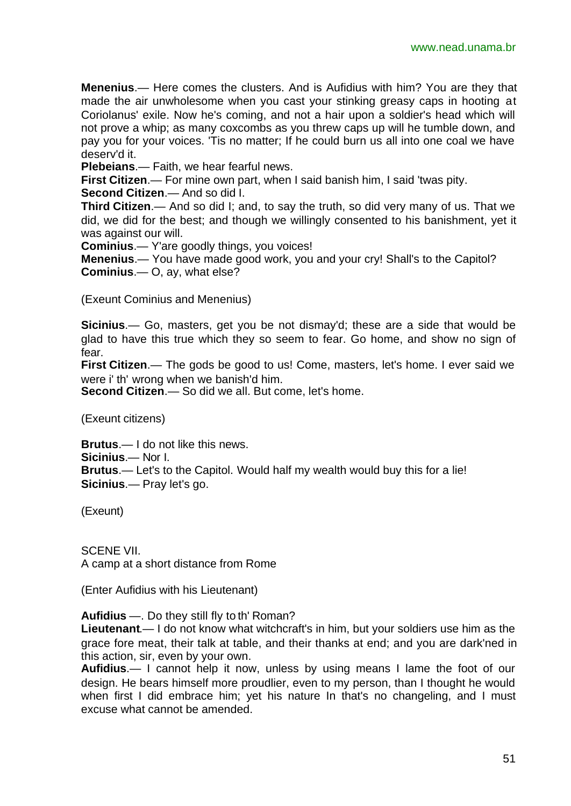**Menenius**.— Here comes the clusters. And is Aufidius with him? You are they that made the air unwholesome when you cast your stinking greasy caps in hooting at Coriolanus' exile. Now he's coming, and not a hair upon a soldier's head which will not prove a whip; as many coxcombs as you threw caps up will he tumble down, and pay you for your voices. 'Tis no matter; If he could burn us all into one coal we have deserv'd it.

**Plebeians**.— Faith, we hear fearful news.

**First Citizen**.— For mine own part, when I said banish him, I said 'twas pity.

**Second Citizen**.— And so did I.

**Third Citizen**.— And so did I; and, to say the truth, so did very many of us. That we did, we did for the best; and though we willingly consented to his banishment, yet it was against our will.

**Cominius**.— Y'are goodly things, you voices!

**Menenius**.— You have made good work, you and your cry! Shall's to the Capitol? **Cominius**.— O, ay, what else?

(Exeunt Cominius and Menenius)

**Sicinius**.— Go, masters, get you be not dismay'd; these are a side that would be glad to have this true which they so seem to fear. Go home, and show no sign of fear.

**First Citizen**.— The gods be good to us! Come, masters, let's home. I ever said we were i' th' wrong when we banish'd him.

**Second Citizen**.— So did we all. But come, let's home.

(Exeunt citizens)

**Brutus**.— I do not like this news.

**Sicinius**.— Nor I.

**Brutus**.— Let's to the Capitol. Would half my wealth would buy this for a lie! **Sicinius**.— Pray let's go.

(Exeunt)

SCENE VII. A camp at a short distance from Rome

(Enter Aufidius with his Lieutenant)

**Aufidius** —. Do they still fly to th' Roman?

**Lieutenant**.— I do not know what witchcraft's in him, but your soldiers use him as the grace fore meat, their talk at table, and their thanks at end; and you are dark'ned in this action, sir, even by your own.

**Aufidius**.— I cannot help it now, unless by using means I lame the foot of our design. He bears himself more proudlier, even to my person, than I thought he would when first I did embrace him; yet his nature In that's no changeling, and I must excuse what cannot be amended.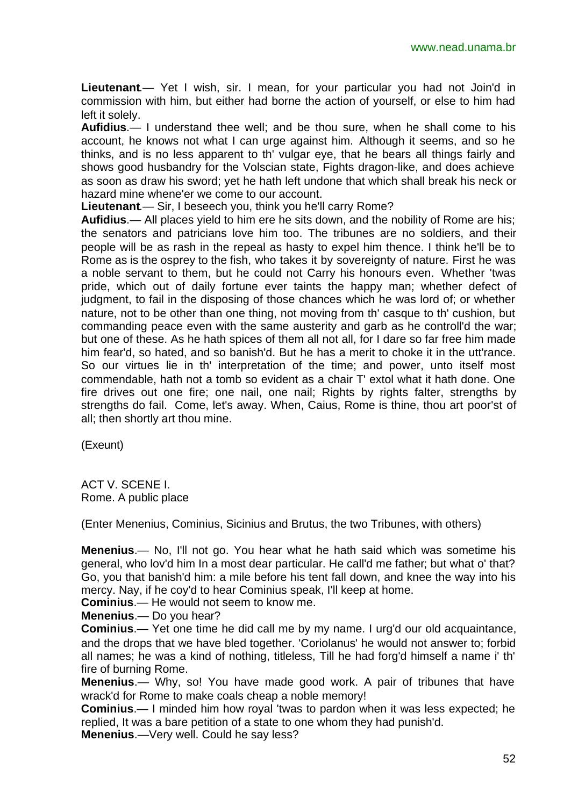**Lieutenant**.— Yet I wish, sir. I mean, for your particular you had not Join'd in commission with him, but either had borne the action of yourself, or else to him had left it solely.

**Aufidius**.— I understand thee well; and be thou sure, when he shall come to his account, he knows not what I can urge against him. Although it seems, and so he thinks, and is no less apparent to th' vulgar eye, that he bears all things fairly and shows good husbandry for the Volscian state, Fights dragon-like, and does achieve as soon as draw his sword; yet he hath left undone that which shall break his neck or hazard mine whene'er we come to our account.

**Lieutenant**.— Sir, I beseech you, think you he'll carry Rome?

**Aufidius**.— All places yield to him ere he sits down, and the nobility of Rome are his; the senators and patricians love him too. The tribunes are no soldiers, and their people will be as rash in the repeal as hasty to expel him thence. I think he'll be to Rome as is the osprey to the fish, who takes it by sovereignty of nature. First he was a noble servant to them, but he could not Carry his honours even. Whether 'twas pride, which out of daily fortune ever taints the happy man; whether defect of judgment, to fail in the disposing of those chances which he was lord of; or whether nature, not to be other than one thing, not moving from th' casque to th' cushion, but commanding peace even with the same austerity and garb as he controll'd the war; but one of these. As he hath spices of them all not all, for I dare so far free him made him fear'd, so hated, and so banish'd. But he has a merit to choke it in the utt'rance. So our virtues lie in th' interpretation of the time; and power, unto itself most commendable, hath not a tomb so evident as a chair T' extol what it hath done. One fire drives out one fire; one nail, one nail; Rights by rights falter, strengths by strengths do fail. Come, let's away. When, Caius, Rome is thine, thou art poor'st of all; then shortly art thou mine.

(Exeunt)

ACT V. SCENE I. Rome. A public place

(Enter Menenius, Cominius, Sicinius and Brutus, the two Tribunes, with others)

**Menenius**.— No, I'll not go. You hear what he hath said which was sometime his general, who lov'd him In a most dear particular. He call'd me father; but what o' that? Go, you that banish'd him: a mile before his tent fall down, and knee the way into his mercy. Nay, if he coy'd to hear Cominius speak, I'll keep at home.

**Cominius**.— He would not seem to know me.

**Menenius**.— Do you hear?

**Cominius**.— Yet one time he did call me by my name. I urg'd our old acquaintance, and the drops that we have bled together. 'Coriolanus' he would not answer to; forbid all names; he was a kind of nothing, titleless, Till he had forg'd himself a name i' th' fire of burning Rome.

**Menenius**.— Why, so! You have made good work. A pair of tribunes that have wrack'd for Rome to make coals cheap a noble memory!

**Cominius**.— I minded him how royal 'twas to pardon when it was less expected; he replied, It was a bare petition of a state to one whom they had punish'd.

**Menenius**.—Very well. Could he say less?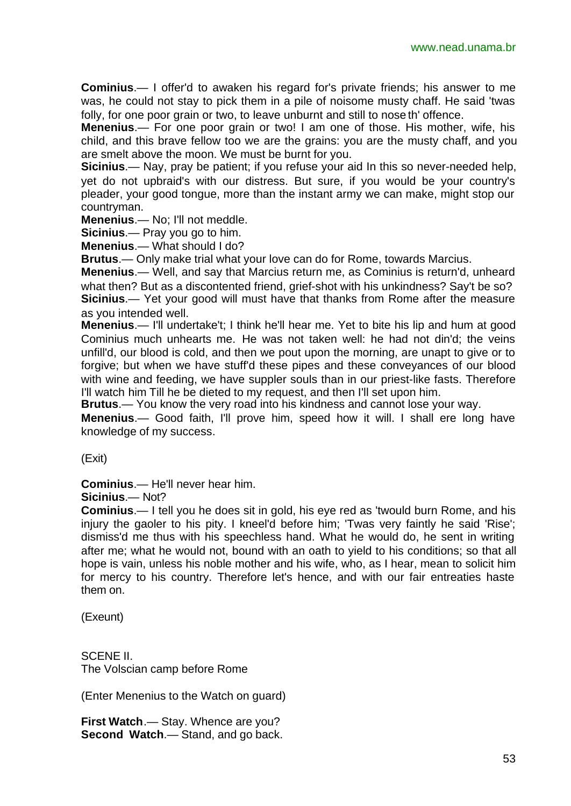**Cominius**.— I offer'd to awaken his regard for's private friends; his answer to me was, he could not stay to pick them in a pile of noisome musty chaff. He said 'twas folly, for one poor grain or two, to leave unburnt and still to nose th' offence.

**Menenius**.— For one poor grain or two! I am one of those. His mother, wife, his child, and this brave fellow too we are the grains: you are the musty chaff, and you are smelt above the moon. We must be burnt for you.

**Sicinius**.— Nay, pray be patient; if you refuse your aid In this so never-needed help, yet do not upbraid's with our distress. But sure, if you would be your country's pleader, your good tongue, more than the instant army we can make, might stop our countryman.

**Menenius**.— No; I'll not meddle.

**Sicinius**.— Pray you go to him.

**Menenius**.— What should I do?

**Brutus**.— Only make trial what your love can do for Rome, towards Marcius.

**Menenius**.— Well, and say that Marcius return me, as Cominius is return'd, unheard what then? But as a discontented friend, grief-shot with his unkindness? Say't be so? **Sicinius**.— Yet your good will must have that thanks from Rome after the measure as you intended well.

**Menenius**.— I'll undertake't; I think he'll hear me. Yet to bite his lip and hum at good Cominius much unhearts me. He was not taken well: he had not din'd; the veins unfill'd, our blood is cold, and then we pout upon the morning, are unapt to give or to forgive; but when we have stuff'd these pipes and these conveyances of our blood with wine and feeding, we have suppler souls than in our priest-like fasts. Therefore I'll watch him Till he be dieted to my request, and then I'll set upon him.

**Brutus**.— You know the very road into his kindness and cannot lose your way.

**Menenius**.— Good faith, I'll prove him, speed how it will. I shall ere long have knowledge of my success.

(Exit)

**Cominius**.— He'll never hear him.

**Sicinius**.— Not?

**Cominius**.— I tell you he does sit in gold, his eye red as 'twould burn Rome, and his injury the gaoler to his pity. I kneel'd before him; 'Twas very faintly he said 'Rise'; dismiss'd me thus with his speechless hand. What he would do, he sent in writing after me; what he would not, bound with an oath to yield to his conditions; so that all hope is vain, unless his noble mother and his wife, who, as I hear, mean to solicit him for mercy to his country. Therefore let's hence, and with our fair entreaties haste them on.

(Exeunt)

SCENE II. The Volscian camp before Rome

(Enter Menenius to the Watch on guard)

**First Watch**.— Stay. Whence are you? **Second Watch**.— Stand, and go back.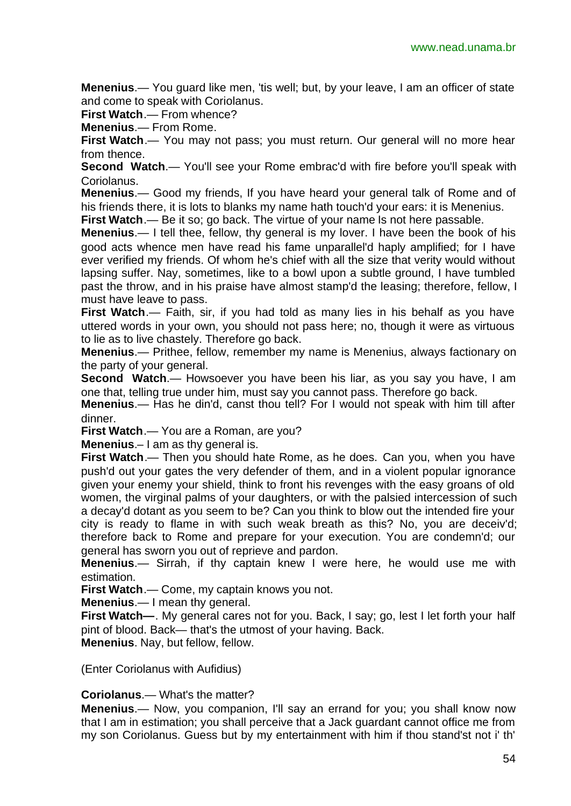**Menenius**.— You guard like men, 'tis well; but, by your leave, I am an officer of state and come to speak with Coriolanus.

**First Watch**.— From whence?

**Menenius**.— From Rome.

**First Watch.**— You may not pass; you must return. Our general will no more hear from thence.

**Second Watch.**— You'll see your Rome embrac'd with fire before you'll speak with Coriolanus.

**Menenius**.— Good my friends, If you have heard your general talk of Rome and of his friends there, it is lots to blanks my name hath touch'd your ears: it is Menenius.

**First Watch.**— Be it so; go back. The virtue of your name Is not here passable.

**Menenius**.— I tell thee, fellow, thy general is my lover. I have been the book of his good acts whence men have read his fame unparallel'd haply amplified; for I have ever verified my friends. Of whom he's chief with all the size that verity would without lapsing suffer. Nay, sometimes, like to a bowl upon a subtle ground, I have tumbled past the throw, and in his praise have almost stamp'd the leasing; therefore, fellow, I must have leave to pass.

First Watch.— Faith, sir, if you had told as many lies in his behalf as you have uttered words in your own, you should not pass here; no, though it were as virtuous to lie as to live chastely. Therefore go back.

**Menenius**.— Prithee, fellow, remember my name is Menenius, always factionary on the party of your general.

**Second Watch**.— Howsoever you have been his liar, as you say you have, I am one that, telling true under him, must say you cannot pass. Therefore go back.

**Menenius**.— Has he din'd, canst thou tell? For I would not speak with him till after dinner.

**First Watch**.— You are a Roman, are you?

**Menenius**.– I am as thy general is.

**First Watch**.— Then you should hate Rome, as he does. Can you, when you have push'd out your gates the very defender of them, and in a violent popular ignorance given your enemy your shield, think to front his revenges with the easy groans of old women, the virginal palms of your daughters, or with the palsied intercession of such a decay'd dotant as you seem to be? Can you think to blow out the intended fire your city is ready to flame in with such weak breath as this? No, you are deceiv'd; therefore back to Rome and prepare for your execution. You are condemn'd; our general has sworn you out of reprieve and pardon.

**Menenius**.— Sirrah, if thy captain knew I were here, he would use me with estimation.

**First Watch**.— Come, my captain knows you not.

**Menenius**.— I mean thy general.

**First Watch—**. My general cares not for you. Back, I say; go, lest I let forth your half pint of blood. Back— that's the utmost of your having. Back.

**Menenius**. Nay, but fellow, fellow.

(Enter Coriolanus with Aufidius)

**Coriolanus**.— What's the matter?

**Menenius**.— Now, you companion, I'll say an errand for you; you shall know now that I am in estimation; you shall perceive that a Jack guardant cannot office me from my son Coriolanus. Guess but by my entertainment with him if thou stand'st not i' th'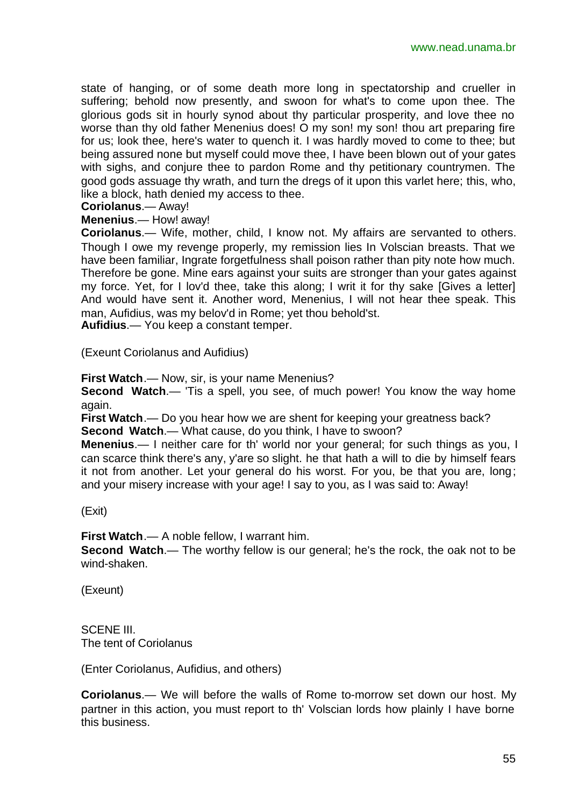state of hanging, or of some death more long in spectatorship and crueller in suffering; behold now presently, and swoon for what's to come upon thee. The glorious gods sit in hourly synod about thy particular prosperity, and love thee no worse than thy old father Menenius does! O my son! my son! thou art preparing fire for us; look thee, here's water to quench it. I was hardly moved to come to thee; but being assured none but myself could move thee, I have been blown out of your gates with sighs, and conjure thee to pardon Rome and thy petitionary countrymen. The good gods assuage thy wrath, and turn the dregs of it upon this varlet here; this, who, like a block, hath denied my access to thee.

#### **Coriolanus**.— Away!

#### **Menenius**.— How! away!

**Coriolanus**.— Wife, mother, child, I know not. My affairs are servanted to others. Though I owe my revenge properly, my remission lies In Volscian breasts. That we have been familiar, Ingrate forgetfulness shall poison rather than pity note how much. Therefore be gone. Mine ears against your suits are stronger than your gates against my force. Yet, for I lov'd thee, take this along; I writ it for thy sake [Gives a letter] And would have sent it. Another word, Menenius, I will not hear thee speak. This man, Aufidius, was my belov'd in Rome; yet thou behold'st.

**Aufidius**.— You keep a constant temper.

(Exeunt Coriolanus and Aufidius)

**First Watch**.— Now, sir, is your name Menenius?

**Second Watch.**— 'Tis a spell, you see, of much power! You know the way home again.

**First Watch**.— Do you hear how we are shent for keeping your greatness back? **Second Watch**.— What cause, do you think, I have to swoon?

**Menenius**.— I neither care for th' world nor your general; for such things as you, I can scarce think there's any, y'are so slight. he that hath a will to die by himself fears it not from another. Let your general do his worst. For you, be that you are, long; and your misery increase with your age! I say to you, as I was said to: Away!

(Exit)

**First Watch**.— A noble fellow, I warrant him.

**Second Watch**.— The worthy fellow is our general; he's the rock, the oak not to be wind-shaken.

(Exeunt)

SCENE III. The tent of Coriolanus

(Enter Coriolanus, Aufidius, and others)

**Coriolanus**.— We will before the walls of Rome to-morrow set down our host. My partner in this action, you must report to th' Volscian lords how plainly I have borne this business.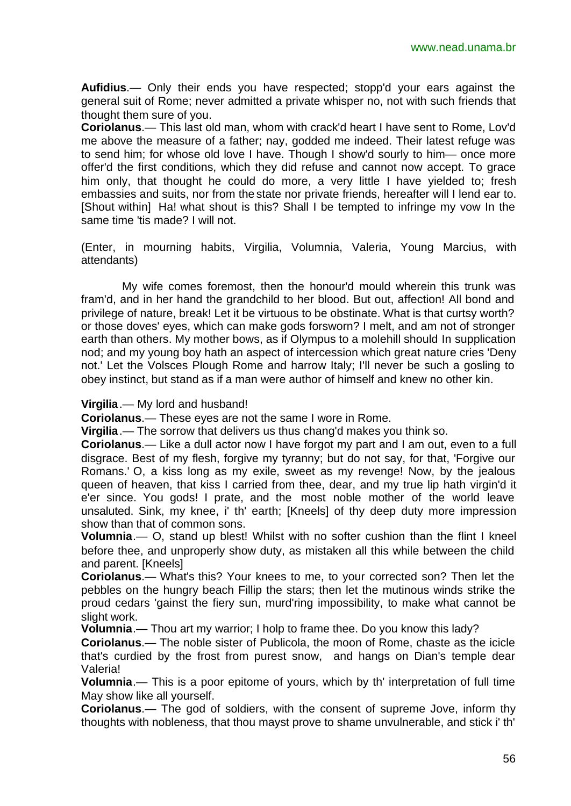**Aufidius**.— Only their ends you have respected; stopp'd your ears against the general suit of Rome; never admitted a private whisper no, not with such friends that thought them sure of you.

**Coriolanus**.— This last old man, whom with crack'd heart I have sent to Rome, Lov'd me above the measure of a father; nay, godded me indeed. Their latest refuge was to send him; for whose old love I have. Though I show'd sourly to him— once more offer'd the first conditions, which they did refuse and cannot now accept. To grace him only, that thought he could do more, a very little I have yielded to; fresh embassies and suits, nor from the state nor private friends, hereafter will I lend ear to. [Shout within] Ha! what shout is this? Shall I be tempted to infringe my vow In the same time 'tis made? I will not.

(Enter, in mourning habits, Virgilia, Volumnia, Valeria, Young Marcius, with attendants)

My wife comes foremost, then the honour'd mould wherein this trunk was fram'd, and in her hand the grandchild to her blood. But out, affection! All bond and privilege of nature, break! Let it be virtuous to be obstinate. What is that curtsy worth? or those doves' eyes, which can make gods forsworn? I melt, and am not of stronger earth than others. My mother bows, as if Olympus to a molehill should In supplication nod; and my young boy hath an aspect of intercession which great nature cries 'Deny not.' Let the Volsces Plough Rome and harrow Italy; I'll never be such a gosling to obey instinct, but stand as if a man were author of himself and knew no other kin.

#### **Virgilia**.— My lord and husband!

**Coriolanus**.— These eyes are not the same I wore in Rome.

**Virgilia**.— The sorrow that delivers us thus chang'd makes you think so.

**Coriolanus**.— Like a dull actor now I have forgot my part and I am out, even to a full disgrace. Best of my flesh, forgive my tyranny; but do not say, for that, 'Forgive our Romans.' O, a kiss long as my exile, sweet as my revenge! Now, by the jealous queen of heaven, that kiss I carried from thee, dear, and my true lip hath virgin'd it e'er since. You gods! I prate, and the most noble mother of the world leave unsaluted. Sink, my knee, i' th' earth; [Kneels] of thy deep duty more impression show than that of common sons.

**Volumnia**.— O, stand up blest! Whilst with no softer cushion than the flint I kneel before thee, and unproperly show duty, as mistaken all this while between the child and parent. [Kneels]

**Coriolanus**.— What's this? Your knees to me, to your corrected son? Then let the pebbles on the hungry beach Fillip the stars; then let the mutinous winds strike the proud cedars 'gainst the fiery sun, murd'ring impossibility, to make what cannot be slight work.

**Volumnia**.— Thou art my warrior; I holp to frame thee. Do you know this lady?

**Coriolanus**.— The noble sister of Publicola, the moon of Rome, chaste as the icicle that's curdied by the frost from purest snow, and hangs on Dian's temple dear Valeria!

**Volumnia**.— This is a poor epitome of yours, which by th' interpretation of full time May show like all yourself.

**Coriolanus**.— The god of soldiers, with the consent of supreme Jove, inform thy thoughts with nobleness, that thou mayst prove to shame unvulnerable, and stick i' th'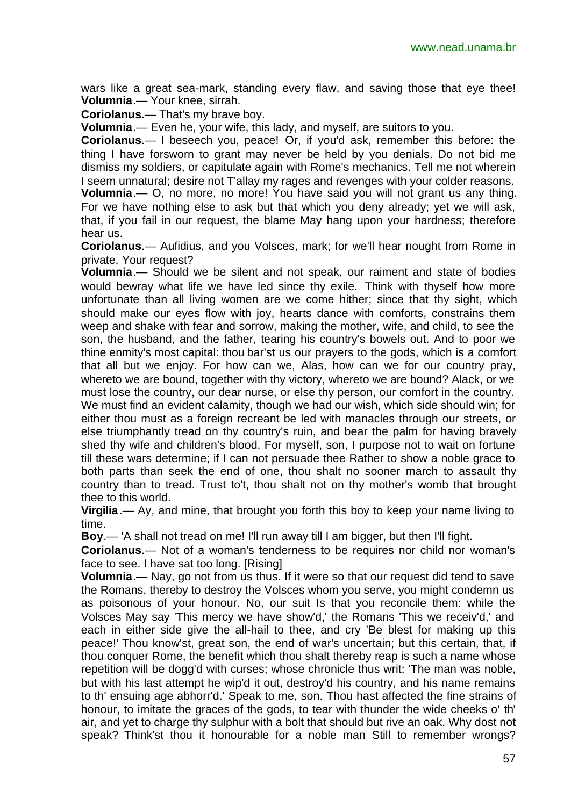wars like a great sea-mark, standing every flaw, and saving those that eye thee! **Volumnia**.— Your knee, sirrah.

**Coriolanus**.— That's my brave boy.

**Volumnia**.— Even he, your wife, this lady, and myself, are suitors to you.

**Coriolanus**.— I beseech you, peace! Or, if you'd ask, remember this before: the thing I have forsworn to grant may never be held by you denials. Do not bid me dismiss my soldiers, or capitulate again with Rome's mechanics. Tell me not wherein I seem unnatural; desire not T'allay my rages and revenges with your colder reasons. **Volumnia**.— O, no more, no more! You have said you will not grant us any thing. For we have nothing else to ask but that which you deny already; yet we will ask, that, if you fail in our request, the blame May hang upon your hardness; therefore hear us.

**Coriolanus**.— Aufidius, and you Volsces, mark; for we'll hear nought from Rome in private. Your request?

**Volumnia**.— Should we be silent and not speak, our raiment and state of bodies would bewray what life we have led since thy exile. Think with thyself how more unfortunate than all living women are we come hither; since that thy sight, which should make our eyes flow with joy, hearts dance with comforts, constrains them weep and shake with fear and sorrow, making the mother, wife, and child, to see the son, the husband, and the father, tearing his country's bowels out. And to poor we thine enmity's most capital: thou bar'st us our prayers to the gods, which is a comfort that all but we enjoy. For how can we, Alas, how can we for our country pray, whereto we are bound, together with thy victory, whereto we are bound? Alack, or we must lose the country, our dear nurse, or else thy person, our comfort in the country. We must find an evident calamity, though we had our wish, which side should win; for either thou must as a foreign recreant be led with manacles through our streets, or else triumphantly tread on thy country's ruin, and bear the palm for having bravely shed thy wife and children's blood. For myself, son, I purpose not to wait on fortune till these wars determine; if I can not persuade thee Rather to show a noble grace to both parts than seek the end of one, thou shalt no sooner march to assault thy country than to tread. Trust to't, thou shalt not on thy mother's womb that brought

thee to this world.

**Virgilia**.— Ay, and mine, that brought you forth this boy to keep your name living to time.

**Boy**.— 'A shall not tread on me! I'll run away till I am bigger, but then I'll fight.

**Coriolanus**.— Not of a woman's tenderness to be requires nor child nor woman's face to see. I have sat too long. [Rising]

**Volumnia**.— Nay, go not from us thus. If it were so that our request did tend to save the Romans, thereby to destroy the Volsces whom you serve, you might condemn us as poisonous of your honour. No, our suit Is that you reconcile them: while the Volsces May say 'This mercy we have show'd,' the Romans 'This we receiv'd,' and each in either side give the all-hail to thee, and cry 'Be blest for making up this peace!' Thou know'st, great son, the end of war's uncertain; but this certain, that, if thou conquer Rome, the benefit which thou shalt thereby reap is such a name whose repetition will be dogg'd with curses; whose chronicle thus writ: 'The man was noble, but with his last attempt he wip'd it out, destroy'd his country, and his name remains to th' ensuing age abhorr'd.' Speak to me, son. Thou hast affected the fine strains of honour, to imitate the graces of the gods, to tear with thunder the wide cheeks o' th' air, and yet to charge thy sulphur with a bolt that should but rive an oak. Why dost not speak? Think'st thou it honourable for a noble man Still to remember wrongs?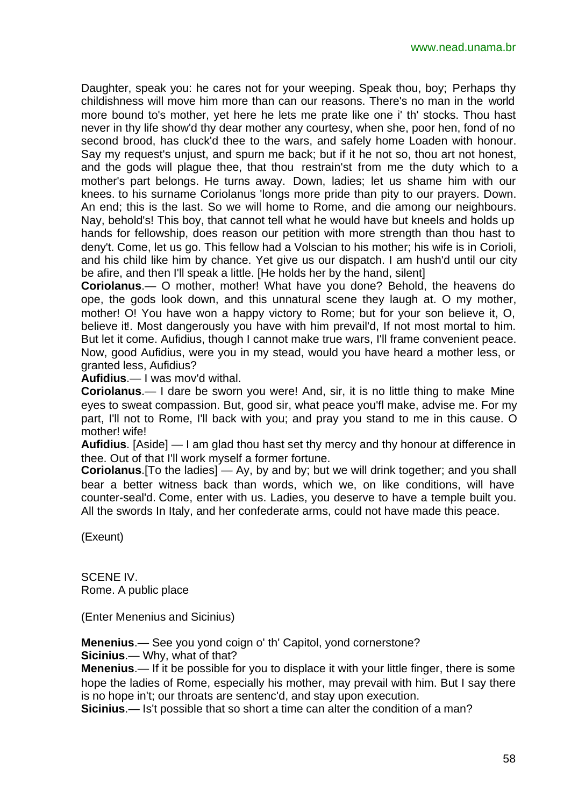Daughter, speak you: he cares not for your weeping. Speak thou, boy; Perhaps thy childishness will move him more than can our reasons. There's no man in the world more bound to's mother, yet here he lets me prate like one i' th' stocks. Thou hast never in thy life show'd thy dear mother any courtesy, when she, poor hen, fond of no second brood, has cluck'd thee to the wars, and safely home Loaden with honour. Say my request's unjust, and spurn me back; but if it he not so, thou art not honest, and the gods will plague thee, that thou restrain'st from me the duty which to a mother's part belongs. He turns away. Down, ladies; let us shame him with our knees. to his surname Coriolanus 'longs more pride than pity to our prayers. Down. An end; this is the last. So we will home to Rome, and die among our neighbours. Nay, behold's! This boy, that cannot tell what he would have but kneels and holds up hands for fellowship, does reason our petition with more strength than thou hast to deny't. Come, let us go. This fellow had a Volscian to his mother; his wife is in Corioli, and his child like him by chance. Yet give us our dispatch. I am hush'd until our city be afire, and then I'll speak a little. [He holds her by the hand, silent]

**Coriolanus**.— O mother, mother! What have you done? Behold, the heavens do ope, the gods look down, and this unnatural scene they laugh at. O my mother, mother! O! You have won a happy victory to Rome; but for your son believe it, O, believe it!. Most dangerously you have with him prevail'd, If not most mortal to him. But let it come. Aufidius, though I cannot make true wars, I'll frame convenient peace. Now, good Aufidius, were you in my stead, would you have heard a mother less, or granted less, Aufidius?

**Aufidius**.— I was mov'd withal.

**Coriolanus**.— I dare be sworn you were! And, sir, it is no little thing to make Mine eyes to sweat compassion. But, good sir, what peace you'fl make, advise me. For my part, I'll not to Rome, I'll back with you; and pray you stand to me in this cause. O mother! wife!

**Aufidius**. [Aside] — I am glad thou hast set thy mercy and thy honour at difference in thee. Out of that I'll work myself a former fortune.

**Coriolanus**.[To the ladies] — Ay, by and by; but we will drink together; and you shall bear a better witness back than words, which we, on like conditions, will have counter-seal'd. Come, enter with us. Ladies, you deserve to have a temple built you. All the swords In Italy, and her confederate arms, could not have made this peace.

(Exeunt)

SCENE IV. Rome. A public place

(Enter Menenius and Sicinius)

**Menenius**.— See you yond coign o' th' Capitol, yond cornerstone? **Sicinius**.— Why, what of that?

**Menenius**.— If it be possible for you to displace it with your little finger, there is some hope the ladies of Rome, especially his mother, may prevail with him. But I say there is no hope in't; our throats are sentenc'd, and stay upon execution.

**Sicinius**.— Is't possible that so short a time can alter the condition of a man?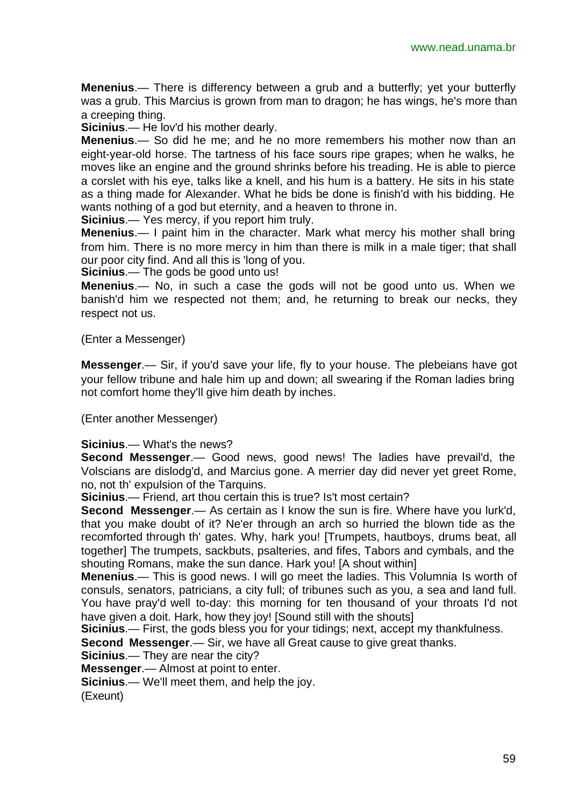**Menenius**.— There is differency between a grub and a butterfly; yet your butterfly was a grub. This Marcius is grown from man to dragon; he has wings, he's more than a creeping thing.

**Sicinius**.— He lov'd his mother dearly.

**Menenius**.— So did he me; and he no more remembers his mother now than an eight-year-old horse. The tartness of his face sours ripe grapes; when he walks, he moves like an engine and the ground shrinks before his treading. He is able to pierce a corslet with his eye, talks like a knell, and his hum is a battery. He sits in his state as a thing made for Alexander. What he bids be done is finish'd with his bidding. He wants nothing of a god but eternity, and a heaven to throne in.

**Sicinius**.— Yes mercy, if you report him truly.

**Menenius**.— I paint him in the character. Mark what mercy his mother shall bring from him. There is no more mercy in him than there is milk in a male tiger; that shall our poor city find. And all this is 'long of you.

**Sicinius**.— The gods be good unto us!

**Menenius**.— No, in such a case the gods will not be good unto us. When we banish'd him we respected not them; and, he returning to break our necks, they respect not us.

#### (Enter a Messenger)

**Messenger**.— Sir, if you'd save your life, fly to your house. The plebeians have got your fellow tribune and hale him up and down; all swearing if the Roman ladies bring not comfort home they'll give him death by inches.

(Enter another Messenger)

#### **Sicinius**.— What's the news?

**Second Messenger**.— Good news, good news! The ladies have prevail'd, the Volscians are dislodg'd, and Marcius gone. A merrier day did never yet greet Rome, no, not th' expulsion of the Tarquins.

**Sicinius**.— Friend, art thou certain this is true? Is't most certain?

**Second Messenger**.— As certain as I know the sun is fire. Where have you lurk'd, that you make doubt of it? Ne'er through an arch so hurried the blown tide as the recomforted through th' gates. Why, hark you! [Trumpets, hautboys, drums beat, all together] The trumpets, sackbuts, psalteries, and fifes, Tabors and cymbals, and the shouting Romans, make the sun dance. Hark you! [A shout within]

**Menenius**.— This is good news. I will go meet the ladies. This Volumnia Is worth of consuls, senators, patricians, a city full; of tribunes such as you, a sea and land full. You have pray'd well to-day: this morning for ten thousand of your throats I'd not have given a doit. Hark, how they joy! [Sound still with the shouts]

**Sicinius**.— First, the gods bless you for your tidings; next, accept my thankfulness.

**Second Messenger**.— Sir, we have all Great cause to give great thanks.

**Sicinius**.— They are near the city?

**Messenger**.— Almost at point to enter.

**Sicinius**.— We'll meet them, and help the joy.

(Exeunt)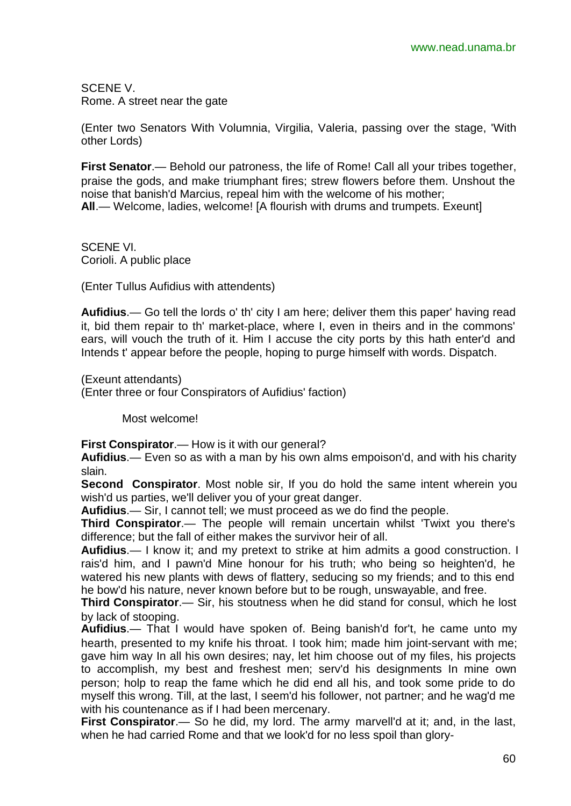SCENE V. Rome. A street near the gate

(Enter two Senators With Volumnia, Virgilia, Valeria, passing over the stage, 'With other Lords)

**First Senator**.— Behold our patroness, the life of Rome! Call all your tribes together, praise the gods, and make triumphant fires; strew flowers before them. Unshout the noise that banish'd Marcius, repeal him with the welcome of his mother; **All**.— Welcome, ladies, welcome! [A flourish with drums and trumpets. Exeunt]

SCENE VI. Corioli. A public place

(Enter Tullus Aufidius with attendents)

**Aufidius**.— Go tell the lords o' th' city I am here; deliver them this paper' having read it, bid them repair to th' market-place, where I, even in theirs and in the commons' ears, will vouch the truth of it. Him I accuse the city ports by this hath enter'd and Intends t' appear before the people, hoping to purge himself with words. Dispatch.

(Exeunt attendants)

(Enter three or four Conspirators of Aufidius' faction)

Most welcome!

**First Conspirator**.— How is it with our general?

**Aufidius**.— Even so as with a man by his own alms empoison'd, and with his charity slain.

**Second Conspirator**. Most noble sir, If you do hold the same intent wherein you wish'd us parties, we'll deliver you of your great danger.

**Aufidius**.— Sir, I cannot tell; we must proceed as we do find the people.

**Third Conspirator**.— The people will remain uncertain whilst 'Twixt you there's difference; but the fall of either makes the survivor heir of all.

**Aufidius**.— I know it; and my pretext to strike at him admits a good construction. I rais'd him, and I pawn'd Mine honour for his truth; who being so heighten'd, he watered his new plants with dews of flattery, seducing so my friends; and to this end he bow'd his nature, never known before but to be rough, unswayable, and free.

**Third Conspirator**.— Sir, his stoutness when he did stand for consul, which he lost by lack of stooping.

**Aufidius**.— That I would have spoken of. Being banish'd for't, he came unto my hearth, presented to my knife his throat. I took him; made him joint-servant with me; gave him way In all his own desires; nay, let him choose out of my files, his projects to accomplish, my best and freshest men; serv'd his designments In mine own person; holp to reap the fame which he did end all his, and took some pride to do myself this wrong. Till, at the last, I seem'd his follower, not partner; and he wag'd me with his countenance as if I had been mercenary.

**First Conspirator**.— So he did, my lord. The army marvell'd at it; and, in the last, when he had carried Rome and that we look'd for no less spoil than glory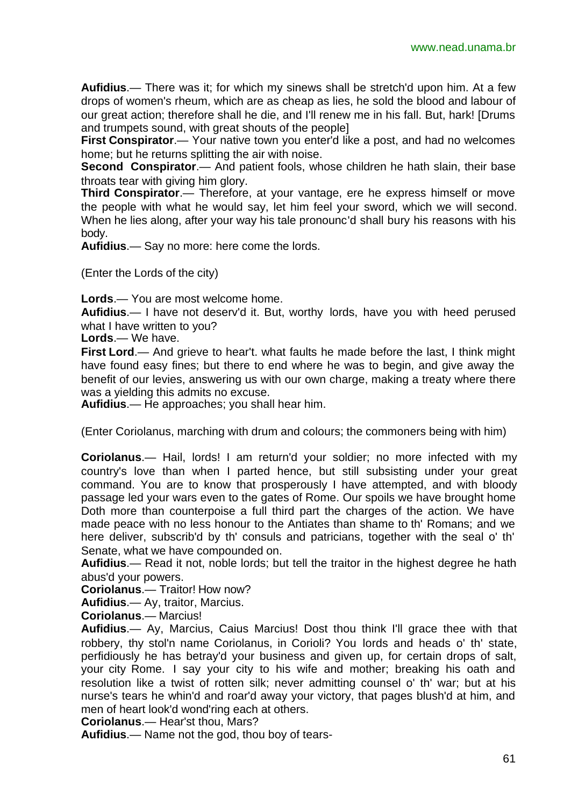**Aufidius**.— There was it; for which my sinews shall be stretch'd upon him. At a few drops of women's rheum, which are as cheap as lies, he sold the blood and labour of our great action; therefore shall he die, and I'll renew me in his fall. But, hark! [Drums and trumpets sound, with great shouts of the people]

**First Conspirator.**— Your native town you enter'd like a post, and had no welcomes home; but he returns splitting the air with noise.

**Second Conspirator.**— And patient fools, whose children he hath slain, their base throats tear with giving him glory.

**Third Conspirator**.— Therefore, at your vantage, ere he express himself or move the people with what he would say, let him feel your sword, which we will second. When he lies along, after your way his tale pronounc'd shall bury his reasons with his body.

**Aufidius**.— Say no more: here come the lords.

(Enter the Lords of the city)

**Lords**.— You are most welcome home.

**Aufidius**.— I have not deserv'd it. But, worthy lords, have you with heed perused what I have written to you?

**Lords**.— We have.

**First Lord**.— And grieve to hear't. what faults he made before the last, I think might have found easy fines; but there to end where he was to begin, and give away the benefit of our levies, answering us with our own charge, making a treaty where there was a yielding this admits no excuse.

**Aufidius**.— He approaches; you shall hear him.

(Enter Coriolanus, marching with drum and colours; the commoners being with him)

**Coriolanus**.— Hail, lords! I am return'd your soldier; no more infected with my country's love than when I parted hence, but still subsisting under your great command. You are to know that prosperously I have attempted, and with bloody passage led your wars even to the gates of Rome. Our spoils we have brought home Doth more than counterpoise a full third part the charges of the action. We have made peace with no less honour to the Antiates than shame to th' Romans; and we here deliver, subscrib'd by th' consuls and patricians, together with the seal o' th' Senate, what we have compounded on.

**Aufidius**.— Read it not, noble lords; but tell the traitor in the highest degree he hath abus'd your powers.

**Coriolanus**.— Traitor! How now?

**Aufidius**.— Ay, traitor, Marcius.

**Coriolanus**.— Marcius!

**Aufidius**.— Ay, Marcius, Caius Marcius! Dost thou think I'll grace thee with that robbery, thy stol'n name Coriolanus, in Corioli? You lords and heads o' th' state, perfidiously he has betray'd your business and given up, for certain drops of salt, your city Rome. I say your city to his wife and mother; breaking his oath and resolution like a twist of rotten silk; never admitting counsel o' th' war; but at his nurse's tears he whin'd and roar'd away your victory, that pages blush'd at him, and men of heart look'd wond'ring each at others.

**Coriolanus**.— Hear'st thou, Mars?

**Aufidius**.— Name not the god, thou boy of tears-